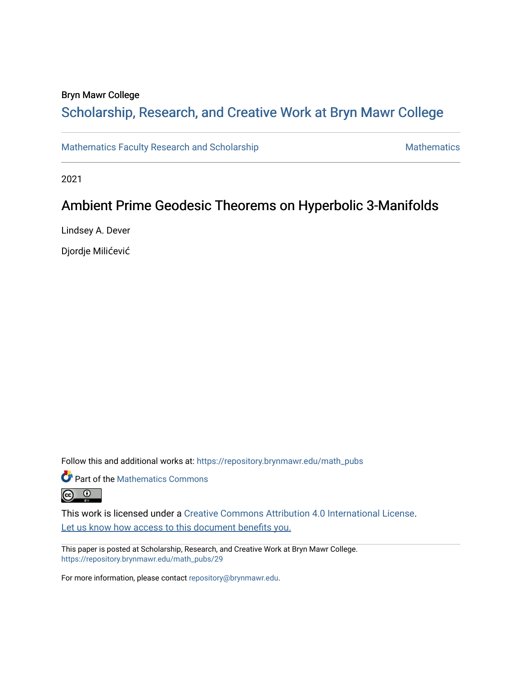# Bryn Mawr College

# Scholarship, Research, and Creative Work at Bryn Mawr College

[Mathematics Faculty Research and Scholarship](https://repository.brynmawr.edu/math_pubs) [Mathematics](https://repository.brynmawr.edu/mathematics) Mathematics

2021

# Ambient Prime Geodesic Theorems on Hyperbolic 3-Manifolds

Lindsey A. Dever

Djordje Milićević

Follow this and additional works at: [https://repository.brynmawr.edu/math\\_pubs](https://repository.brynmawr.edu/math_pubs?utm_source=repository.brynmawr.edu%2Fmath_pubs%2F29&utm_medium=PDF&utm_campaign=PDFCoverPages)

**Part of the [Mathematics Commons](https://network.bepress.com/hgg/discipline/174?utm_source=repository.brynmawr.edu%2Fmath_pubs%2F29&utm_medium=PDF&utm_campaign=PDFCoverPages)** 



This work is licensed under a [Creative Commons Attribution 4.0 International License](https://creativecommons.org/licenses/by/4.0/). Let us know how access to this document benefits you.

This paper is posted at Scholarship, Research, and Creative Work at Bryn Mawr College. [https://repository.brynmawr.edu/math\\_pubs/29](https://repository.brynmawr.edu/math_pubs/29) 

For more information, please contact [repository@brynmawr.edu.](mailto:repository@brynmawr.edu)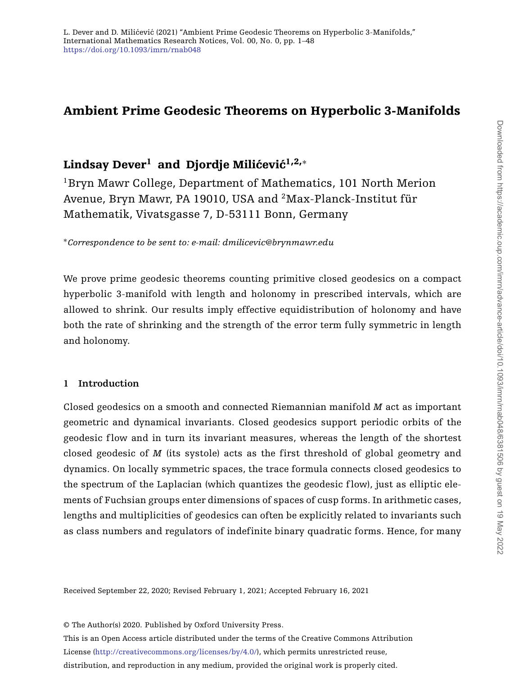# **Ambient Prime Geodesic Theorems on Hyperbolic 3-Manifolds**

# **Lindsay Dever<sup>1</sup> and Djordje Milićević<sup>1,2,\*</sup>**

<sup>1</sup>Bryn Mawr College, Department of Mathematics, 101 North Merion Avenue, Bryn Mawr, PA 19010, USA and 2Max-Planck-Institut für Mathematik, Vivatsgasse 7, D-53111 Bonn, Germany

<sup>∗</sup>*Correspondence to be sent to: e-mail: dmilicevic@brynmawr.edu*

We prove prime geodesic theorems counting primitive closed geodesics on a compact hyperbolic 3-manifold with length and holonomy in prescribed intervals, which are allowed to shrink. Our results imply effective equidistribution of holonomy and have both the rate of shrinking and the strength of the error term fully symmetric in length and holonomy.

# **1 Introduction**

Closed geodesics on a smooth and connected Riemannian manifold *M* act as important geometric and dynamical invariants. Closed geodesics support periodic orbits of the geodesic flow and in turn its invariant measures, whereas the length of the shortest closed geodesic of *M* (its systole) acts as the first threshold of global geometry and dynamics. On locally symmetric spaces, the trace formula connects closed geodesics to the spectrum of the Laplacian (which quantizes the geodesic flow), just as elliptic elements of Fuchsian groups enter dimensions of spaces of cusp forms. In arithmetic cases, lengths and multiplicities of geodesics can often be explicitly related to invariants such as class numbers and regulators of indefinite binary quadratic forms. Hence, for many

Received September 22, 2020; Revised February 1, 2021; Accepted February 16, 2021

© The Author(s) 2020. Published by Oxford University Press.

This is an Open Access article distributed under the terms of the Creative Commons Attribution License [\(http://creativecommons.org/licenses/by/4.0/\)](http://creativecommons.org/licenses/by/4.0/), which permits unrestricted reuse,

distribution, and reproduction in any medium, provided the original work is properly cited.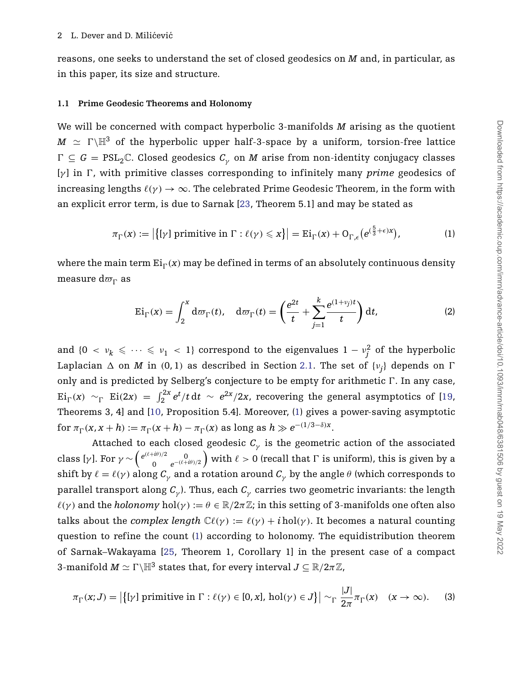reasons, one seeks to understand the set of closed geodesics on *M* and, in particular, as in this paper, its size and structure.

#### **1.1 Prime Geodesic Theorems and Holonomy**

We will be concerned with compact hyperbolic 3-manifolds *M* arising as the quotient  $M$   $\, \simeq$   $\, \Gamma \backslash \mathbb{H}^{3} \,$  of the hyperbolic upper half-3-space by a uniform, torsion-free lattice  $\Gamma \subseteq G = \mathrm{PSL}_2\mathbb{C}$ . Closed geodesics  $\mathcal{C}_\gamma$  on  $M$  arise from non-identity conjugacy classes [γ] in Γ, with primitive classes corresponding to infinitely many *prime* geodesics of increasing lengths  $\ell(\gamma) \to \infty$ . The celebrated Prime Geodesic Theorem, in the form with an explicit error term, is due to Sarnak [\[23,](#page-48-0) Theorem 5.1] and may be stated as

$$
\pi_{\Gamma}(x) := \left| \{ [\gamma] \text{ primitive in } \Gamma : \ell(\gamma) \leq x \} \right| = \mathrm{Ei}_{\Gamma}(x) + \mathrm{O}_{\Gamma,\epsilon} \big( e^{(\frac{5}{3} + \epsilon)x} \big),\tag{1}
$$

where the main term  $\mathrm{Ei}_{\Gamma} (x)$  may be defined in terms of an absolutely continuous density measure  $\mathrm{d}\varpi_{\Gamma}$  as

<span id="page-2-2"></span><span id="page-2-0"></span>
$$
\mathrm{Ei}_{\Gamma}(x) = \int_{2}^{x} d\sigma_{\Gamma}(t), \quad d\sigma_{\Gamma}(t) = \left(\frac{e^{2t}}{t} + \sum_{j=1}^{k} \frac{e^{(1+v_j)t}}{t}\right) dt, \tag{2}
$$

and  $\{0 \le v_k \le \dots \le v_1 \le 1\}$  correspond to the eigenvalues  $1 - v_j^2$  of the hyperbolic Laplacian  $\Delta$  on  $M$  in  $(0, 1)$  as described in Section [2.1.](#page-10-0) The set of  $\{v_j\}$  depends on  $\Gamma$ only and is predicted by Selberg's conjecture to be empty for arithmetic  $\Gamma$ . In any case, Ei<sub> $\Gamma$ </sub>(*x*) ~<sub> $\Gamma$ </sub> Ei(2*x*) =  $\int_2^{2x} e^t/t \, dt \sim e^{2x}/2x$ , recovering the general asymptotics of [\[19,](#page-48-1) Theorems 3, 4] and [\[10,](#page-47-0) Proposition 5.4]. Moreover, [\(1\)](#page-2-0) gives a power-saving asymptotic  $f$ or  $\pi_{\Gamma}(x, x+h) := \pi_{\Gamma}(x+h) - \pi_{\Gamma}(x)$  as long as  $h \gg e^{-(1/3-\delta)x}$ .

Attached to each closed geodesic  $C_{\gamma}$  is the geometric action of the associated class [*γ*]. For  $\gamma \sim \begin{pmatrix} e^{(\ell + i\theta)/2} & 0 \\ 0 & e^{-(\ell + i\theta)} \end{pmatrix}$ 0 *e*−*(*+*iθ)/*<sup>2</sup> ) with  $\ell > 0$  (recall that  $\Gamma$  is uniform), this is given by a shift by  $\ell = \ell(\gamma)$  along  $C_\gamma$  and a rotation around  $C_\gamma$  by the angle  $\theta$  (which corresponds to parallel transport along *C<sup>γ</sup>* ). Thus, each *C<sup>γ</sup>* carries two geometric invariants: the length  $\ell(\gamma)$  and the *holonomy* hol $(\gamma) := \theta \in \mathbb{R}/2\pi\mathbb{Z}$ ; in this setting of 3-manifolds one often also talks about the *complex length*  $\mathbb{C}\ell(\gamma) := \ell(\gamma) + i \text{ hol}(\gamma)$ . It becomes a natural counting question to refine the count [\(1\)](#page-2-0) according to holonomy. The equidistribution theorem of Sarnak–Wakayama [\[25,](#page-48-2) Theorem 1, Corollary 1] in the present case of a compact  $3$ -manifold  $M \simeq \Gamma \backslash \mathbb{H}^3$  states that, for every interval  $J \subseteq \mathbb{R}/2\pi\mathbb{Z}$ ,

<span id="page-2-1"></span>
$$
\pi_{\Gamma}(x;J) = \left| \{ [\gamma] \text{ primitive in } \Gamma : \ell(\gamma) \in [0,x], \text{ hol}(\gamma) \in J \} \right| \sim_{\Gamma} \frac{|J|}{2\pi} \pi_{\Gamma}(x) \quad (x \to \infty). \tag{3}
$$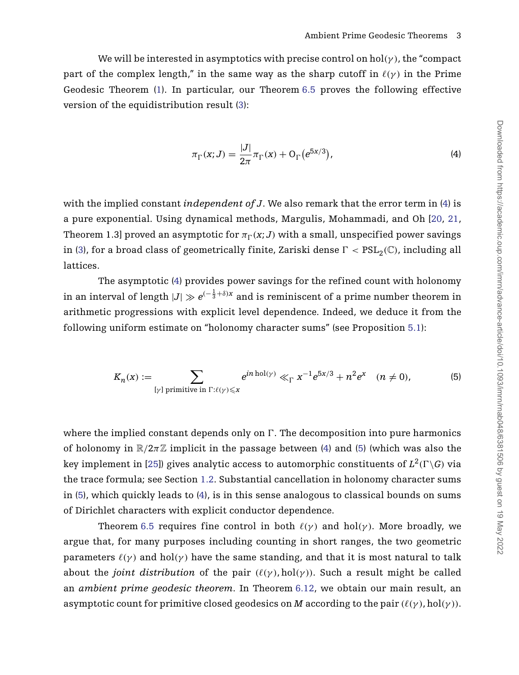We will be interested in asymptotics with precise control on  $hol(\gamma)$ , the "compact" part of the complex length," in the same way as the sharp cutoff in  $\ell(\gamma)$  in the Prime Geodesic Theorem [\(1\)](#page-2-0). In particular, our Theorem [6.5](#page-40-0) proves the following effective version of the equidistribution result [\(3\)](#page-2-1):

<span id="page-3-1"></span><span id="page-3-0"></span>
$$
\pi_{\Gamma}(x;J) = \frac{|J|}{2\pi} \pi_{\Gamma}(x) + O_{\Gamma}(e^{5x/3}),
$$
\n(4)

with the implied constant *independent of J*. We also remark that the error term in [\(4\)](#page-3-0) is a pure exponential. Using dynamical methods, Margulis, Mohammadi, and Oh [\[20,](#page-48-3) [21,](#page-48-4) Theorem 1.3] proved an asymptotic for  $\pi_{\Gamma}({\bm{x}};J)$  with a small, unspecified power savings in [\(3\)](#page-2-1), for a broad class of geometrically finite, Zariski dense  $\Gamma < \text{PSL}_2(\mathbb{C})$ , including all lattices.

The asymptotic [\(4\)](#page-3-0) provides power savings for the refined count with holonomy in an interval of length  $|J| \gg e^{(-\frac{1}{3}+\delta) x}$  and is reminiscent of a prime number theorem in arithmetic progressions with explicit level dependence. Indeed, we deduce it from the following uniform estimate on "holonomy character sums" (see Proposition [5.1\)](#page-31-0):

$$
K_n(x) := \sum_{\substack{[\gamma] \text{ primitive in } \Gamma: \ell(\gamma) \leqslant x}} e^{in \text{ hol}(\gamma)} \ll_{\Gamma} x^{-1} e^{5x/3} + n^2 e^x \quad (n \neq 0),
$$
 (5)

where the implied constant depends only on *F* . The decomposition into pure harmonics of holonomy in  $\mathbb{R}/2\pi\mathbb{Z}$  implicit in the passage between [\(4\)](#page-3-0) and [\(5\)](#page-3-1) (which was also the key implement in [\[25\]](#page-48-2)) gives analytic access to automorphic constituents of  $L^2(\Gamma \backslash G)$  via the trace formula; see Section [1.2.](#page-4-0) Substantial cancellation in holonomy character sums in [\(5\)](#page-3-1), which quickly leads to [\(4\)](#page-3-0), is in this sense analogous to classical bounds on sums of Dirichlet characters with explicit conductor dependence.

Theorem [6.5](#page-40-0) requires fine control in both  $\ell(\gamma)$  and hol $(\gamma)$ . More broadly, we argue that, for many purposes including counting in short ranges, the two geometric parameters  $\ell(\gamma)$  and hol $(\gamma)$  have the same standing, and that it is most natural to talk about the *joint distribution* of the pair  $(\ell(\gamma), hol(\gamma))$ . Such a result might be called an *ambient prime geodesic theorem*. In Theorem [6.12,](#page-45-0) we obtain our main result, an asymptotic count for primitive closed geodesics on *M* according to the pair *((γ)*, hol*(γ))*.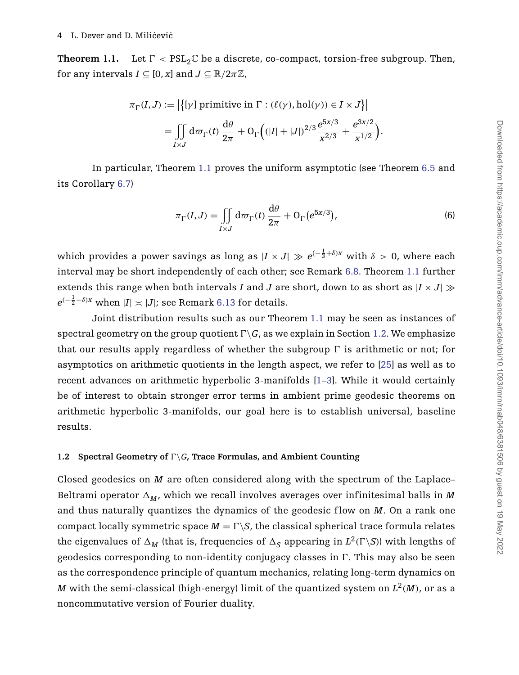<span id="page-4-1"></span>**Theorem 1.1.** Let  $\Gamma < \text{PSL}_2\mathbb{C}$  be a discrete, co-compact, torsion-free subgroup. Then, for any intervals  $I \subseteq [0, x]$  and  $J \subseteq \mathbb{R}/2\pi\mathbb{Z}$ ,

$$
\pi_{\Gamma}(I,J) := \left| \left\{ [\gamma] \text{ primitive in } \Gamma : (\ell(\gamma),\text{hol}(\gamma)) \in I \times J \right\} \right|
$$

$$
= \iint\limits_{I \times J} d\varpi_{\Gamma}(t) \frac{d\theta}{2\pi} + O_{\Gamma}\left( (|I| + |J|)^{2/3} \frac{e^{5x/3}}{x^{2/3}} + \frac{e^{3x/2}}{x^{1/2}} \right). \right.
$$

In particular, Theorem [1.1](#page-4-1) proves the uniform asymptotic (see Theorem [6.5](#page-40-0) and its Corollary [6.7\)](#page-42-0)

<span id="page-4-2"></span>
$$
\pi_{\Gamma}(I,J) = \iint\limits_{I \times J} d\varpi_{\Gamma}(t) \frac{d\theta}{2\pi} + O_{\Gamma}(e^{5x/3}), \tag{6}
$$

which provides a power savings as long as  $|I\times J|\gg e^{(-\frac{1}{3}+\delta) x}$  with  $\delta>0,$  where each interval may be short independently of each other; see Remark [6.8.](#page-42-1) Theorem [1.1](#page-4-1) further extends this range when both intervals *I* and *J* are short, down to as short as  $|I \times J|$   $\gg$  $e^{(-\frac{1}{2}+\delta) x}$  when  $|I|\asymp |J|$ ; see Remark [6.13](#page-46-0) for details.

Joint distribution results such as our Theorem [1.1](#page-4-1) may be seen as instances of spectral geometry on the group quotient  $\Gamma \backslash G$ , as we explain in Section [1.2.](#page-4-0) We emphasize that our results apply regardless of whether the subgroup  $\Gamma$  is arithmetic or not; for asymptotics on arithmetic quotients in the length aspect, we refer to [\[25\]](#page-48-2) as well as to recent advances on arithmetic hyperbolic 3-manifolds [\[1](#page-47-1)[–3\]](#page-47-2). While it would certainly be of interest to obtain stronger error terms in ambient prime geodesic theorems on arithmetic hyperbolic 3-manifolds, our goal here is to establish universal, baseline results.

#### <span id="page-4-0"></span>**1.2 Spectral Geometry of**  $\Gamma \backslash G$ **, Trace Formulas, and Ambient Counting**

Closed geodesics on *M* are often considered along with the spectrum of the Laplace– Beltrami operator  $\Delta_M$ , which we recall involves averages over infinitesimal balls in M and thus naturally quantizes the dynamics of the geodesic flow on *M*. On a rank one compact locally symmetric space  $M = \Gamma \backslash S$ , the classical spherical trace formula relates the eigenvalues of  $\Delta_M$  (that is, frequencies of  $\Delta_S$  appearing in  $L^2(\Gamma \backslash S)$ ) with lengths of geodesics corresponding to non-identity conjugacy classes in  $\Gamma.$  This may also be seen as the correspondence principle of quantum mechanics, relating long-term dynamics on *M* with the semi-classical (high-energy) limit of the quantized system on  $L^2(M)$ , or as a noncommutative version of Fourier duality.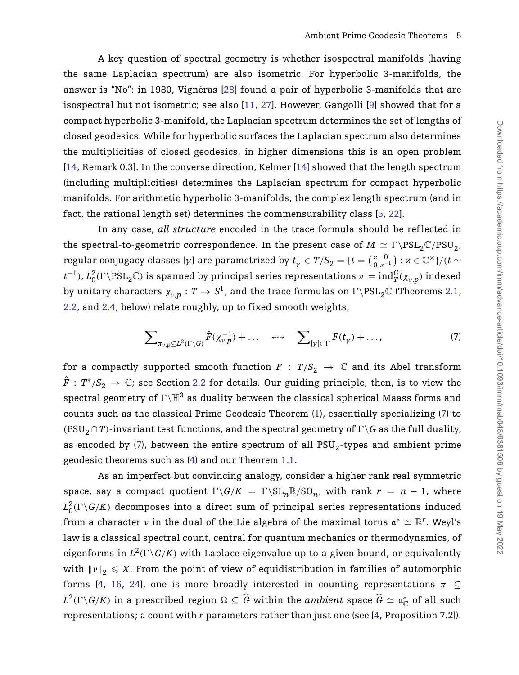A key question of spectral geometry is whether isospectral manifolds (having the same Laplacian spectrum) are also isometric. For hyperbolic 3-manifolds, the answer is "No": in 1980, Vignéras [\[28\]](#page-48-5) found a pair of hyperbolic 3-manifolds that are isospectral but not isometric; see also [\[11,](#page-47-3) [27\]](#page-48-6). However, Gangolli [\[9\]](#page-47-4) showed that for a compact hyperbolic 3-manifold, the Laplacian spectrum determines the set of lengths of closed geodesics. While for hyperbolic surfaces the Laplacian spectrum also determines the multiplicities of closed geodesics, in higher dimensions this is an open problem [\[14,](#page-48-7) Remark 0.3]. In the converse direction, Kelmer [\[14\]](#page-48-7) showed that the length spectrum (including multiplicities) determines the Laplacian spectrum for compact hyperbolic manifolds. For arithmetic hyperbolic 3-manifolds, the complex length spectrum (and in fact, the rational length set) determines the commensurability class [\[5,](#page-47-5) [22\]](#page-48-8).

In any case, *all structure* encoded in the trace formula should be ref lected in the spectral-to-geometric correspondence. In the present case of  $M \simeq \Gamma \backslash \mathrm{PSL}_2\mathbb{C}/\mathrm{PSU}_2$ , regular conjugacy classes [ $γ$ ] are parametrized by  $t_\gamma\in T/S_2=\{t={z=0\choose 0\;z^{-1}}:z\in\mathbb{C}^\times\}/(t\sim$  $t^{-1}$ ),  $L_0^2(\Gamma \backslash \mathrm{PSL}_2\mathbb{C})$  is spanned by principal series representations  $\pi=\mathrm{ind}_T^G(\chi_{\nu,p})$  indexed by unitary characters  $\chi_{\nu,p}:T\to S^1$ , and the trace formulas on  $\Gamma\backslash \mathrm{PSL}_2\mathbb{C}$  (Theorems [2.1,](#page-12-0) [2.2,](#page-14-0) and [2.4,](#page-16-0) below) relate roughly, up to fixed smooth weights,

<span id="page-5-0"></span>
$$
\sum_{\pi_{\nu,p}\subseteq L^2(\Gamma\setminus G)}\hat{F}(\chi_{\nu,p}^{-1})+\ldots \quad \text{and} \quad \sum_{[\gamma]\subset\Gamma}F(t_{\gamma})+\ldots,\tag{7}
$$

for a compactly supported smooth function  $F : T/S_2 \to \mathbb{C}$  and its Abel transform  $\hat{F}: T^*/S_2 \to \mathbb{C}$ ; see Section [2.2](#page-12-1) for details. Our guiding principle, then, is to view the spectral geometry of  $\Gamma\backslash\mathbb{H}^3$  as duality between the classical spherical Maass forms and counts such as the classical Prime Geodesic Theorem [\(1\)](#page-2-0), essentially specializing [\(7\)](#page-5-0) to  $({\rm PSU}_2 \cap T)$ -invariant test functions, and the spectral geometry of  $\Gamma \backslash G$  as the full duality, as encoded by [\(7\)](#page-5-0), between the entire spectrum of all  $PSU<sub>2</sub>$ -types and ambient prime geodesic theorems such as [\(4\)](#page-3-0) and our Theorem [1.1.](#page-4-1)

As an imperfect but convincing analogy, consider a higher rank real symmetric space, say a compact quotient  $\Gamma \backslash G/K = \Gamma \backslash SL_n \mathbb{R} / SO_n$ , with rank  $r = n - 1$ , where  $L_0^2(\Gamma \backslash G /K)$  decomposes into a direct sum of principal series representations induced from a character *ν* in the dual of the Lie algebra of the maximal torus  $\mathfrak{a}^* \simeq \mathbb{R}^r$ . Weyl's law is a classical spectral count, central for quantum mechanics or thermodynamics, of eigenforms in  $L^2(\Gamma \backslash G / K)$  with Laplace eigenvalue up to a given bound, or equivalently with  $\left\| \nu \right\|_2 \leqslant X.$  From the point of view of equidistribution in families of automorphic forms [\[4,](#page-47-6) [16,](#page-48-9) [24\]](#page-48-10), one is more broadly interested in counting representations  $\pi \subseteq$  $L^2(\Gamma \backslash G / K)$  in a prescribed region  $\Omega \subseteq \widehat{G}$  within the *ambient* space  $\widehat{G} \simeq \mathfrak{a}^*_{{\mathbb C}}$  of all such representations; a count with *r* parameters rather than just one (see [\[4,](#page-47-6) Proposition 7.2]).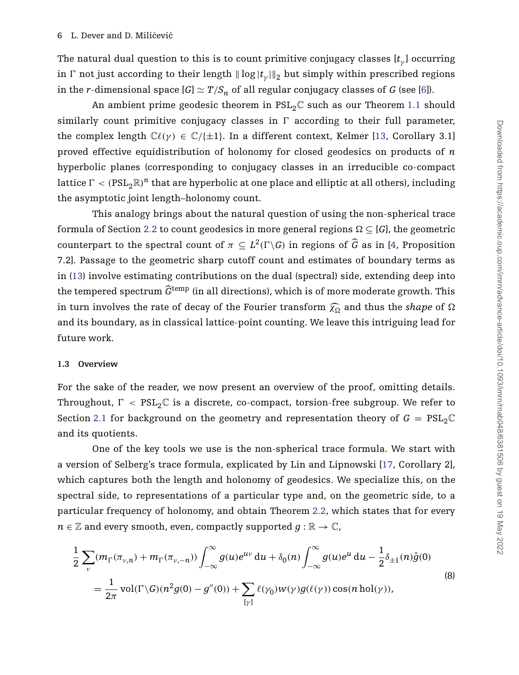The natural dual question to this is to count primitive conjugacy classes [*t<sup>γ</sup>* ] occurring in  $\Gamma$  not just according to their length  $\|\log |t_\gamma|\|_2$  but simply within prescribed regions in the *r*-dimensional space  $[G] \simeq T/S_n$  of all regular conjugacy classes of *G* (see [\[6\]](#page-47-7)).

An ambient prime geodesic theorem in  $PSL_2C$  such as our Theorem [1.1](#page-4-1) should similarly count primitive conjugacy classes in  $\Gamma$  according to their full parameter, the complex length  $\mathbb{C}\ell(\gamma) \in \mathbb{C}/\{\pm 1\}$ . In a different context, Kelmer [\[13,](#page-47-8) Corollary 3.1] proved effective equidistribution of holonomy for closed geodesics on products of *n* hyperbolic planes (corresponding to conjugacy classes in an irreducible co-compact lattice  $\Gamma < (\mathrm{PSL}_2\mathbb{R})^n$  that are hyperbolic at one place and elliptic at all others), including the asymptotic joint length–holonomy count.

This analogy brings about the natural question of using the non-spherical trace formula of Section [2.2](#page-12-1) to count geodesics in more general regions  $\Omega \subseteq [G]$ , the geometric counterpart to the spectral count of  $\pi \subseteq L^2(\Gamma \backslash G)$  in regions of  $\widehat{G}$  as in [\[4,](#page-47-6) Proposition 7.2]. Passage to the geometric sharp cutoff count and estimates of boundary terms as in [\(13\)](#page-8-0) involve estimating contributions on the dual (spectral) side, extending deep into the tempered spectrum  $\widehat{G}^{\text{temp}}$  (in all directions), which is of more moderate growth. This in turn involves the rate of decay of the Fourier transform  $\widehat{\chi_0}$  and thus the *shape* of  $\Omega$ and its boundary, as in classical lattice-point counting. We leave this intriguing lead for future work.

#### **1.3 Overview**

For the sake of the reader, we now present an overview of the proof, omitting details. Throughout,  $\Gamma < \text{PSL}_2\mathbb{C}$  is a discrete, co-compact, torsion-free subgroup. We refer to Section [2.1](#page-10-0) for background on the geometry and representation theory of  $G = PSL_2\mathbb{C}$ and its quotients.

One of the key tools we use is the non-spherical trace formula. We start with a version of Selberg's trace formula, explicated by Lin and Lipnowski [\[17,](#page-48-11) Corollary 2], which captures both the length and holonomy of geodesics. We specialize this, on the spectral side, to representations of a particular type and, on the geometric side, to a particular frequency of holonomy, and obtain Theorem [2.2,](#page-14-0) which states that for every  $n \in \mathbb{Z}$  and every smooth, even, compactly supported  $g : \mathbb{R} \to \mathbb{C}$ ,

<span id="page-6-0"></span>
$$
\frac{1}{2} \sum_{\nu} (m_{\Gamma}(\pi_{\nu,n}) + m_{\Gamma}(\pi_{\nu,-n})) \int_{-\infty}^{\infty} g(u)e^{uv} du + \delta_0(n) \int_{-\infty}^{\infty} g(u)e^{u} du - \frac{1}{2} \delta_{\pm 1}(n)\hat{g}(0)
$$
\n
$$
= \frac{1}{2\pi} \text{vol}(\Gamma \backslash G)(n^2 g(0) - g''(0)) + \sum_{[\gamma]} \ell(\gamma_0)w(\gamma)g(\ell(\gamma)) \cos(n \text{ hol}(\gamma)),
$$
\n(8)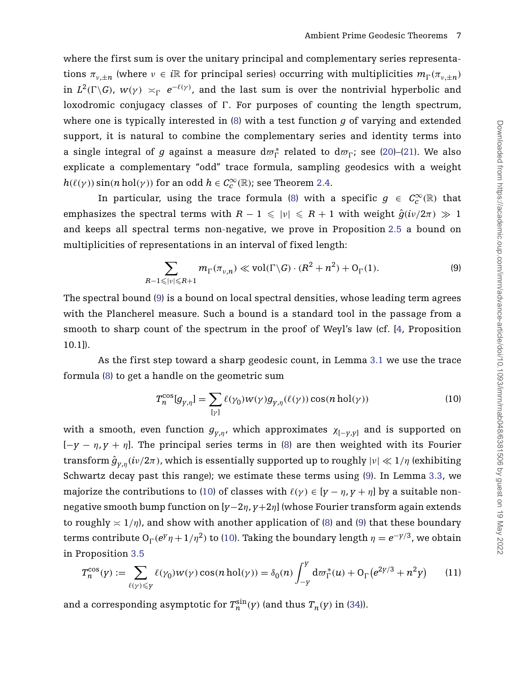where the first sum is over the unitary principal and complementary series representations  $\pi_{v,\pm n}$  (where  $v \in i\mathbb{R}$  for principal series) occurring with multiplicities  $m_{\Gamma}(\pi_{v,\pm n})$ in  $L^2(\Gamma \backslash G)$ ,  $w(\gamma) \asymp_{\Gamma} e^{-\ell(\gamma)}$ , and the last sum is over the nontrivial hyperbolic and loxodromic conjugacy classes of *-*. For purposes of counting the length spectrum, where one is typically interested in [\(8\)](#page-6-0) with a test function *g* of varying and extended support, it is natural to combine the complementary series and identity terms into a single integral of  $g$  against a measure  $d\varpi_{\Gamma}^*$  related to  $d\varpi_{\Gamma}$ ; see [\(20\)](#page-14-1)–[\(21\)](#page-14-2). We also explicate a complementary "odd" trace formula, sampling geodesics with a weight  $h(\ell(\gamma)) \sin(n \text{ hol}(\gamma))$  for an odd  $h \in C_c^{\infty}(\mathbb{R})$ ; see Theorem [2.4.](#page-16-0)

In particular, using the trace formula [\(8\)](#page-6-0) with a specific  $g \in C_c^{\infty}(\mathbb{R})$  that emphasizes the spectral terms with  $R - 1 \leqslant |\nu| \leqslant R + 1$  with weight  $\hat{g}(i\nu/2\pi) \gg 1$ and keeps all spectral terms non-negative, we prove in Proposition [2.5](#page-17-0) a bound on multiplicities of representations in an interval of fixed length:

<span id="page-7-0"></span>
$$
\sum_{R-1 \leqslant |\nu| \leqslant R+1} m_{\Gamma}(\pi_{\nu,n}) \ll \text{vol}(\Gamma \backslash G) \cdot (R^2 + n^2) + O_{\Gamma}(1). \tag{9}
$$

The spectral bound [\(9\)](#page-7-0) is a bound on local spectral densities, whose leading term agrees with the Plancherel measure. Such a bound is a standard tool in the passage from a smooth to sharp count of the spectrum in the proof of Weyl's law (cf. [\[4,](#page-47-6) Proposition 10.1]).

As the first step toward a sharp geodesic count, in Lemma [3.1](#page-20-0) we use the trace formula [\(8\)](#page-6-0) to get a handle on the geometric sum

<span id="page-7-1"></span>
$$
T_n^{\cos}[g_{\gamma,\eta}] = \sum_{[\gamma]} \ell(\gamma_0) w(\gamma) g_{\gamma,\eta}(\ell(\gamma)) \cos(n \operatorname{hol}(\gamma)) \tag{10}
$$

with a smooth, even function  $g_{y,\eta}$ , which approximates  $\chi_{[-y,y]}$  and is supported on  $[-y - \eta, y + \eta]$ . The principal series terms in [\(8\)](#page-6-0) are then weighted with its Fourier  $\int \mathrm{transform}\ \hat{g}_{y,\eta}(i\nu/2\pi)$ , which is essentially supported up to roughly  $|\nu|\ll 1/\eta$  (exhibiting Schwartz decay past this range); we estimate these terms using [\(9\)](#page-7-0). In Lemma [3.3,](#page-22-0) we majorize the contributions to [\(10\)](#page-7-1) of classes with  $\ell(\gamma) \in [y - \eta, y + \eta]$  by a suitable nonnegative smooth bump function on [*y*−2*η*, *y*+2*η*] (whose Fourier transform again extends to roughly  $\leq 1/\eta$ , and show with another application of [\(8\)](#page-6-0) and [\(9\)](#page-7-0) that these boundary terms contribute  $O_\Gamma(e^{\gamma}\eta + 1/\eta^2)$  to [\(10\)](#page-7-1). Taking the boundary length  $\eta = e^{-\gamma/3}$ , we obtain in Proposition [3.5](#page-24-0)

<span id="page-7-2"></span>
$$
T_n^{\cos}(y) := \sum_{\ell(\gamma) \leq y} \ell(\gamma_0) w(\gamma) \cos(n \operatorname{hol}(\gamma)) = \delta_0(n) \int_{-y}^y \mathrm{d}\sigma_\Gamma^*(u) + \mathrm{O}_\Gamma(e^{2y/3} + n^2 y) \tag{11}
$$

and a corresponding asymptotic for  $T_n^{\sin}(y)$  (and thus  $T_n(y)$  in [\(34\)](#page-27-0)).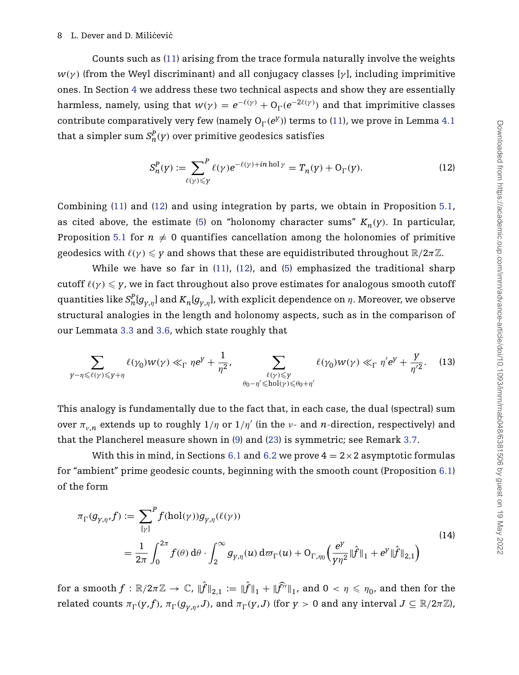#### 8 L. Dever and D. Milićević

Counts such as [\(11\)](#page-7-2) arising from the trace formula naturally involve the weights *w*(γ) (from the Weyl discriminant) and all conjugacy classes [γ], including imprimitive ones. In Section [4](#page-26-0) we address these two technical aspects and show they are essentially harmless, namely, using that  $w(\gamma) = e^{-\ell(\gamma)} + O_\Gamma(e^{-2\ell(\gamma)})$  and that imprimitive classes contribute comparatively very few (namely  $O_\Gamma(e^y)$ ) terms to [\(11\)](#page-7-2), we prove in Lemma [4.1](#page-27-1) that a simpler sum  $S_n^P(y)$  over primitive geodesics satisfies

<span id="page-8-1"></span>
$$
S_n^P(y) := \sum_{\ell(\gamma) \leq y} f^P(\gamma) e^{-\ell(\gamma) + in \text{ hol } \gamma} = T_n(y) + O_\Gamma(y). \tag{12}
$$

Combining [\(11\)](#page-7-2) and [\(12\)](#page-8-1) and using integration by parts, we obtain in Proposition [5.1,](#page-31-0) as cited above, the estimate [\(5\)](#page-3-1) on "holonomy character sums"  $K_n(y)$ . In particular, Proposition [5.1](#page-31-0) for  $n \neq 0$  quantifies cancellation among the holonomies of primitive geodesics with  $\ell(\gamma) \leqslant \gamma$  and shows that these are equidistributed throughout  $\mathbb{R}/2\pi\mathbb{Z}$ .

While we have so far in  $(11)$ ,  $(12)$ , and  $(5)$  emphasized the traditional sharp  $\text{cutoff}\ \ell(\gamma) \leqslant \gamma$ , we in fact throughout also prove estimates for analogous smooth  $\text{cutoff}$ quantities like  $S^P_n[g_{y,\eta}]$  and  $K_n[g_{y,\eta}]$ , with explicit dependence on  $\eta$ . Moreover, we observe structural analogies in the length and holonomy aspects, such as in the comparison of our Lemmata [3.3](#page-22-0) and [3.6,](#page-25-0) which state roughly that

<span id="page-8-0"></span>
$$
\sum_{\gamma-\eta\leqslant\ell(\gamma)\leqslant\gamma+\eta}\ell(\gamma_0)w(\gamma)\ll_{\Gamma}\eta e^{\gamma}+\frac{1}{\eta^2},\quad \sum_{\substack{\ell(\gamma)\leqslant\gamma\\\theta_0-\eta'\leqslant\mathrm{hol}(\gamma)\leqslant\theta_0+\eta'}}\ell(\gamma_0)w(\gamma)\ll_{\Gamma}\eta'e^{\gamma}+\frac{\gamma}{\eta'^2}.\tag{13}
$$

This analogy is fundamentally due to the fact that, in each case, the dual (spectral) sum over  $\pi_{v,n}$  extends up to roughly  $1/\eta$  or  $1/\eta'$  (in the *v*- and *n*-direction, respectively) and that the Plancherel measure shown in [\(9\)](#page-7-0) and [\(23\)](#page-17-1) is symmetric; see Remark [3.7.](#page-26-1)

With this in mind, in Sections [6.1](#page-36-0) and [6.2](#page-37-0) we prove  $4 = 2 \times 2$  asymptotic formulas for "ambient" prime geodesic counts, beginning with the smooth count (Proposition [6.1\)](#page-36-1) of the form

<span id="page-8-2"></span>
$$
\pi_{\Gamma}(g_{\gamma,\eta},f) := \sum_{[\gamma]}^{P} f(\text{hol}(\gamma)) g_{\gamma,\eta}(\ell(\gamma))
$$
\n
$$
= \frac{1}{2\pi} \int_{0}^{2\pi} f(\theta) d\theta \cdot \int_{2}^{\infty} g_{\gamma,\eta}(u) d\sigma_{\Gamma}(u) + O_{\Gamma,\eta_{0}}\left(\frac{e^{\gamma}}{\gamma\eta^{2}} \|\hat{f}\|_{1} + e^{\gamma}\|\hat{f}\|_{2,1}\right)
$$
\n(14)

 $f: \mathbb{R}/2\pi\mathbb{Z} \to \mathbb{C}$ ,  $\|\hat{f}\|_{2,1} := \|\hat{f}\|_1 + \|\widehat{f}^{\prime \prime}\|_1$ , and  $0 < \eta \leqslant \eta_0$ , and then for the related counts  $\pi_{\Gamma}(y,f)$ ,  $\pi_{\Gamma}(g_{y,\eta},J)$ , and  $\pi_{\Gamma}(y,J)$  (for  $y>0$  and any interval  $J\subseteq \mathbb{R}/2\pi\mathbb{Z}$ ),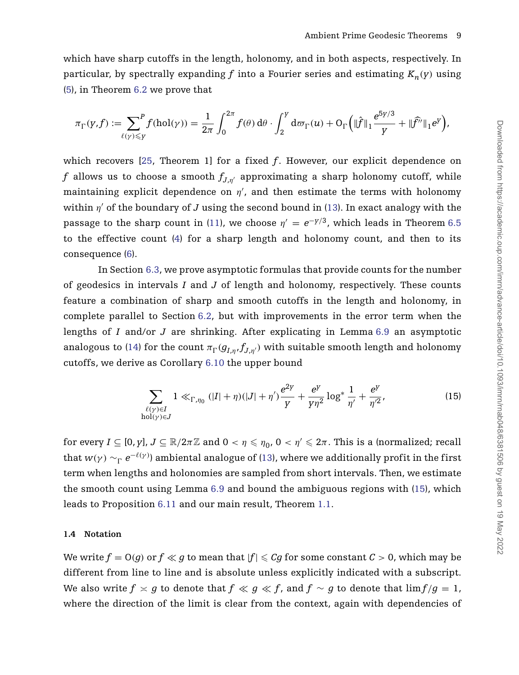which have sharp cutoffs in the length, holonomy, and in both aspects, respectively. In particular, by spectrally expanding f into a Fourier series and estimating  $K_n(y)$  using [\(5\)](#page-3-1), in Theorem [6.2](#page-38-0) we prove that

$$
\pi_{\Gamma}(y,f) := \sum_{\ell(\gamma) \leq y} f(\mathrm{hol}(\gamma)) = \frac{1}{2\pi} \int_0^{2\pi} f(\theta) \, \mathrm{d}\theta \cdot \int_2^y \mathrm{d}\varpi_{\Gamma}(u) + \mathrm{O}_{\Gamma}\Big(\|\hat{f}\|_1 \frac{e^{5y/3}}{y} + \|\widehat{f''}\|_1 e^y\Big),
$$

which recovers [\[25,](#page-48-10) Theorem 1] for a fixed *f*. However, our explicit dependence on *f* allows us to choose a smooth  $f_{J,\eta'}$  approximating a sharp holonomy cutoff, while maintaining explicit dependence on *η* , and then estimate the terms with holonomy within  $\eta'$  of the boundary of *J* using the second bound in [\(13\)](#page-8-0). In exact analogy with the passage to the sharp count in [\(11\)](#page-7-2), we choose  $\eta' = e^{-y/3}$ , which leads in Theorem [6.5](#page-40-0) to the effective count [\(4\)](#page-3-0) for a sharp length and holonomy count, and then to its consequence [\(6\)](#page-4-2).

In Section [6.3,](#page-42-2) we prove asymptotic formulas that provide counts for the number of geodesics in intervals *I* and *J* of length and holonomy, respectively. These counts feature a combination of sharp and smooth cutoffs in the length and holonomy, in complete parallel to Section [6.2,](#page-37-0) but with improvements in the error term when the lengths of *I* and/or *J* are shrinking. After explicating in Lemma [6.9](#page-43-0) an asymptotic analogous to [\(14\)](#page-8-2) for the count  $\pi_{\Gamma}(g_{I,\eta},f_{J,\eta'})$  with suitable smooth length and holonomy cutoffs, we derive as Corollary [6.10](#page-43-1) the upper bound

<span id="page-9-0"></span>
$$
\sum_{\substack{\ell(\gamma)\in I\\ \text{hol}(\gamma)\in J}} 1 \ll_{\Gamma,\eta_0} (|I|+\eta)(|J|+\eta')\frac{e^{2\gamma}}{\gamma} + \frac{e^{\gamma}}{\gamma\eta^2}\log^* \frac{1}{\eta'} + \frac{e^{\gamma}}{\eta'^2},\tag{15}
$$

 $\text{for every } I \subseteq [0, p], J \subseteq \mathbb{R} / 2\pi\mathbb{Z} \text{ and } 0 < \eta \leqslant \eta_0, 0 < \eta' \leqslant 2\pi. \text{ This is a (normalized; recall)}$ that  $w(\gamma) \sim_\Gamma e^{-\ell(\gamma)}$ ) ambiental analogue of [\(13\)](#page-8-0), where we additionally profit in the first term when lengths and holonomies are sampled from short intervals. Then, we estimate the smooth count using Lemma [6.9](#page-43-0) and bound the ambiguous regions with [\(15\)](#page-9-0), which leads to Proposition [6.11](#page-44-0) and our main result, Theorem [1.1.](#page-4-1)

## <span id="page-9-1"></span>**1.4 Notation**

We write  $f = \mathrm{O}(g)$  or  $f \ll g$  to mean that  $|f| \leqslant C g$  for some constant  $\mathcal{C} > 0$ , which may be different from line to line and is absolute unless explicitly indicated with a subscript. We also write  $f \asymp g$  to denote that  $f \ll g \ll f$ , and  $f \sim g$  to denote that  $\lim f/g = 1,$ where the direction of the limit is clear from the context, again with dependencies of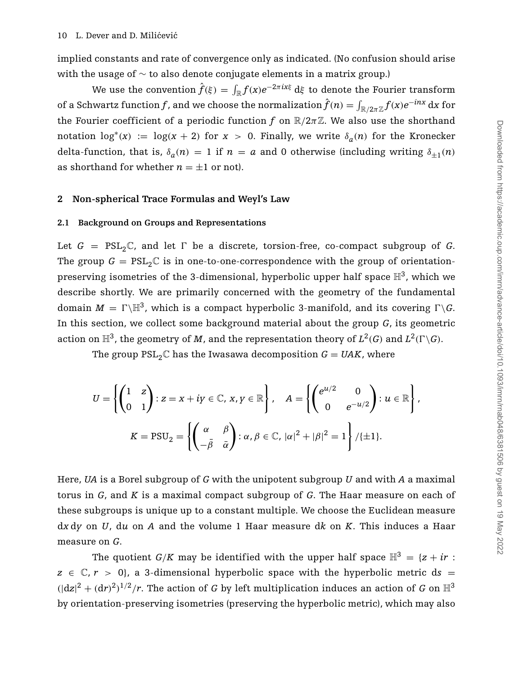implied constants and rate of convergence only as indicated. (No confusion should arise with the usage of ∼ to also denote conjugate elements in a matrix group.)

We use the convention  $\hat{f}(\xi) = \int_{\mathbb{R}} f(x) e^{-2\pi i x \xi} \,\mathrm{d} \xi$  to denote the Fourier transform of a Schwartz function  $f$ , and we choose the normalization  $\hat{f}(n) = \int_{\R/2\pi\Z} f(x) e^{-inx} \,\mathrm{d} x$  for the Fourier coefficient of a periodic function *f* on  $\mathbb{R}/2\pi\mathbb{Z}$ . We also use the shorthand notation  $\log^*(x) := \log(x + 2)$  for  $x > 0$ . Finally, we write  $\delta_a(n)$  for the Kronecker delta-function, that is,  $\delta_a(n) = 1$  if  $n = a$  and 0 otherwise (including writing  $\delta_{+1}(n)$ as shorthand for whether  $n = \pm 1$  or not).

# **2 Non-spherical Trace Formulas and Weyl's Law**

#### <span id="page-10-0"></span>**2.1 Background on Groups and Representations**

Let  $G = PSL_2\mathbb{C}$ , and let  $\Gamma$  be a discrete, torsion-free, co-compact subgroup of  $G$ . The group  $G = PSL_2\mathbb{C}$  is in one-to-one-correspondence with the group of orientationpreserving isometries of the 3-dimensional, hyperbolic upper half space  $\mathbb{H}^3$ , which we describe shortly. We are primarily concerned with the geometry of the fundamental domain  $M = \Gamma \backslash \mathbb{H}^3$ , which is a compact hyperbolic 3-manifold, and its covering  $\Gamma \backslash G$ . In this section, we collect some background material about the group *G*, its geometric action on  $\mathbb{H}^3$ , the geometry of  $M$ , and the representation theory of  $L^2(G)$  and  $L^2(\Gamma \backslash G)$ .

The group  $PSL_2\mathbb{C}$  has the Iwasawa decomposition  $G = UAK$ , where

$$
U = \left\{ \begin{pmatrix} 1 & z \\ 0 & 1 \end{pmatrix} : z = x + iy \in \mathbb{C}, \, x, y \in \mathbb{R} \right\}, \quad A = \left\{ \begin{pmatrix} e^{u/2} & 0 \\ 0 & e^{-u/2} \end{pmatrix} : u \in \mathbb{R} \right\},
$$
\n
$$
K = \text{PSU}_2 = \left\{ \begin{pmatrix} \alpha & \beta \\ -\bar{\beta} & \bar{\alpha} \end{pmatrix} : \alpha, \beta \in \mathbb{C}, \, |\alpha|^2 + |\beta|^2 = 1 \right\} / \{ \pm 1 \}.
$$

Here, *UA* is a Borel subgroup of *G* with the unipotent subgroup *U* and with *A* a maximal torus in *G*, and *K* is a maximal compact subgroup of *G*. The Haar measure on each of these subgroups is unique up to a constant multiple. We choose the Euclidean measure d*x* d*y* on *U*, d*u* on *A* and the volume 1 Haar measure d*k* on *K*. This induces a Haar measure on *G*.

The quotient *G*/*K* may be identified with the upper half space  $\mathbb{H}^3 = \{z + ir :$  $z \in \mathbb{C}, r > 0$ , a 3-dimensional hyperbolic space with the hyperbolic metric ds =  $(|dz|^2 + (dr)^2)^{1/2}/r$ . The action of *G* by left multiplication induces an action of *G* on  $\mathbb{H}^3$ by orientation-preserving isometries (preserving the hyperbolic metric), which may also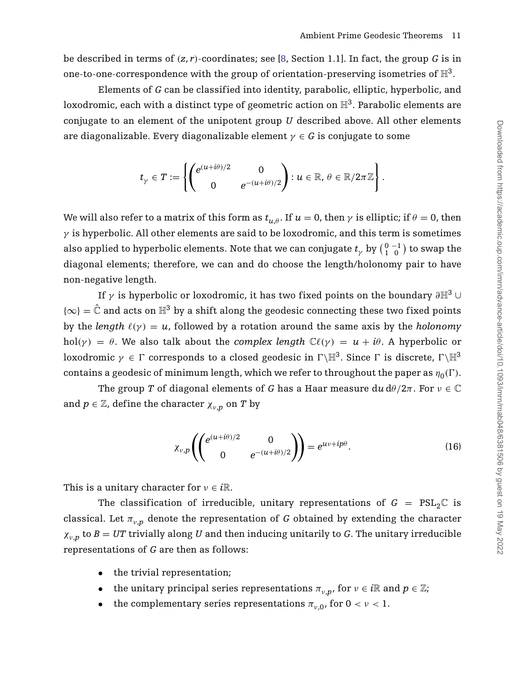be described in terms of  $(z, r)$ -coordinates; see [\[8,](#page-47-9) Section 1.1]. In fact, the group G is in one-to-one-correspondence with the group of orientation-preserving isometries of  $\mathbb{H}^3$ .

Elements of *G* can be classified into identity, parabolic, elliptic, hyperbolic, and loxodromic, each with a distinct type of geometric action on  $\mathbb{H}^3$ . Parabolic elements are conjugate to an element of the unipotent group *U* described above. All other elements are diagonalizable. Every diagonalizable element  $\gamma \in G$  is conjugate to some

$$
t_\gamma \in T := \left\{ \begin{pmatrix} e^{(u + i \theta)/2} & 0 \\ 0 & e^{-(u + i \theta)/2} \end{pmatrix} : u \in \mathbb{R}, \, \theta \in \mathbb{R}/2\pi\mathbb{Z} \right\}.
$$

We will also refer to a matrix of this form as  $t_{u,\theta}$ . If  $u = 0$ , then  $\gamma$  is elliptic; if  $\theta = 0$ , then  $\gamma$  is hyperbolic. All other elements are said to be loxodromic, and this term is sometimes also applied to hyperbolic elements. Note that we can conjugate  $t_{\gamma}$  by  $({0\atop 1}{-1\atop 0})$  to swap the diagonal elements; therefore, we can and do choose the length/holonomy pair to have non-negative length.

If *γ* is hyperbolic or loxodromic, it has two fixed points on the boundary *∂*H<sup>3</sup> ∪  $\{\infty\} = \hat{\mathbb{C}}$  and acts on  $\mathbb{H}^3$  by a shift along the geodesic connecting these two fixed points by the *length*  $\ell(\gamma) = u$ , followed by a rotation around the same axis by the *holonomy* hol( $\gamma$ ) = *θ*. We also talk about the *complex length*  $\mathbb{C}\ell(\gamma) = u + i\theta$ . A hyperbolic or  $\text{loxodromic }\gamma \in \Gamma \text{ corresponds to a closed geodesic in }\Gamma\backslash\mathbb{H}^3. \text{ Since }\Gamma \text{ is discrete, }\Gamma\backslash\mathbb{H}^3.$  $\epsilon$  contains a geodesic of minimum length, which we refer to throughout the paper as  $\eta_0(\Gamma)$ .

The group *T* of diagonal elements of *G* has a Haar measure  $du d\theta/2\pi$ . For  $v \in \mathbb{C}$ and  $p \in \mathbb{Z}$ , define the character  $\chi_{v,p}$  on *T* by

<span id="page-11-0"></span>
$$
\chi_{\nu,p}\left(\begin{pmatrix}e^{(u+i\theta)/2} & 0\\ 0 & e^{-(u+i\theta)/2}\end{pmatrix}\right) = e^{uv+ip\theta}.
$$
\n(16)

This is a unitary character for  $v \in i\mathbb{R}$ .

The classification of irreducible, unitary representations of  $G = PSL_2\mathbb{C}$  is classical. Let  $\pi_{v,n}$  denote the representation of *G* obtained by extending the character  $\chi_{v,p}$  to *B* = *UT* trivially along *U* and then inducing unitarily to *G*. The unitary irreducible representations of *G* are then as follows:

- the trivial representation;
- the unitary principal series representations  $\pi_{v,n}$ , for  $v \in i\mathbb{R}$  and  $p \in \mathbb{Z}$ ;
- the complementary series representations  $\pi_{\nu,0}$ , for  $0 < \nu < 1$ .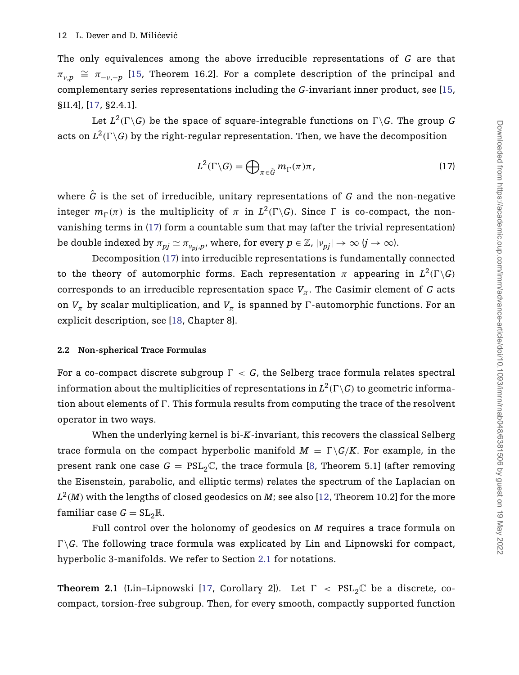The only equivalences among the above irreducible representations of *G* are that  $\pi_{v,n} \cong \pi_{-v,-n}$  [\[15,](#page-48-12) Theorem 16.2]. For a complete description of the principal and complementary series representations including the *G*-invariant inner product, see [\[15,](#page-48-12) §II.4], [\[17,](#page-48-11) §2.4.1].

Let  $L^2(\Gamma \backslash G)$  be the space of square-integrable functions on  $\Gamma \backslash G.$  The group  $G$ acts on  $L^2(\Gamma \backslash G)$  by the right-regular representation. Then, we have the decomposition

<span id="page-12-2"></span>
$$
L^{2}(\Gamma \backslash G) = \bigoplus_{\pi \in \hat{G}} m_{\Gamma}(\pi) \pi, \qquad (17)
$$

where  $\hat{G}$  is the set of irreducible, unitary representations of  $G$  and the non-negative integer  $m_{\Gamma}(\pi)$  is the multiplicity of  $\pi$  in  $L^2(\Gamma \backslash G)$ . Since  $\Gamma$  is co-compact, the nonvanishing terms in [\(17\)](#page-12-2) form a countable sum that may (after the trivial representation) be double indexed by  $\pi_{pj} \simeq \pi_{v_{pji}p}$ , where, for every  $p \in \mathbb{Z}$ ,  $|v_{pj}| \to \infty$   $(j \to \infty)$ .

Decomposition [\(17\)](#page-12-2) into irreducible representations is fundamentally connected to the theory of automorphic forms. Each representation  $\pi$  appearing in  $L^2(\Gamma \backslash G)$ corresponds to an irreducible representation space  $V_\pi$ . The Casimir element of *G* acts on  $V_{\pi}$  by scalar multiplication, and  $V_{\pi}$  is spanned by  $\Gamma$ -automorphic functions. For an explicit description, see [\[18,](#page-48-13) Chapter 8].

# <span id="page-12-1"></span>**2.2 Non-spherical Trace Formulas**

For a co-compact discrete subgroup  $\Gamma < G$ , the Selberg trace formula relates spectral information about the multiplicities of representations in  $L^2(\Gamma \backslash G)$  to geometric information about elements of  $\Gamma.$  This formula results from computing the trace of the resolvent operator in two ways.

When the underlying kernel is bi-*K*-invariant, this recovers the classical Selberg trace formula on the compact hyperbolic manifold  $M = \Gamma \backslash G/K$ . For example, in the present rank one case  $G = PSL_2\mathbb{C}$ , the trace formula [\[8,](#page-47-9) Theorem 5.1] (after removing the Eisenstein, parabolic, and elliptic terms) relates the spectrum of the Laplacian on  $L^2(M)$  with the lengths of closed geodesics on *M*; see also [\[12,](#page-47-10) Theorem 10.2] for the more familiar case  $G = SL_2\mathbb{R}$ .

Full control over the holonomy of geodesics on *M* requires a trace formula on  $\Gamma \backslash G$ . The following trace formula was explicated by Lin and Lipnowski for compact, hyperbolic 3-manifolds. We refer to Section [2.1](#page-10-0) for notations.

<span id="page-12-0"></span>**Theorem 2.1** (Lin–Lipnowski [\[17,](#page-48-11) Corollary 2]). Let  $\Gamma$  <  $PSL_2\mathbb{C}$  be a discrete, cocompact, torsion-free subgroup. Then, for every smooth, compactly supported function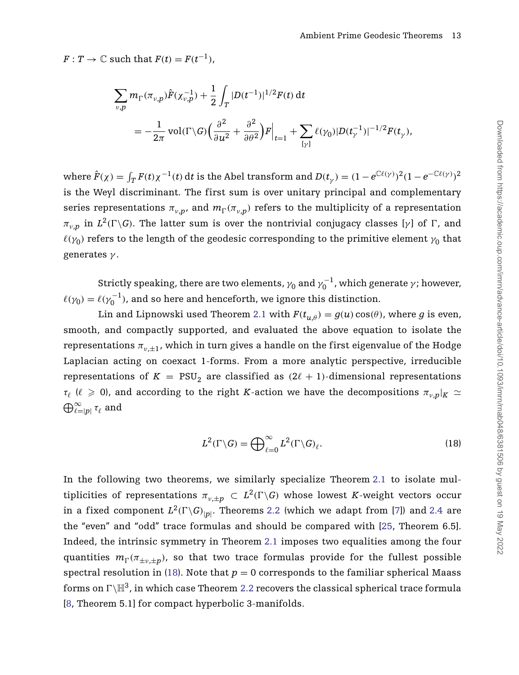$F: T \to \mathbb{C}$  such that  $F(t) = F(t^{-1})$ ,

$$
\begin{split} \sum_{v,p} m_{\Gamma}(\pi_{v,p}) \hat{F}(\chi_{v,p}^{-1}) + \frac{1}{2} \int_{T} |D(t^{-1})|^{1/2} F(t) dt \\ = & - \frac{1}{2\pi} \operatorname{vol}(\Gamma \backslash G) \Big( \frac{\partial^2}{\partial u^2} + \frac{\partial^2}{\partial \theta^2} \Big) F \Big|_{t=1} + \sum_{[\gamma]} \ell(\gamma_0) |D(t_{\gamma}^{-1})|^{-1/2} F(t_{\gamma}), \end{split}
$$

where  $\hat{F}(\chi)=\int_T F(t)\chi^{-1}(t)\,dt$  is the Abel transform and  $D(t_{\gamma})=(1-e^{\mathbb{C}\ell(\gamma)})^2(1-e^{-\mathbb{C}\ell(\gamma)})^2$ is the Weyl discriminant. The first sum is over unitary principal and complementary series representations  $\pi_{v,p}$ , and  $m_{\Gamma}(\pi_{v,p})$  refers to the multiplicity of a representation  $\pi_{v,p}$  in  $L^2(\Gamma \backslash G)$ . The latter sum is over the nontrivial conjugacy classes [*γ*] of  $\Gamma$ , and  $\ell(\gamma_0)$  refers to the length of the geodesic corresponding to the primitive element  $\gamma_0$  that generates *γ* .

Strictly speaking, there are two elements,  $\gamma_0$  and  $\gamma_0^{-1}$ , which generate  $\gamma$ ; however,  $\ell(\gamma_0) = \ell(\gamma_0^{-1})$ , and so here and henceforth, we ignore this distinction.

Lin and Lipnowski used Theorem [2.1](#page-12-0) with  $F(t_{u,\theta}) = g(u) \cos(\theta)$ , where *g* is even, smooth, and compactly supported, and evaluated the above equation to isolate the representations  $\pi_{v,+1}$ , which in turn gives a handle on the first eigenvalue of the Hodge Laplacian acting on coexact 1-forms. From a more analytic perspective, irreducible representations of  $K = \text{PSU}_2$  are classified as  $(2\ell + 1)$ -dimensional representations  $\tau_{\ell}$  ( $\ell \ge 0$ ), and according to the right *K*-action we have the decompositions  $\pi_{\nu,n}|_K \simeq$  $\bigoplus_{\ell = |p|}^{\infty}$  *τ<sub>ℓ</sub>* and

<span id="page-13-0"></span>
$$
L^{2}(\Gamma \backslash G) = \bigoplus_{\ell=0}^{\infty} L^{2}(\Gamma \backslash G)_{\ell}.
$$
 (18)

In the following two theorems, we similarly specialize Theorem [2.1](#page-12-0) to isolate multiplicities of representations  $\pi_{v,\pm p} \,\subset\, L^2(\Gamma\backslash G)$  whose lowest  $K$ -weight vectors occur in a fixed component  $L^2(\Gamma \backslash G)_{|p|}.$  Theorems [2.2](#page-14-0) (which we adapt from [\[7\]](#page-47-11)) and [2.4](#page-16-0) are the "even" and "odd" trace formulas and should be compared with [\[25,](#page-48-2) Theorem 6.5]. Indeed, the intrinsic symmetry in Theorem [2.1](#page-12-0) imposes two equalities among the four  $\eta_{\Gamma}$  ( $\pi_{\pm\nu,\pm p}$ ), so that two trace formulas provide for the fullest possible spectral resolution in [\(18\)](#page-13-0). Note that  $p = 0$  corresponds to the familiar spherical Maass forms on  $\Gamma\backslash\mathbb{H}^3$ , in which case Theorem [2.2](#page-14-0) recovers the classical spherical trace formula [\[8,](#page-47-9) Theorem 5.1] for compact hyperbolic 3-manifolds.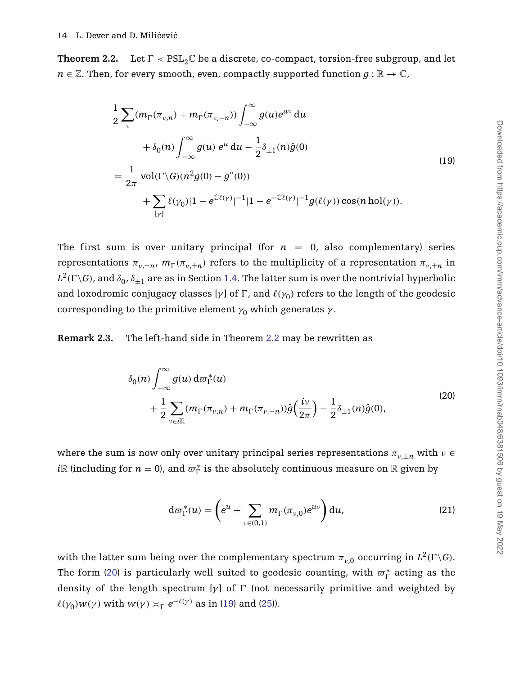<span id="page-14-0"></span>**Theorem 2.2.** Let  $\Gamma < \text{PSL}_2\mathbb{C}$  be a discrete, co-compact, torsion-free subgroup, and let  $n \in \mathbb{Z}$ . Then, for every smooth, even, compactly supported function  $g : \mathbb{R} \to \mathbb{C}$ ,

<span id="page-14-3"></span>
$$
\frac{1}{2} \sum_{\nu} (m_{\Gamma}(\pi_{\nu,n}) + m_{\Gamma}(\pi_{\nu,-n})) \int_{-\infty}^{\infty} g(u)e^{uv} du
$$
  
+  $\delta_0(n) \int_{-\infty}^{\infty} g(u) e^{u} du - \frac{1}{2} \delta_{\pm 1}(n)\hat{g}(0)$   
=  $\frac{1}{2\pi} \text{vol}(\Gamma \backslash G)(n^2 g(0) - g''(0))$   
+  $\sum_{[\gamma]} \ell(\gamma_0) |1 - e^{\mathbb{C}\ell(\gamma)}|^{-1} |1 - e^{-\mathbb{C}\ell(\gamma)}|^{-1} g(\ell(\gamma)) \cos(n \text{ hol}(\gamma)).$  (19)

The first sum is over unitary principal (for  $n = 0$ , also complementary) series representations  $\pi_{v,\pm n}$ ,  $m_\Gamma(\pi_{v,\pm n})$  refers to the multiplicity of a representation  $\pi_{v,\pm n}$  in  $L^2(\Gamma \backslash G)$ , and  $\delta_0$ ,  $\delta_{\pm 1}$  are as in Section [1.4.](#page-9-1) The latter sum is over the nontrivial hyperbolic and loxodromic conjugacy classes [ $γ$ ] of  $Γ$ , and  $\ell(γ_0)$  refers to the length of the geodesic corresponding to the primitive element  $\gamma_0$  which generates  $\gamma$ .

**Remark 2.3.** The left-hand side in Theorem [2.2](#page-14-0) may be rewritten as

<span id="page-14-1"></span>
$$
\delta_0(n) \int_{-\infty}^{\infty} g(u) d\varpi_{\Gamma}^*(u) + \frac{1}{2} \sum_{v \in i\mathbb{R}} (m_{\Gamma}(\pi_{v,n}) + m_{\Gamma}(\pi_{v,-n})) \hat{g}\left(\frac{iv}{2\pi}\right) - \frac{1}{2} \delta_{\pm 1}(n) \hat{g}(0),
$$
\n(20)

where the sum is now only over unitary principal series representations  $\pi_{v,+n}$  with  $v \in$  $i\mathbb{R}$  (including for  $n = 0$ ), and  $\varpi_{\Gamma}^{*}$  is the absolutely continuous measure on  $\mathbb{R}$  given by

<span id="page-14-2"></span>
$$
\mathrm{d}\varpi_{\Gamma}^*(u) = \left(e^u + \sum_{v \in (0,1)} m_{\Gamma}(\pi_{v,0}) e^{uv}\right) \mathrm{d}u, \tag{21}
$$

with the latter sum being over the complementary spectrum  $\pi_{\nu,0}$  occurring in  $L^2(\Gamma \backslash G)$ . The form [\(20\)](#page-14-1) is particularly well suited to geodesic counting, with  $\varpi_{\Gamma}^{*}$  acting as the density of the length spectrum [ $γ$ ] of Γ (not necessarily primitive and weighted by  $\ell(\gamma_0)w(\gamma)$  with  $w(\gamma) \asymp_{\Gamma} e^{-\ell(\gamma)}$  as in [\(19\)](#page-14-3) and [\(25\)](#page-19-0)).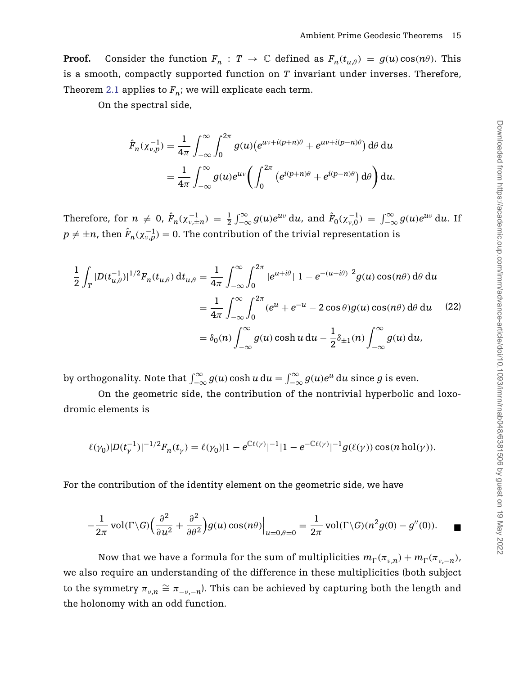**Proof.** Consider the function  $F_n : T \to \mathbb{C}$  defined as  $F_n(t_{u,\theta}) = g(u) \cos(n\theta)$ . This is a smooth, compactly supported function on *T* invariant under inverses. Therefore, Theorem [2.1](#page-12-0) applies to  $F_n$ ; we will explicate each term.

On the spectral side,

<span id="page-15-0"></span>
$$
\hat{F}_n(\chi_{\nu,p}^{-1}) = \frac{1}{4\pi} \int_{-\infty}^{\infty} \int_0^{2\pi} g(u) (e^{uv + i(p+n)\theta} + e^{uv + i(p-n)\theta}) d\theta du
$$
  
= 
$$
\frac{1}{4\pi} \int_{-\infty}^{\infty} g(u) e^{uv} \left( \int_0^{2\pi} (e^{i(p+n)\theta} + e^{i(p-n)\theta}) d\theta \right) du.
$$

Therefore, for  $n \neq 0$ ,  $\hat{F}_n(\chi_{\nu,\pm n}^{-1}) = \frac{1}{2} \int_{-\infty}^{\infty} g(u)e^{uv} du$ , and  $\hat{F}_0(\chi_{\nu,0}^{-1}) = \int_{-\infty}^{\infty} g(u)e^{uv} du$ . If  $p \neq \pm n$ , then  $\hat{F}_n(\chi^{-1}_{\nu, p}) = 0.$  The contribution of the trivial representation is

$$
\frac{1}{2} \int_{T} |D(t_{u,\theta}^{-1})|^{1/2} F_n(t_{u,\theta}) dt_{u,\theta} = \frac{1}{4\pi} \int_{-\infty}^{\infty} \int_{0}^{2\pi} |e^{u+i\theta}| |1 - e^{-(u+i\theta)}|^2 g(u) \cos(n\theta) d\theta du
$$

$$
= \frac{1}{4\pi} \int_{-\infty}^{\infty} \int_{0}^{2\pi} (e^u + e^{-u} - 2 \cos \theta) g(u) \cos(n\theta) d\theta du \qquad (22)
$$

$$
= \delta_0(n) \int_{-\infty}^{\infty} g(u) \cosh u du - \frac{1}{2} \delta_{\pm 1}(n) \int_{-\infty}^{\infty} g(u) du,
$$

by orthogonality. Note that  $\int_{-\infty}^{\infty} g(u) \cosh u \, \mathrm{d}u = \int_{-\infty}^{\infty} g(u) e^u \, \mathrm{d}u$  since  $g$  is even.

On the geometric side, the contribution of the nontrivial hyperbolic and loxodromic elements is

$$
\ell(\gamma_0)|D(t_{\gamma}^{-1})|^{-1/2}F_n(t_{\gamma})=\ell(\gamma_0)|1-e^{\mathbb{C}\ell(\gamma)}|^{-1}|1-e^{-\mathbb{C}\ell(\gamma)}|^{-1}g(\ell(\gamma))\cos(n\operatorname{hol}(\gamma)).
$$

For the contribution of the identity element on the geometric side, we have

$$
-\frac{1}{2\pi}\operatorname{vol}(\Gamma\setminus G)\left(\frac{\partial^2}{\partial u^2}+\frac{\partial^2}{\partial \theta^2}\right)g(u)\cos(n\theta)\Big|_{u=0,\theta=0}=\frac{1}{2\pi}\operatorname{vol}(\Gamma\setminus G)(n^2g(0)-g''(0)).\quad \blacksquare
$$

Now that we have a formula for the sum of multiplicities  $m_{\Gamma}(\pi_{v,n}) + m_{\Gamma}(\pi_{v,-n})$ we also require an understanding of the difference in these multiplicities (both subject to the symmetry  $\pi_{v,n} \cong \pi_{-v,-n}$ ). This can be achieved by capturing both the length and the holonomy with an odd function.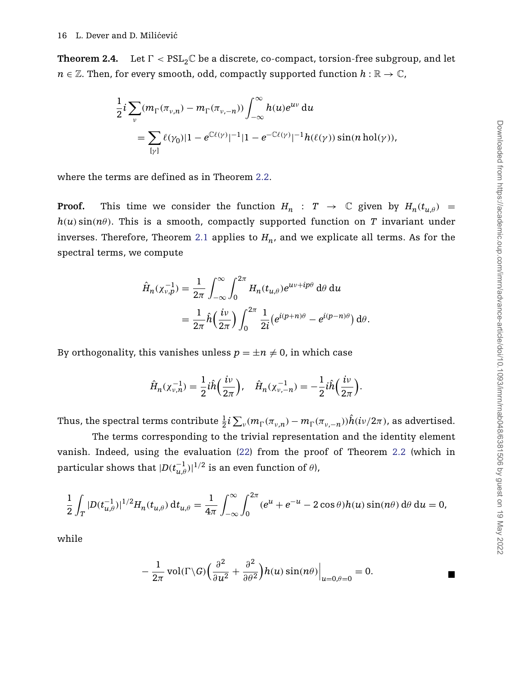<span id="page-16-0"></span>**Theorem 2.4.** Let  $\Gamma < \text{PSL}_2\mathbb{C}$  be a discrete, co-compact, torsion-free subgroup, and let  $n \in \mathbb{Z}$ . Then, for every smooth, odd, compactly supported function  $h : \mathbb{R} \to \mathbb{C}$ ,

$$
\frac{1}{2}i\sum_{v}(m_{\Gamma}(\pi_{v,n}) - m_{\Gamma}(\pi_{v,-n}))\int_{-\infty}^{\infty}h(u)e^{uv} du
$$
  
= 
$$
\sum_{[\gamma]} \ell(\gamma_0)|1 - e^{C\ell(\gamma)}|^{-1}|1 - e^{-C\ell(\gamma)}|^{-1}h(\ell(\gamma))\sin(n \text{ hol}(\gamma)),
$$

where the terms are defined as in Theorem [2.2.](#page-14-0)

**Proof.** This time we consider the function  $H_n$ :  $T \rightarrow \mathbb{C}$  given by  $H_n(t_{u,\theta})$  =  $h(u)$  sin $(n\theta)$ . This is a smooth, compactly supported function on *T* invariant under inverses. Therefore, Theorem [2.1](#page-12-0) applies to  $H_n$ , and we explicate all terms. As for the spectral terms, we compute

$$
\hat{H}_n(\chi_{\nu,p}^{-1}) = \frac{1}{2\pi} \int_{-\infty}^{\infty} \int_0^{2\pi} H_n(t_{u,\theta}) e^{uv + ip\theta} d\theta du
$$

$$
= \frac{1}{2\pi} \hat{h} \left(\frac{iv}{2\pi}\right) \int_0^{2\pi} \frac{1}{2i} \left(e^{i(p+n)\theta} - e^{i(p-n)\theta}\right) d\theta.
$$

By orthogonality, this vanishes unless  $p = \pm n \neq 0$ , in which case

$$
\hat{H}_n(\chi_{\nu,n}^{-1}) = \frac{1}{2} i \hat{h} \left( \frac{i\nu}{2\pi} \right), \quad \hat{H}_n(\chi_{\nu,-n}^{-1}) = -\frac{1}{2} i \hat{h} \left( \frac{i\nu}{2\pi} \right).
$$

Thus, the spectral terms contribute  $\frac{1}{2}i\sum_{\nu}(m_{\Gamma}(\pi_{\nu,n})-m_{\Gamma}(\pi_{\nu,-n}))\hat{h}(i\nu/2\pi)$ , as advertised.

The terms corresponding to the trivial representation and the identity element vanish. Indeed, using the evaluation [\(22\)](#page-15-0) from the proof of Theorem [2.2](#page-14-0) (which in  ${\rm particular \ shows \ that \ } |D(t_{u,\theta}^{-1})|^{1/2} \ {\rm is \ an \ even \ function \ of \ } \theta),$ 

$$
\frac{1}{2}\int_{T} |D(t_{u,\theta}^{-1})|^{1/2} H_n(t_{u,\theta}) dt_{u,\theta} = \frac{1}{4\pi} \int_{-\infty}^{\infty} \int_{0}^{2\pi} (e^u + e^{-u} - 2\cos\theta) h(u) \sin(n\theta) d\theta du = 0,
$$

while

$$
-\frac{1}{2\pi}\operatorname{vol}(\Gamma\backslash G)\left(\frac{\partial^2}{\partial u^2}+\frac{\partial^2}{\partial \theta^2}\right)h(u)\sin(n\theta)\Big|_{u=0,\theta=0}=0.
$$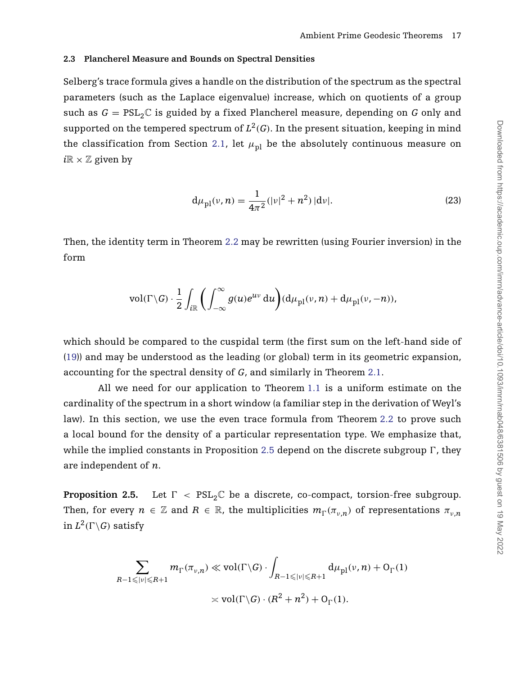### **2.3 Plancherel Measure and Bounds on Spectral Densities**

Selberg's trace formula gives a handle on the distribution of the spectrum as the spectral parameters (such as the Laplace eigenvalue) increase, which on quotients of a group such as  $G = PSL_2\mathbb{C}$  is guided by a fixed Plancherel measure, depending on G only and supported on the tempered spectrum of  $L^2(G)$ . In the present situation, keeping in mind the classification from Section [2.1,](#page-10-0) let  $\mu_{nl}$  be the absolutely continuous measure on  $i\mathbb{R} \times \mathbb{Z}$  given by

<span id="page-17-1"></span>
$$
d\mu_{\rm pl}(\nu, n) = \frac{1}{4\pi^2} (|\nu|^2 + n^2) |d\nu|.
$$
 (23)

Then, the identity term in Theorem [2.2](#page-14-0) may be rewritten (using Fourier inversion) in the form

$$
\text{vol}(\Gamma \backslash G) \cdot \frac{1}{2} \int_{i\mathbb{R}} \left( \int_{-\infty}^{\infty} g(u)e^{uv} \, \mathrm{d}u \right) (\mathrm{d}\mu_{\text{pl}}(v, n) + \mathrm{d}\mu_{\text{pl}}(v, -n)),
$$

which should be compared to the cuspidal term (the first sum on the left-hand side of [\(19\)](#page-14-3)) and may be understood as the leading (or global) term in its geometric expansion, accounting for the spectral density of *G*, and similarly in Theorem [2.1.](#page-12-0)

All we need for our application to Theorem [1.1](#page-4-1) is a uniform estimate on the cardinality of the spectrum in a short window (a familiar step in the derivation of Weyl's law). In this section, we use the even trace formula from Theorem [2.2](#page-14-0) to prove such a local bound for the density of a particular representation type. We emphasize that, while the implied constants in Proposition [2.5](#page-17-0) depend on the discrete subgroup  $\Gamma$ , they are independent of *n*.

<span id="page-17-0"></span>**Proposition 2.5.** Let  $\Gamma$  <  $PSL_2\mathbb{C}$  be a discrete, co-compact, torsion-free subgroup. Then, for every  $n \in \mathbb{Z}$  and  $R \in \mathbb{R}$ , the multiplicities  $m_{\Gamma}(\pi_{\nu,n})$  of representations  $\pi_{\nu,n}$  $\operatorname{in} L^2(\Gamma\backslash G)$  satisfy

$$
\sum_{R-1 \leqslant |v| \leqslant R+1} m_{\Gamma}(\pi_{v,n}) \ll \text{vol}(\Gamma \backslash G) \cdot \int_{R-1 \leqslant |v| \leqslant R+1} d\mu_{\text{pl}}(v,n) + O_{\Gamma}(1)
$$

$$
\asymp \text{vol}(\Gamma \backslash G) \cdot (R^2 + n^2) + O_{\Gamma}(1).
$$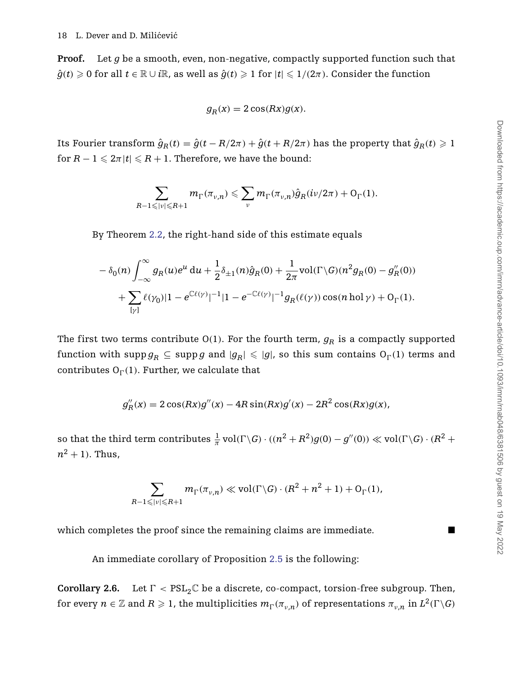**Proof.** Let *g* be a smooth, even, non-negative, compactly supported function such that  $\hat{g}(t)\geqslant 0$  for all  $t\in\mathbb{R}\cup i\mathbb{R}$ , as well as  $\hat{g}(t)\geqslant 1$  for  $|t|\leqslant 1/(2\pi).$  Consider the function

$$
g_R(x) = 2\cos(Rx)g(x).
$$

Its Fourier transform  $\hat{g}_R(t) = \hat{g}(t - R/2\pi) + \hat{g}(t + R/2\pi)$  has the property that  $\hat{g}_R(t) \ge 1$  ${\rm for} \ R - 1 \leqslant 2\pi |t| \leqslant R + 1.$  Therefore, we have the bound:

$$
\sum_{R-1 \leqslant |v| \leqslant R+1} m_{\Gamma}(\pi_{v,n}) \leqslant \sum_{v} m_{\Gamma}(\pi_{v,n}) \hat{g}_{R}(i\nu/2\pi) + O_{\Gamma}(1).
$$

By Theorem [2.2,](#page-14-0) the right-hand side of this estimate equals

$$
-\delta_0(n)\int_{-\infty}^{\infty}g_R(u)e^u du + \frac{1}{2}\delta_{\pm 1}(n)\hat{g}_R(0) + \frac{1}{2\pi}\text{vol}(\Gamma\setminus G)(n^2g_R(0) - g_R''(0)) + \sum_{[\gamma]} \ell(\gamma_0)|1 - e^{\mathbb{C}\ell(\gamma)}|^{-1}|1 - e^{-\mathbb{C}\ell(\gamma)}|^{-1}g_R(\ell(\gamma))\cos(n \text{ hol }\gamma) + \mathcal{O}_{\Gamma}(1).
$$

The first two terms contribute  $O(1)$ . For the fourth term,  $g_R$  is a compactly supported  ${\rm function\ with\ } \operatorname{supp} g_R \subseteq \operatorname{supp} g \text{ and } |g_R| \leqslant |g|, \text{ so this sum contains } O_\Gamma(1) \text{ terms and }$ contributes  $O_{\Gamma}(1)$ . Further, we calculate that

$$
g''_R(x) = 2\cos(Rx)g''(x) - 4R\sin(Rx)g'(x) - 2R^2\cos(Rx)g(x),
$$

so that the third term contributes  $\frac{1}{\pi}$  vol( $\Gamma \backslash G$ )  $\cdot$   $((n^2 + R^2)g(0) - g''(0)) \ll \text{vol}(\Gamma \backslash G) \cdot (R^2 + R^2)$  $n^2 + 1$ ). Thus,

$$
\sum_{R-1 \leqslant |\nu| \leqslant R+1} m_{\Gamma}(\pi_{\nu,n}) \ll \text{vol}(\Gamma \backslash G) \cdot (R^2 + n^2 + 1) + O_{\Gamma}(1),
$$

which completes the proof since the remaining claims are immediate.

An immediate corollary of Proposition [2.5](#page-17-0) is the following:

**Corollary 2.6.** Let  $\Gamma < \text{PSL}_2\mathbb{C}$  be a discrete, co-compact, torsion-free subgroup. Then,  $f$  for every  $n\in\mathbb{Z}$  and  $R\geqslant 1$ , the multiplicities  $m_{\Gamma}(\pi_{v,n})$  of representations  $\pi_{v,n}$  in  $L^2(\Gamma\backslash G)$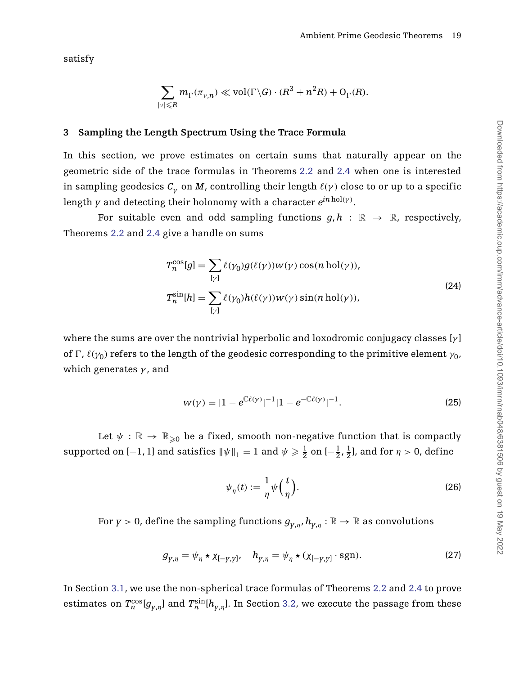satisfy

$$
\sum_{|\nu| \leq R} m_{\Gamma}(\pi_{\nu,n}) \ll \text{vol}(\Gamma \backslash G) \cdot (R^3 + n^2 R) + O_{\Gamma}(R).
$$

# <span id="page-19-4"></span>**3 Sampling the Length Spectrum Using the Trace Formula**

In this section, we prove estimates on certain sums that naturally appear on the geometric side of the trace formulas in Theorems [2.2](#page-14-0) and [2.4](#page-16-0) when one is interested in sampling geodesics  $C_\gamma$  on *M*, controlling their length  $\ell(\gamma)$  close to or up to a specific length *y* and detecting their holonomy with a character *ein*hol*(γ)*.

For suitable even and odd sampling functions  $q, h : \mathbb{R} \to \mathbb{R}$ , respectively, Theorems [2.2](#page-14-0) and [2.4](#page-16-0) give a handle on sums

<span id="page-19-1"></span>
$$
T_n^{\cos}[g] = \sum_{[\gamma]} \ell(\gamma_0) g(\ell(\gamma)) w(\gamma) \cos(n \operatorname{hol}(\gamma)),
$$
  
\n
$$
T_n^{\sin}[h] = \sum_{[\gamma]} \ell(\gamma_0) h(\ell(\gamma)) w(\gamma) \sin(n \operatorname{hol}(\gamma)),
$$
\n(24)

where the sums are over the nontrivial hyperbolic and loxodromic conjugacy classes [*γ* ] of Γ,  $\ell(\gamma_0)$  refers to the length of the geodesic corresponding to the primitive element  $\gamma_0$ , which generates *γ* , and

<span id="page-19-0"></span>
$$
w(\gamma) = |1 - e^{\mathbb{C}\ell(\gamma)}|^{-1}|1 - e^{-\mathbb{C}\ell(\gamma)}|^{-1}.
$$
 (25)

Let  $\psi : \mathbb{R} \to \mathbb{R}_{\geq 0}$  be a fixed, smooth non-negative function that is compactly supported on  $[-1, 1]$  and satisfies  $\|\psi\|_1 = 1$  and  $\psi \geqslant \frac{1}{2}$  on  $[-\frac{1}{2}, \frac{1}{2}]$ , and for  $\eta > 0$ , define

<span id="page-19-3"></span><span id="page-19-2"></span>
$$
\psi_{\eta}(t) := \frac{1}{\eta} \psi\left(\frac{t}{\eta}\right). \tag{26}
$$

For *y* > 0, define the sampling functions  $g_{v,n}$ ,  $h_{v,n}$  :  $\mathbb{R} \to \mathbb{R}$  as convolutions

$$
g_{y,\eta} = \psi_{\eta} \star \chi_{[-y,y]}, \quad h_{y,\eta} = \psi_{\eta} \star (\chi_{[-y,y]} \cdot \text{sgn}). \tag{27}
$$

In Section [3.1,](#page-20-1) we use the non-spherical trace formulas of Theorems [2.2](#page-14-0) and [2.4](#page-16-0) to prove estimates on  $T_n^{\cos}[g_{y,\eta}]$  and  $T_n^{\sin}[h_{y,\eta}]$ . In Section [3.2,](#page-22-1) we execute the passage from these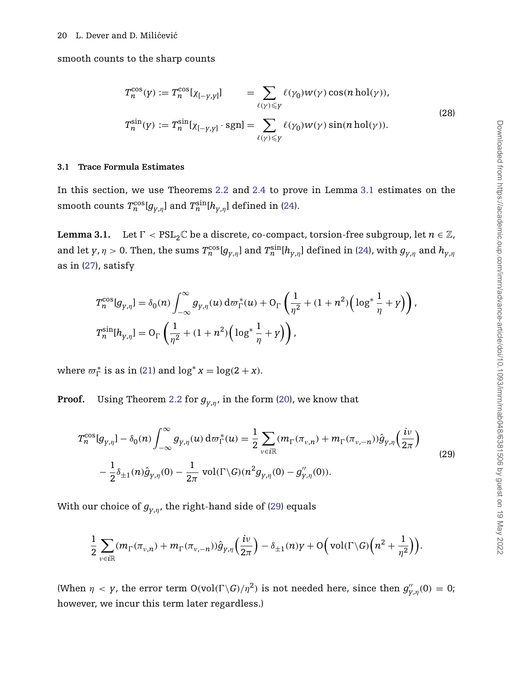smooth counts to the sharp counts

<span id="page-20-3"></span>
$$
T_n^{\cos}(y) := T_n^{\cos}[\chi_{[-\gamma,\gamma]}] \qquad = \sum_{\ell(\gamma) \leq y} \ell(\gamma_0) w(\gamma) \cos(n \text{ hol}(\gamma)),
$$
  

$$
T_n^{\sin}(y) := T_n^{\sin}[\chi_{[-\gamma,\gamma]} \cdot \text{sgn}] = \sum_{\ell(\gamma) \leq y} \ell(\gamma_0) w(\gamma) \sin(n \text{ hol}(\gamma)).
$$
 (28)

#### <span id="page-20-1"></span>**3.1 Trace Formula Estimates**

In this section, we use Theorems [2.2](#page-14-0) and [2.4](#page-16-0) to prove in Lemma [3.1](#page-20-0) estimates on the smooth counts  $T^{\cos}_{n}[g_{y,\eta}]$  and  $T^{\sin}_{n}[h_{y,\eta}]$  defined in [\(24\)](#page-19-1).

<span id="page-20-0"></span>**Lemma 3.1.** Let  $\Gamma < \text{PSL}_2\mathbb{C}$  be a discrete, co-compact, torsion-free subgroup, let  $n \in \mathbb{Z}$ , and let  $y$ ,  $\eta > 0$ . Then, the sums  $T_n^{\cos}[g_{y,\eta}]$  and  $T_n^{\sin}[h_{y,\eta}]$  defined in [\(24\)](#page-19-1), with  $g_{y,\eta}$  and  $h_{y,\eta}$ as in [\(27\)](#page-19-2), satisfy

$$
T_n^{\cos}[g_{\gamma,\eta}] = \delta_0(n) \int_{-\infty}^{\infty} g_{\gamma,\eta}(u) d\sigma_{\Gamma}^*(u) + O_{\Gamma}\left(\frac{1}{\eta^2} + (1 + n^2) \left(\log^* \frac{1}{\eta} + \gamma\right)\right),
$$
  

$$
T_n^{\sin}[h_{\gamma,\eta}] = O_{\Gamma}\left(\frac{1}{\eta^2} + (1 + n^2) \left(\log^* \frac{1}{\eta} + \gamma\right)\right),
$$

where  $\varpi_{\Gamma}^{*}$  is as in [\(21\)](#page-14-2) and  $\log^{*} x = \log(2 + x)$ .

**Proof.** Using Theorem [2.2](#page-14-0) for  $g_{v,n}$ , in the form [\(20\)](#page-14-1), we know that

<span id="page-20-2"></span>
$$
T_n^{\cos}[g_{y,\eta}] - \delta_0(n) \int_{-\infty}^{\infty} g_{y,\eta}(u) d\sigma_{\Gamma}^*(u) = \frac{1}{2} \sum_{v \in i\mathbb{R}} (m_{\Gamma}(\pi_{v,n}) + m_{\Gamma}(\pi_{v,-n})) \hat{g}_{y,\eta}(\frac{iv}{2\pi})
$$
  

$$
- \frac{1}{2} \delta_{\pm 1}(n) \hat{g}_{y,\eta}(0) - \frac{1}{2\pi} \operatorname{vol}(\Gamma \backslash G)(n^2 g_{y,\eta}(0) - g_{y,\eta}^{"}(0)).
$$
 (29)

With our choice of  $g_{v,n}$ , the right-hand side of [\(29\)](#page-20-2) equals

$$
\frac{1}{2}\sum_{v\in i\mathbb{R}}(m_{\Gamma}(\pi_{v,n})+m_{\Gamma}(\pi_{v,-n}))\hat{g}_{y,\eta}\left(\frac{iv}{2\pi}\right)-\delta_{\pm 1}(n)y+O\Big(\text{vol}(\Gamma\backslash G)\Big(n^2+\frac{1}{\eta^2}\Big)\Big).
$$

(When  $\eta$  < *y*, the error term  $O(\text{vol}(\Gamma \backslash G)/\eta^2)$  is not needed here, since then  $g''_{y,\eta}(0) = 0$ ; however, we incur this term later regardless.)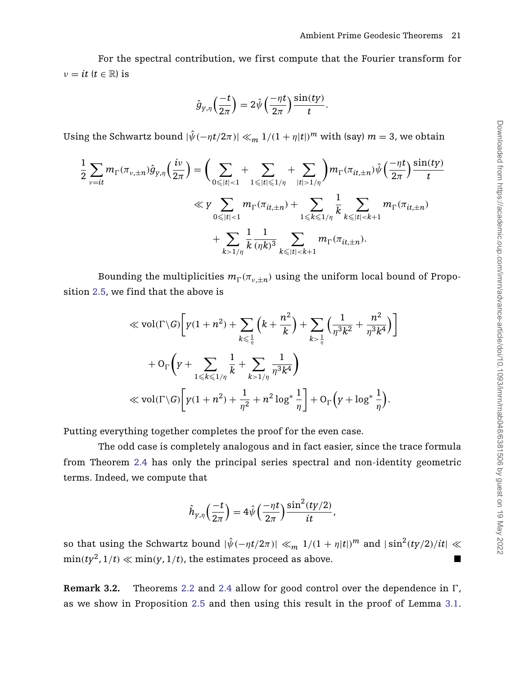For the spectral contribution, we first compute that the Fourier transform for  $\nu = it$  ( $t \in \mathbb{R}$ ) is

$$
\hat{g}_{y,\eta}\Big(\frac{-t}{2\pi}\Big)=2\hat{\psi}\Big(\frac{-\eta t}{2\pi}\Big)\frac{\sin(ty)}{t}.
$$

Using the Schwartz bound  $|\hat{\psi}(-\eta t/2\pi)| \ll_m 1/(1 + \eta|t|)^m$  with (say)  $m = 3$ , we obtain

$$
\frac{1}{2} \sum_{v=it} m_{\Gamma}(\pi_{v,\pm n}) \hat{g}_{y,\eta}(\frac{iv}{2\pi}) = \left(\sum_{0 \leq |t| < 1} + \sum_{1 \leq |t| \leq 1/\eta} + \sum_{|t| > 1/\eta} \right) m_{\Gamma}(\pi_{it,\pm n}) \hat{\psi}(\frac{-\eta t}{2\pi}) \frac{\sin(ty)}{t} \\
\ll y \sum_{0 \leq |t| < 1} m_{\Gamma}(\pi_{it,\pm n}) + \sum_{1 \leq k \leq 1/\eta} \frac{1}{k} \sum_{k \leq |t| < k+1} m_{\Gamma}(\pi_{it,\pm n}) \\
+ \sum_{k > 1/\eta} \frac{1}{k} \frac{1}{(\eta k)^3} \sum_{k \leq |t| < k+1} m_{\Gamma}(\pi_{it,\pm n}).
$$

Bounding the multiplicities  $m_{\Gamma}(\pi_{\nu,\pm n})$  using the uniform local bound of Proposition [2.5,](#page-17-0) we find that the above is

$$
\ll \text{vol}(\Gamma \backslash G) \bigg[ y(1+n^2) + \sum_{k \leq \frac{1}{\eta}} \left( k + \frac{n^2}{k} \right) + \sum_{k > \frac{1}{\eta}} \left( \frac{1}{\eta^3 k^2} + \frac{n^2}{\eta^3 k^4} \right) \bigg] + O_{\Gamma} \bigg( y + \sum_{1 \leq k \leq 1/\eta} \frac{1}{k} + \sum_{k > 1/\eta} \frac{1}{\eta^3 k^4} \bigg) \ll \text{vol}(\Gamma \backslash G) \bigg[ y(1+n^2) + \frac{1}{\eta^2} + n^2 \log^* \frac{1}{\eta} \bigg] + O_{\Gamma} \bigg( y + \log^* \frac{1}{\eta} \bigg).
$$

Putting everything together completes the proof for the even case.

The odd case is completely analogous and in fact easier, since the trace formula from Theorem [2.4](#page-16-0) has only the principal series spectral and non-identity geometric terms. Indeed, we compute that

$$
\hat{h}_{y,\eta}\left(\frac{-t}{2\pi}\right) = 4\hat{\psi}\left(\frac{-\eta t}{2\pi}\right) \frac{\sin^2(ty/2)}{it},
$$

so that using the Schwartz bound  $|\hat{\psi}(-\eta t/2\pi)| \ll_m 1/(1 + \eta|t|)^m$  and  $|\sin^2(ty/2)/it| \ll$  $\min(ty^2, 1/t) \ll \min(y, 1/t)$ , the estimates proceed as above.

Remark 3.2. Theorems [2.2](#page-14-0) and [2.4](#page-16-0) allow for good control over the dependence in  $\Gamma$ , as we show in Proposition [2.5](#page-17-0) and then using this result in the proof of Lemma [3.1.](#page-20-0)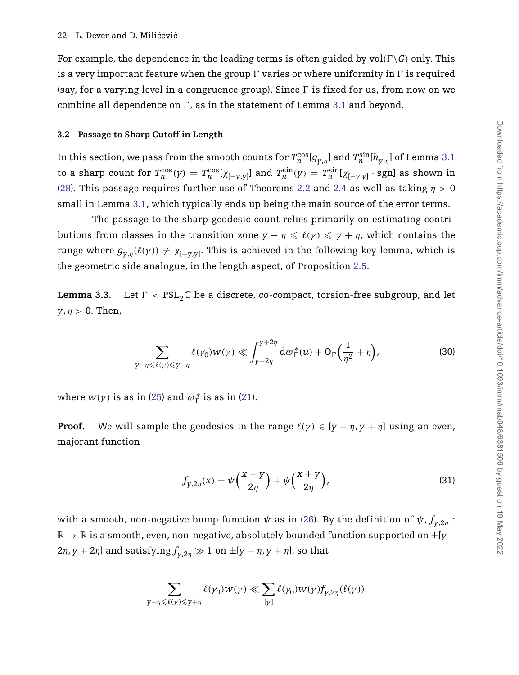For example, the dependence in the leading terms is often guided by  $\mathrm{vol}(\Gamma \backslash G)$  only. This is a very important feature when the group  $\Gamma$  varies or where uniformity in  $\Gamma$  is required (say, for a varying level in a congruence group). Since  $\Gamma$  is fixed for us, from now on we combine all dependence on  $\Gamma$ , as in the statement of Lemma [3.1](#page-20-0) and beyond.

#### <span id="page-22-1"></span>**3.2 Passage to Sharp Cutoff in Length**

In this section, we pass from the smooth counts for  $T^{\cos}_n [g_{_{Y,\eta}}]$  and  $T^{\sin}_n [h_{_{Y,\eta}}]$  of Lemma [3.1](#page-20-0) to a sharp count for  $T_n^{\cos}(y) = T_n^{\cos}[\chi_{[-y,y]}]$  and  $T_n^{\sin}(y) = T_n^{\sin}[\chi_{[-y,y]} \cdot \text{sgn}]$  as shown in [\(28\)](#page-20-3). This passage requires further use of Theorems [2.2](#page-14-0) and [2.4](#page-16-0) as well as taking *η >* 0 small in Lemma [3.1,](#page-20-0) which typically ends up being the main source of the error terms.

The passage to the sharp geodesic count relies primarily on estimating contributions from classes in the transition zone  $y - \eta \leqslant \ell(y) \leqslant y + \eta$ , which contains the range where  $g_{y,\eta}(\ell(\gamma)) \neq \chi_{[-y,y]}.$  This is achieved in the following key lemma, which is the geometric side analogue, in the length aspect, of Proposition [2.5.](#page-17-0)

<span id="page-22-0"></span>**Lemma 3.3.** Let *-*Let  $\Gamma$  <  $PSL_2\mathbb{C}$  be a discrete, co-compact, torsion-free subgroup, and let  $y, \eta > 0$ . Then,

<span id="page-22-2"></span>
$$
\sum_{\gamma-\eta\leqslant\ell(\gamma)\leqslant\gamma+\eta}\ell(\gamma_0)w(\gamma)\ll\int_{\gamma-2\eta}^{\gamma+2\eta}d\varpi_{\Gamma}^*(u)+O_{\Gamma}\Big(\frac{1}{\eta^2}+\eta\Big),\tag{30}
$$

where  $w(\gamma)$  is as in [\(25\)](#page-19-0) and  $\varpi_{\Gamma}^{*}$  is as in [\(21\)](#page-14-2).

**Proof.** We will sample the geodesics in the range  $\ell(\gamma) \in [y - \eta, y + \eta]$  using an even, majorant function

<span id="page-22-3"></span>
$$
f_{y,2\eta}(x) = \psi\left(\frac{x-y}{2\eta}\right) + \psi\left(\frac{x+y}{2\eta}\right),\tag{31}
$$

with a smooth, non-negative bump function  $\psi$  as in [\(26\)](#page-19-3). By the definition of  $\psi$ ,  $f_{\psi,2\eta}$ : R → R is a smooth, even, non-negative, absolutely bounded function supported on ±[*y*− 2*η*, *y* + 2*η*] and satisfying  $f_{y,2η}$  ≫ 1 on  $±[$ *y* − *η*, *y* + *η*], so that

$$
\sum_{\gamma-\eta\leqslant\ell(\gamma)\leqslant\gamma+\eta}\ell(\gamma_0)w(\gamma)\ll \sum_{[\gamma]}\ell(\gamma_0)w(\gamma)f_{\gamma,2\eta}(\ell(\gamma)).
$$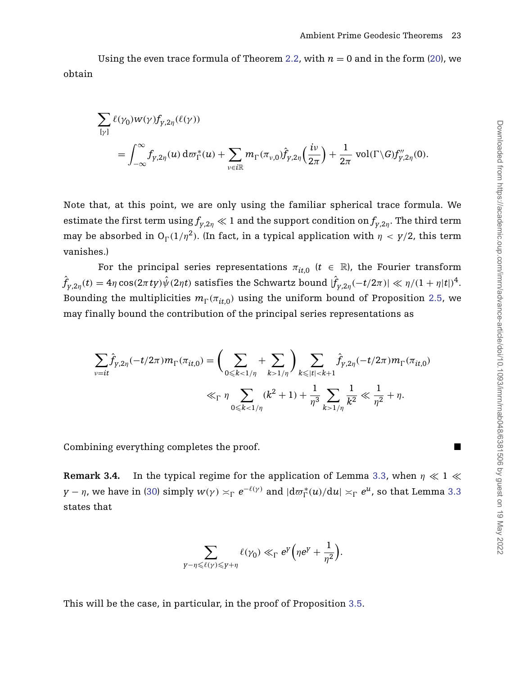Using the even trace formula of Theorem [2.2,](#page-14-0) with  $n = 0$  and in the form [\(20\)](#page-14-1), we obtain

$$
\begin{split} &\sum_{[\gamma]} \ell(\gamma_0) w(\gamma) f_{\gamma,2\eta}(\ell(\gamma)) \\ &= \int_{-\infty}^{\infty} f_{\gamma,2\eta}(u) \, \mathrm{d}\varpi_{\Gamma}^*(u) + \sum_{\nu \in i \mathbb{R}} m_{\Gamma}(\pi_{\nu,0}) \hat{f}_{\gamma,2\eta}\left(\frac{iv}{2\pi}\right) + \frac{1}{2\pi} \, \mathrm{vol}(\Gamma \backslash G) f_{\gamma,2\eta}''(0). \end{split}
$$

Note that, at this point, we are only using the familiar spherical trace formula. We estimate the first term  $\mathrm{using} f_{y,2\eta} \ll 1$  and the support condition on  $f_{y,2\eta}.$  The third term may be absorbed in  $O_{\Gamma}(1/\eta^2)$ . (In fact, in a typical application with  $\eta < \gamma/2$ , this term vanishes.)

For the principal series representations  $\pi_{it,0}$  ( $t \in \mathbb{R}$ ), the Fourier transform  $\hat{f}_{y,2\eta}(t)=4\eta\cos(2\pi\,ty)\hat{\psi}(2\eta t)$  satisfies the Schwartz bound  $|\hat{f}_{y,2\eta}(-t/2\pi)|\ll \eta/(1+\eta|t|)^4.$ Bounding the multiplicities  $m_{\Gamma}(\pi_{it,0})$  using the uniform bound of Proposition [2.5,](#page-17-0) we may finally bound the contribution of the principal series representations as

$$
\sum_{v=it} \hat{f}_{y,2\eta}(-t/2\pi) m_{\Gamma}(\pi_{it,0}) = \left(\sum_{0 \le k < 1/\eta} + \sum_{k > 1/\eta} \right) \sum_{k \le |t| < k+1} \hat{f}_{y,2\eta}(-t/2\pi) m_{\Gamma}(\pi_{it,0})
$$
\n
$$
\ll_{\Gamma} \eta \sum_{0 \le k < 1/\eta} (k^2 + 1) + \frac{1}{\eta^3} \sum_{k > 1/\eta} \frac{1}{k^2} \ll \frac{1}{\eta^2} + \eta.
$$

Combining everything completes the proof.

<span id="page-23-0"></span>**Remark 3.4.** In the typical regime for the application of Lemma [3.3,](#page-22-0) when  $\eta \ll 1 \ll$  $y-\eta$ , we have in [\(30\)](#page-22-2)  $\text{simply } w(\gamma) \asymp_{\Gamma} e^{-\ell(\gamma)}$  and  $|\text{d}\varpi_{\Gamma}^{*}(u)/\text{d}u| \asymp_{\Gamma} e^{u}$ , so that Lemma [3.3](#page-22-0) states that

$$
\sum_{\gamma-\eta\leqslant \ell(\gamma)\leqslant \gamma+\eta} \ell(\gamma_0) \ll_{\Gamma} e^{\gamma}\Big(\eta e^{\gamma}+\frac{1}{\eta^2}\Big).
$$

This will be the case, in particular, in the proof of Proposition [3.5.](#page-24-0)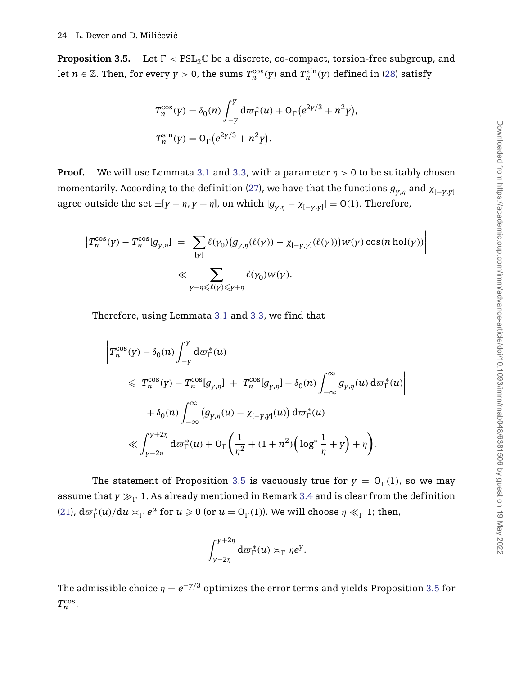<span id="page-24-0"></span>**Proposition 3.5.** Let  $\Gamma < \text{PSL}_2\mathbb{C}$  be a discrete, co-compact, torsion-free subgroup, and let  $n \in \mathbb{Z}$ . Then, for every  $y > 0$ , the sums  $T^{\cos}_{n}(y)$  and  $T^{\sin}_{n}(y)$  defined in [\(28\)](#page-20-3) satisfy

$$
T_n^{\cos}(y) = \delta_0(n) \int_{-y}^{y} d\omega_{\Gamma}^*(u) + O_{\Gamma}(e^{2y/3} + n^2y),
$$
  

$$
T_n^{\sin}(y) = O_{\Gamma}(e^{2y/3} + n^2y).
$$

**Proof.** We will use Lemmata [3.1](#page-20-0) and [3.3,](#page-22-0) with a parameter  $\eta > 0$  to be suitably chosen momentarily. According to the definition [\(27\)](#page-19-2), we have that the functions  $g_{v,n}$  and  $\chi_{[-v,v]}$ agree outside the set  $\pm [y - \eta, y + \eta]$ , on which  $|g_{y, \eta} - \chi_{[-y, y]}| = {\rm O}(1).$  Therefore,

$$
\begin{aligned} \left|T_n^{\cos}(y) - T_n^{\cos}[g_{\gamma,\eta}] \right| &= \left| \sum_{[\gamma]} \ell(\gamma_0) \big( g_{\gamma,\eta}(\ell(\gamma)) - \chi_{[-\gamma,\gamma]}(\ell(\gamma)) \big) w(\gamma) \cos(n \operatorname{hol}(\gamma)) \right| \\ &\ll \sum_{\gamma - \eta \leq \ell(\gamma) \leq \gamma + \eta} \ell(\gamma_0) w(\gamma). \end{aligned}
$$

Therefore, using Lemmata [3.1](#page-20-0) and [3.3,](#page-22-0) we find that

$$
\left|T_n^{\cos}(y) - \delta_0(n) \int_{-y}^y \mathrm{d}\varpi_{\Gamma}^*(u) \right|
$$
  
\n
$$
\leq \left|T_n^{\cos}(y) - T_n^{\cos}[g_{y,\eta}] \right| + \left|T_n^{\cos}[g_{y,\eta}] - \delta_0(n) \int_{-\infty}^{\infty} g_{y,\eta}(u) \mathrm{d}\varpi_{\Gamma}^*(u) \right|
$$
  
\n
$$
+ \delta_0(n) \int_{-\infty}^{\infty} (g_{y,\eta}(u) - \chi_{[-y,y]}(u)) \mathrm{d}\varpi_{\Gamma}^*(u)
$$
  
\n
$$
\ll \int_{y-2\eta}^{y+2\eta} \mathrm{d}\varpi_{\Gamma}^*(u) + O_{\Gamma}\left(\frac{1}{\eta^2} + (1+n^2)\left(\log^* \frac{1}{\eta} + y\right) + \eta\right).
$$

The statement of Proposition [3.5](#page-24-0) is vacuously true for  $y = O_{\Gamma}(1)$ , so we may assume that  $y\gg_\Gamma 1$ . As already mentioned in Remark [3.4](#page-23-0) and is clear from the definition [\(21\)](#page-14-2),  $d\varpi_{\Gamma}^{*}(u)/du \times_{\Gamma} e^{u}$  for  $u \ge 0$  (or  $u = O_{\Gamma}(1)$ ). We will choose  $\eta \ll_{\Gamma} 1$ ; then,

$$
\int_{y-2\eta}^{y+2\eta} \mathrm{d}\varpi_{\Gamma}^*(u) \asymp_{\Gamma} \eta e^y.
$$

The admissible choice  $\eta = e^{-\gamma/3}$  optimizes the error terms and yields Proposition [3.5](#page-24-0) for  $T_n^{\cos}$ .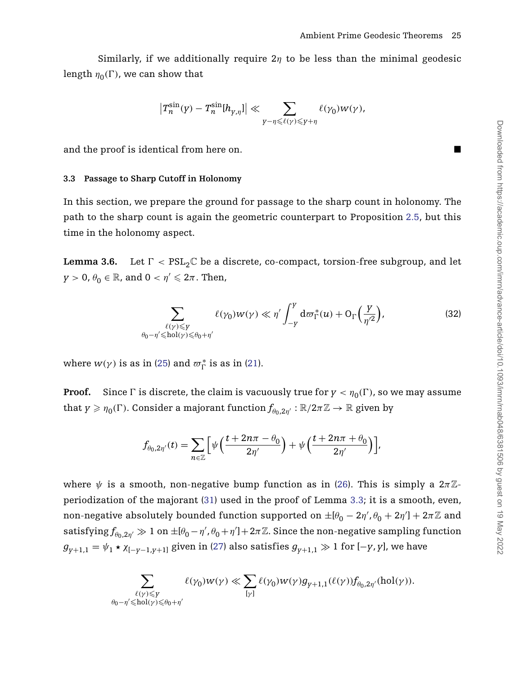Similarly, if we additionally require  $2\eta$  to be less than the minimal geodesic  $\log \ln \eta_0(\Gamma)$ , we can show that

$$
\left|T_n^{\sin}(\gamma)-T_n^{\sin}[h_{\gamma,\eta}]\right|\ll \sum_{\gamma-\eta\leqslant \ell(\gamma)\leqslant \gamma+\eta}\ell(\gamma_0)w(\gamma),
$$

and the proof is identical from here on.

## **3.3 Passage to Sharp Cutoff in Holonomy**

In this section, we prepare the ground for passage to the sharp count in holonomy. The path to the sharp count is again the geometric counterpart to Proposition [2.5,](#page-17-0) but this time in the holonomy aspect.

<span id="page-25-0"></span>**Lemma 3.6.** Let *-*Let  $\Gamma$  <  $PSL_2\mathbb{C}$  be a discrete, co-compact, torsion-free subgroup, and let  $y > 0$ ,  $\theta_0 \in \mathbb{R}$ , and  $0 < \eta' \leqslant 2\pi$ . Then,

$$
\sum_{\substack{\ell(\gamma) \leq \gamma \\ \theta_0 - \eta' \leq \text{hol}(\gamma) \leq \theta_0 + \eta'}} \ell(\gamma_0) w(\gamma) \ll \eta' \int_{-Y}^{Y} d\varpi_{\Gamma}^*(u) + O_{\Gamma}\left(\frac{\gamma}{\eta'^2}\right),\tag{32}
$$

where  $w(\gamma)$  is as in [\(25\)](#page-19-0) and  $\varpi_{\Gamma}^{*}$  is as in [\(21\)](#page-14-2).

**Proof.** Since  $\Gamma$  is discrete, the claim is vacuously true for  $\gamma < \eta_0(\Gamma)$ , so we may assume that  $\gamma \geqslant \eta_0(\Gamma)$ . Consider a majorant function  $f_{\theta_0,2\eta'} : \mathbb{R}/2\pi\mathbb{Z} \to \mathbb{R}$  given by

$$
f_{\theta_0,2\eta'}(t) = \sum_{n\in\mathbb{Z}} \Big[ \psi\Big(\frac{t+2n\pi-\theta_0}{2\eta'}\Big) + \psi\Big(\frac{t+2n\pi+\theta_0}{2\eta'}\Big) \Big],
$$

where  $\psi$  is a smooth, non-negative bump function as in [\(26\)](#page-19-3). This is simply a  $2\pi\mathbb{Z}$ periodization of the majorant [\(31\)](#page-22-3) used in the proof of Lemma [3.3;](#page-22-0) it is a smooth, even, non-negative absolutely bounded function supported on  $\pm[\theta_0-2\eta',\theta_0+2\eta'] + 2\pi\mathbb{Z}$  and  $\text{satisfying}\, f_{\theta_0,2\eta'}\gg 1\text{ on }\pm[\theta_0-\eta',\theta_0+\eta'] +2\pi\mathbb{Z}.$  Since the non-negative sampling function  $g_{v+1,1} = \psi_1 \star \chi_{[-v-1,v+1]}$  given in [\(27\)](#page-19-2) also satisfies  $g_{v+1,1} \gg 1$  for  $[-y, y]$ , we have

$$
\sum_{\substack{\ell(\gamma) \leq \gamma \\ \theta_0 - \eta' \leqslant \mathrm{hol}(\gamma) \leqslant \theta_0 + \eta'}} \ell(\gamma_0) w(\gamma) \ll \sum_{[\gamma]} \ell(\gamma_0) w(\gamma) g_{\gamma + 1, 1}(\ell(\gamma)) f_{\theta_0, 2 \eta'}(\mathrm{hol}(\gamma)).
$$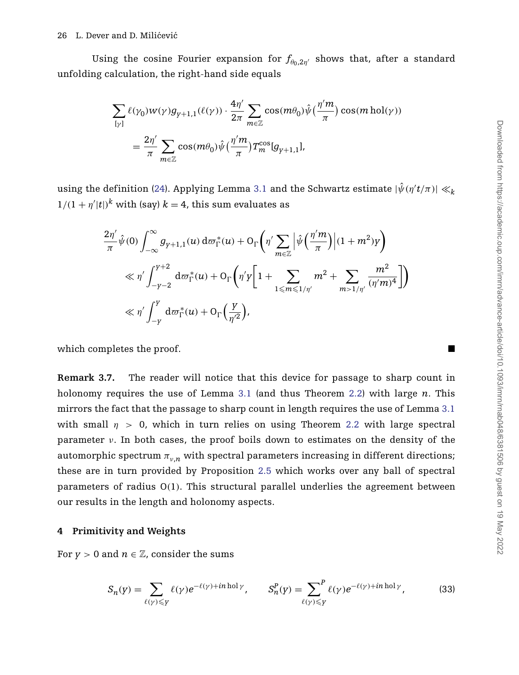Using the cosine Fourier expansion for  $f_{\theta_0,2\eta}$  shows that, after a standard unfolding calculation, the right-hand side equals

$$
\sum_{[\gamma]} \ell(\gamma_0) w(\gamma) g_{\gamma+1,1}(\ell(\gamma)) \cdot \frac{4\eta'}{2\pi} \sum_{m \in \mathbb{Z}} \cos(m\theta_0) \hat{\psi} \left(\frac{\eta'm}{\pi}\right) \cos(m \operatorname{hol}(\gamma))
$$

$$
= \frac{2\eta'}{\pi} \sum_{m \in \mathbb{Z}} \cos(m\theta_0) \hat{\psi} \left(\frac{\eta'm}{\pi}\right) T_m^{\cos} [g_{\gamma+1,1}],
$$

using the definition [\(24\)](#page-19-1). Applying Lemma [3.1](#page-20-0) and the Schwartz estimate  $|\hat{\psi}(\eta' t / \pi)| \ll k$  $1/(1 + \eta'|t|)^k$  with (say)  $k = 4$ , this sum evaluates as

$$
\frac{2\eta'}{\pi}\hat{\psi}(0)\int_{-\infty}^{\infty}g_{\gamma+1,1}(u)\,d\varpi_{\Gamma}^{*}(u)+O_{\Gamma}\left(\eta'\sum_{m\in\mathbb{Z}}\left|\hat{\psi}\left(\frac{\eta'm}{\pi}\right)\right|(1+m^{2})\gamma\right)
$$

$$
\ll \eta'\int_{-\gamma-2}^{\gamma+2}d\varpi_{\Gamma}^{*}(u)+O_{\Gamma}\left(\eta'\gamma\left[1+\sum_{1\leqslant m\leqslant1/\eta'}m^{2}+\sum_{m>1/\eta'}\frac{m^{2}}{(\eta'm)^{4}}\right]\right)
$$

$$
\ll \eta'\int_{-\gamma}^{\gamma}d\varpi_{\Gamma}^{*}(u)+O_{\Gamma}\left(\frac{\gamma}{\eta'^{2}}\right),
$$

which completes the proof.

<span id="page-26-1"></span>**Remark 3.7.** The reader will notice that this device for passage to sharp count in holonomy requires the use of Lemma [3.1](#page-20-0) (and thus Theorem [2.2\)](#page-14-0) with large *n*. This mirrors the fact that the passage to sharp count in length requires the use of Lemma [3.1](#page-20-0) with small  $\eta > 0$ , which in turn relies on using Theorem [2.2](#page-14-0) with large spectral parameter *ν*. In both cases, the proof boils down to estimates on the density of the automorphic spectrum  $\pi_{v,n}$  with spectral parameters increasing in different directions; these are in turn provided by Proposition [2.5](#page-17-0) which works over any ball of spectral parameters of radius O*(*1*)*. This structural parallel underlies the agreement between our results in the length and holonomy aspects.

# <span id="page-26-0"></span>**4 Primitivity and Weights**

For  $y > 0$  and  $n \in \mathbb{Z}$ , consider the sums

<span id="page-26-2"></span>
$$
S_n(y) = \sum_{\ell(\gamma) \leq y} \ell(\gamma) e^{-\ell(\gamma) + in \text{ hol}\gamma}, \qquad S_n^P(y) = \sum_{\ell(\gamma) \leq y} \ell(\gamma) e^{-\ell(\gamma) + in \text{ hol}\gamma}, \tag{33}
$$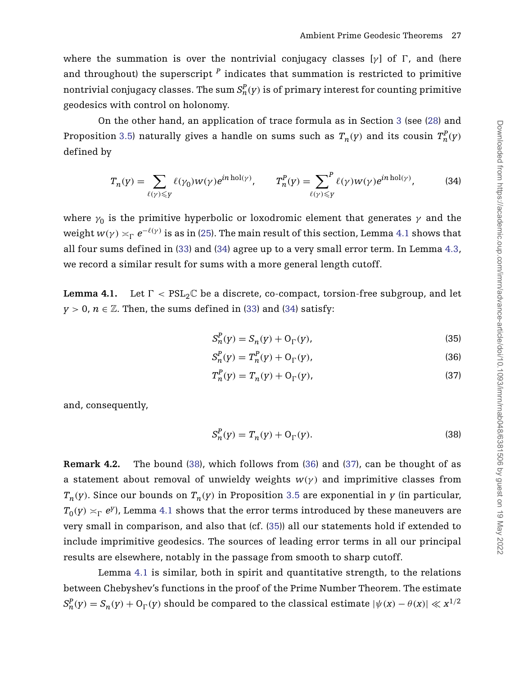where the summation is over the nontrivial conjugacy classes [γ] of Γ, and (here and throughout) the superscript *<sup>P</sup>* indicates that summation is restricted to primitive nontrivial conjugacy classes. The sum  $S^P_n(y)$  is of primary interest for counting primitive geodesics with control on holonomy.

On the other hand, an application of trace formula as in Section [3](#page-19-4) (see [\(28\)](#page-20-3) and Proposition [3.5\)](#page-24-0) naturally gives a handle on sums such as  $T_n(y)$  and its cousin  $T_n^P(y)$ defined by

<span id="page-27-0"></span>
$$
T_n(y) = \sum_{\ell(\gamma) \leq y} \ell(\gamma_0) w(\gamma) e^{in \text{ hol}(\gamma)}, \qquad T_n^P(y) = \sum_{\ell(\gamma) \leq y} \ell(\gamma) w(\gamma) e^{in \text{ hol}(\gamma)}, \tag{34}
$$

where  $\gamma_0$  is the primitive hyperbolic or loxodromic element that generates  $\gamma$  and the weight  $w(\gamma) \asymp_\Gamma e^{-\ell(\gamma)}$  is as in [\(25\)](#page-19-0). The main result of this section, Lemma [4.1](#page-27-1) shows that all four sums defined in [\(33\)](#page-26-2) and [\(34\)](#page-27-0) agree up to a very small error term. In Lemma [4.3,](#page-30-0) we record a similar result for sums with a more general length cutoff.

<span id="page-27-1"></span>**Lemma 4.1.** Let  $\Gamma < \text{PSL}_2\mathbb{C}$  be a discrete, co-compact, torsion-free subgroup, and let *y* > 0, *n*  $\in \mathbb{Z}$ . Then, the sums defined in [\(33\)](#page-26-2) and [\(34\)](#page-27-0) satisfy:

<span id="page-27-5"></span>
$$
S_n^P(y) = S_n(y) + O_\Gamma(y),\tag{35}
$$

$$
S_n^P(y) = T_n^P(y) + O_\Gamma(y),
$$
\n(36)

$$
T_n^P(y) = T_n(y) + O_\Gamma(y),\tag{37}
$$

<span id="page-27-4"></span><span id="page-27-3"></span>and, consequently,

<span id="page-27-2"></span>
$$
S_n^P(y) = T_n(y) + \mathcal{O}_\Gamma(y). \tag{38}
$$

**Remark 4.2.** The bound [\(38\)](#page-27-2), which follows from [\(36\)](#page-27-3) and [\(37\)](#page-27-4), can be thought of as a statement about removal of unwieldy weights  $w(y)$  and imprimitive classes from  $T_n(y)$ . Since our bounds on  $T_n(y)$  in Proposition [3.5](#page-24-0) are exponential in *y* (in particular,  $T_0(y) \asymp_\Gamma e^y$ ), Lemma [4.1](#page-27-1) shows that the error terms introduced by these maneuvers are very small in comparison, and also that (cf. [\(35\)](#page-27-5)) all our statements hold if extended to include imprimitive geodesics. The sources of leading error terms in all our principal results are elsewhere, notably in the passage from smooth to sharp cutoff.

Lemma [4.1](#page-27-1) is similar, both in spirit and quantitative strength, to the relations between Chebyshev's functions in the proof of the Prime Number Theorem. The estimate  $S^P_n(y)=S_n(y)+{\rm O}_{\Gamma}(y)$  should be compared to the classical estimate  $|\psi(x)-\theta(x)|\ll x^{1/2}$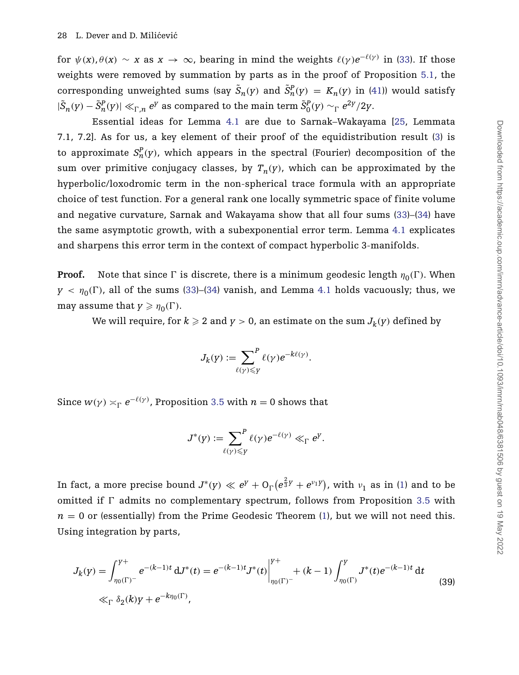for  $\psi(x), \theta(x) \sim x$  as  $x \to \infty$ , bearing in mind the weights  $\ell(\gamma)e^{-\ell(\gamma)}$  in [\(33\)](#page-26-2). If those weights were removed by summation by parts as in the proof of Proposition [5.1,](#page-31-0) the corresponding unweighted sums (say  $\tilde{S}_n(y)$  and  $\tilde{S}_n^P(y) = K_n(y)$  in [\(41\)](#page-31-1)) would satisfy  $|\tilde{S}_n(y)-\tilde{S}_n^P(y)| \ll_{\Gamma,n} e^y$  as compared to the main term  $\tilde{S}_0^P(y) \sim_\Gamma e^{2y}/2y$ .

Essential ideas for Lemma [4.1](#page-27-1) are due to Sarnak–Wakayama [\[25,](#page-48-2) Lemmata 7.1, 7.2]. As for us, a key element of their proof of the equidistribution result [\(3\)](#page-2-1) is to approximate  $S_n^P(y)$ , which appears in the spectral (Fourier) decomposition of the sum over primitive conjugacy classes, by  $T_n(y)$ , which can be approximated by the hyperbolic/loxodromic term in the non-spherical trace formula with an appropriate choice of test function. For a general rank one locally symmetric space of finite volume and negative curvature, Sarnak and Wakayama show that all four sums [\(33\)](#page-26-2)–[\(34\)](#page-27-0) have the same asymptotic growth, with a subexponential error term. Lemma [4.1](#page-27-1) explicates and sharpens this error term in the context of compact hyperbolic 3-manifolds.

**Proof.** Note that since  $\Gamma$  is discrete, there is a minimum geodesic length  $\eta_0(\Gamma)$ . When  $\gamma$  <  $\eta_0(\Gamma)$ , all of the sums [\(33\)](#page-26-2)–[\(34\)](#page-27-0) vanish, and Lemma [4.1](#page-27-1) holds vacuously; thus, we may assume that  $y \geq \eta_0(\Gamma)$ .

We will require, for  $k \ge 2$  and  $y > 0$ , an estimate on the sum  $J_k(y)$  defined by

$$
J_k(\gamma) := \sum_{\ell(\gamma) \leq \gamma} f^{\ell}(\gamma) e^{-k\ell(\gamma)}.
$$

Since  $w(\gamma) \asymp_{\Gamma} e^{-\ell(\gamma)}$ , Proposition [3.5](#page-24-0) with  $n = 0$  shows that

<span id="page-28-0"></span>
$$
J^*(y) := \sum_{\ell(\gamma) \leq y} P_{\ell(\gamma)} e^{-\ell(\gamma)} \ll_{\Gamma} e^y.
$$

In fact, a more precise bound  $J^*(y) \ll e^y + \mathrm{O}_\Gamma\big(e^{\frac{2}{3}y}+e^{v_1y}\big)$ , with  $v_1$  as in [\(1\)](#page-2-0) and to be omitted if  $\Gamma$  admits no complementary spectrum, follows from Proposition [3.5](#page-24-0) with  $n = 0$  or (essentially) from the Prime Geodesic Theorem [\(1\)](#page-2-0), but we will not need this. Using integration by parts,

$$
J_k(y) = \int_{\eta_0(\Gamma)^{-}}^{y+} e^{-(k-1)t} dJ^*(t) = e^{-(k-1)t} J^*(t) \Big|_{\eta_0(\Gamma)^{-}}^{y+} + (k-1) \int_{\eta_0(\Gamma)}^{y} J^*(t) e^{-(k-1)t} dt
$$
  
\n
$$
\ll_{\Gamma} \delta_2(k) y + e^{-k\eta_0(\Gamma)},
$$
\n(39)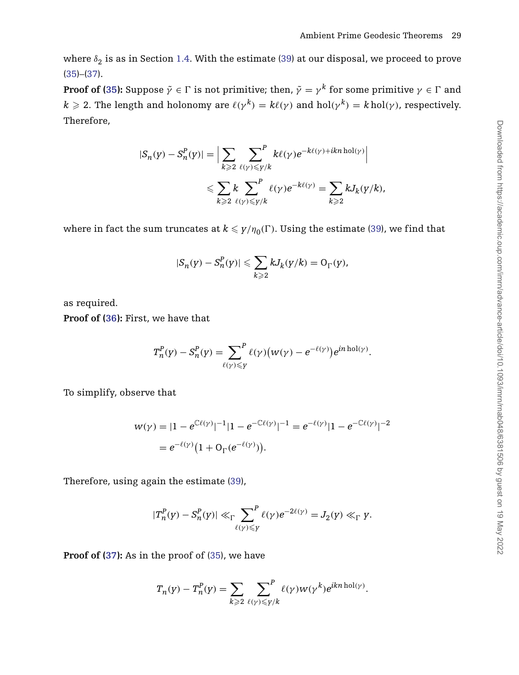where  $\delta_2$  is as in Section [1.4.](#page-9-1) With the estimate [\(39\)](#page-28-0) at our disposal, we proceed to prove [\(35\)](#page-27-5)–[\(37\)](#page-27-4).

**Proof of [\(35\)](#page-27-5):** Suppose  $\tilde{\gamma}\in\Gamma$  is not primitive; then,  $\tilde{\gamma}=\gamma^k$  for some primitive  $\gamma\in\Gamma$  and  $k \ge 2$ . The length and holonomy are  $\ell(\gamma^k) = k\ell(\gamma)$  and  $hol(\gamma^k) = k hol(\gamma)$ , respectively. Therefore,

$$
\begin{aligned} |S_n(y)-S_n^P(y)|=&\Big|\sum_{k\geqslant 2}\sum_{\ell(\gamma)\leqslant \gamma/k}^P k\ell(\gamma)e^{-k\ell(\gamma)+ikn\operatorname{hol}(\gamma)}\Big|\\ &\leqslant \sum_{k\geqslant 2}\sum_{\ell(\gamma)\leqslant \gamma/k}^P \ell(\gamma)e^{-k\ell(\gamma)}=\sum_{k\geqslant 2}kJ_k(y/k), \end{aligned}
$$

where in fact the sum truncates at  $k \leqslant y/\eta_0(\Gamma).$  Using the estimate [\(39\)](#page-28-0), we find that

$$
|S_n(y)-S^P_n(y)|\leqslant \sum_{k\geqslant 2}kJ_k(y/k)=\mathrm{O}_\Gamma(y),
$$

as required.

**Proof of [\(36\)](#page-27-3):** First, we have that

$$
T_n^P(\mathbf{y}) - S_n^P(\mathbf{y}) = \sum_{\ell(\mathbf{y}) \leq \mathbf{y}} \ell(\mathbf{y}) \big( w(\mathbf{y}) - e^{-\ell(\mathbf{y})} \big) e^{in \text{ hol}(\mathbf{y})}.
$$

To simplify, observe that

$$
w(\gamma) = |1 - e^{\mathbb{C}\ell(\gamma)}|^{-1}|1 - e^{-\mathbb{C}\ell(\gamma)}|^{-1} = e^{-\ell(\gamma)}|1 - e^{-\mathbb{C}\ell(\gamma)}|^{-2}
$$
  
=  $e^{-\ell(\gamma)}(1 + O_{\Gamma}(e^{-\ell(\gamma)})).$ 

Therefore, using again the estimate [\(39\)](#page-28-0),

$$
|T_n^P(y)-S_n^P(y)| \ll_{\Gamma} \sum_{\ell(\gamma)\leq y}^P \ell(\gamma)e^{-2\ell(\gamma)}=J_2(y)\ll_{\Gamma} y.
$$

**Proof of [\(37\)](#page-27-4):** As in the proof of [\(35\)](#page-27-5), we have

$$
T_n(y) - T_n^P(y) = \sum_{k \geq 2} \sum_{\ell(\gamma) \leq \gamma/k} \ell(\gamma) w(\gamma^k) e^{ikn \operatorname{hol}(\gamma)}.
$$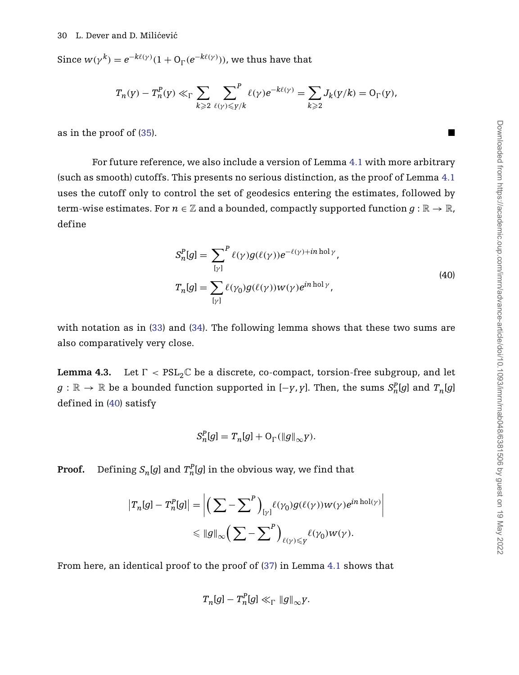#### 30 L. Dever and D. Milićević

Since  $w(\gamma^k) = e^{-k\ell(\gamma)}(1 + \mathcal{O}_\Gamma(e^{-k\ell(\gamma)}))$ , we thus have that

$$
T_n(y) - T_n^P(y) \ll_\Gamma \sum_{k \geqslant 2} \sum_{\ell(\gamma) \leqslant \gamma/k} \ell(\gamma) e^{-k\ell(\gamma)} = \sum_{k \geqslant 2} J_k(y/k) = O_\Gamma(y),
$$

as in the proof of [\(35\)](#page-27-5).

<span id="page-30-1"></span>For future reference, we also include a version of Lemma [4.1](#page-27-1) with more arbitrary (such as smooth) cutoffs. This presents no serious distinction, as the proof of Lemma [4.1](#page-27-1) uses the cutoff only to control the set of geodesics entering the estimates, followed by term-wise estimates. For  $n \in \mathbb{Z}$  and a bounded, compactly supported function  $g : \mathbb{R} \to \mathbb{R}$ , define

$$
S_n^P[g] = \sum_{[\gamma]}^P \ell(\gamma)g(\ell(\gamma))e^{-\ell(\gamma) + in \text{ hol}\gamma},
$$
  

$$
T_n[g] = \sum_{[\gamma]} \ell(\gamma_0)g(\ell(\gamma))w(\gamma)e^{in \text{ hol}\gamma},
$$
 (40)

with notation as in [\(33\)](#page-26-2) and [\(34\)](#page-27-0). The following lemma shows that these two sums are also comparatively very close.

<span id="page-30-0"></span>**Lemma 4.3.** Let  $\Gamma < \text{PSL}_2\mathbb{C}$  be a discrete, co-compact, torsion-free subgroup, and let  $g:\mathbb{R}\to\mathbb{R}$  be a bounded function supported in [−*y*, *y*]. Then, the sums  $S^P_n[g]$  and  $T_n[g]$ defined in [\(40\)](#page-30-1) satisfy

$$
S_n^P[g] = T_n[g] + O_\Gamma(\|g\|_\infty y).
$$

**Proof.** Defining  $S_n[g]$  and  $T_n^P[g]$  in the obvious way, we find that

$$
\begin{aligned} \left|T_n[g] - T_n^P[g]\right| &= \left| \left(\sum_{\gamma} - \sum_{\gamma} \right)_{\gamma} \ell(\gamma_0) g(\ell(\gamma)) w(\gamma) e^{i n \operatorname{hol}(\gamma)} \right| \\ &\leqslant \|g\|_{\infty} \left(\sum_{\gamma} - \sum_{\gamma} \right)_{\ell(\gamma) \leqslant Y} \ell(\gamma_0) w(\gamma). \end{aligned}
$$

From here, an identical proof to the proof of [\(37\)](#page-27-4) in Lemma [4.1](#page-27-1) shows that

$$
T_n[g] - T_n^P[g] \ll_\Gamma \|g\|_\infty y.
$$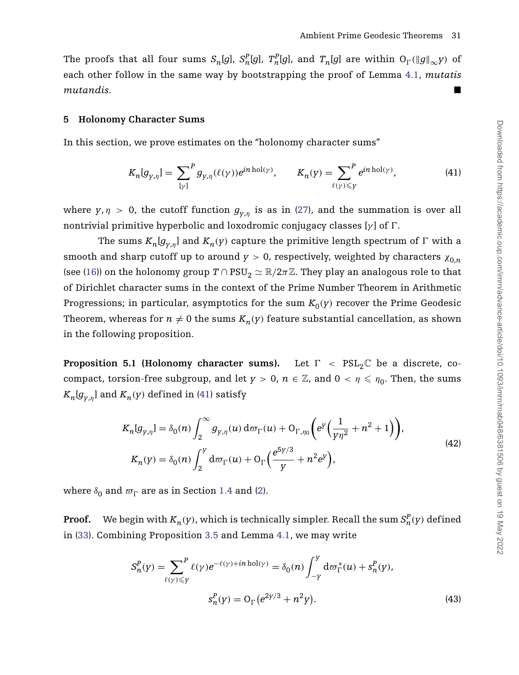The proofs that all four sums  $S_n[g]$ ,  $S_n^P[g]$ ,  $T_n^P[g]$ , and  $T_n[g]$  are within  $O_{\Gamma}(\|g\|_{\infty}y)$  of each other follow in the same way by bootstrapping the proof of Lemma [4.1,](#page-27-1) *mutatis mutandis*.

# **5 Holonomy Character Sums**

In this section, we prove estimates on the "holonomy character sums"

<span id="page-31-1"></span>
$$
K_n[g_{\gamma,\eta}] = \sum_{[\gamma]}^P g_{\gamma,\eta}(\ell(\gamma))e^{in \text{ hol}(\gamma)}, \qquad K_n(\gamma) = \sum_{\ell(\gamma)\leqslant \gamma}^P e^{in \text{ hol}(\gamma)},\tag{41}
$$

where  $y, \eta > 0$ , the cutoff function  $g_{v,n}$  is as in [\(27\)](#page-19-2), and the summation is over all nontrivial primitive hyperbolic and loxodromic conjugacy classes [*γ* ] of *-*.

The sums  $K_n[g_{y,\eta}]$  and  $K_n(y)$  capture the primitive length spectrum of  $\Gamma$  with a smooth and sharp cutoff up to around  $y > 0$ , respectively, weighted by characters  $\chi_{0,n}$ (see [\(16\)](#page-11-0)) on the holonomy group  $T \cap \text{PSU}_2 \simeq \mathbb{R}/2\pi \mathbb{Z}$ . They play an analogous role to that of Dirichlet character sums in the context of the Prime Number Theorem in Arithmetic Progressions; in particular, asymptotics for the sum  $K_0(y)$  recover the Prime Geodesic Theorem, whereas for  $n \neq 0$  the sums  $K_n(y)$  feature substantial cancellation, as shown in the following proposition.

<span id="page-31-0"></span>**Proposition 5.1 (Holonomy character sums).** Let  $\Gamma$  <  $PSL_2\mathbb{C}$  be a discrete, cocompact, torsion-free subgroup, and let  $y > 0$ ,  $n \in \mathbb{Z}$ , and  $0 < \eta \leq \eta_0$ . Then, the sums  $K_n[g_{v,n}]$  and  $K_n(y)$  defined in [\(41\)](#page-31-1) satisfy

<span id="page-31-3"></span>
$$
K_{n}[g_{\gamma,\eta}] = \delta_{0}(n) \int_{2}^{\infty} g_{\gamma,\eta}(u) d\sigma_{\Gamma}(u) + O_{\Gamma,\eta_{0}} \left( e^{y} \left( \frac{1}{\gamma \eta^{2}} + n^{2} + 1 \right) \right),
$$
  
\n
$$
K_{n}(y) = \delta_{0}(n) \int_{2}^{y} d\sigma_{\Gamma}(u) + O_{\Gamma} \left( \frac{e^{5y/3}}{y} + n^{2} e^{y} \right),
$$
\n(42)

where  $\delta_0$  and  $\varpi_{\Gamma}$  are as in Section [1.4](#page-9-1) and [\(2\)](#page-2-2).

**Proof.** We begin with  $K_n(y)$ , which is technically simpler. Recall the sum  $S_n^P(y)$  defined in [\(33\)](#page-26-2). Combining Proposition [3.5](#page-24-0) and Lemma [4.1,](#page-27-1) we may write

<span id="page-31-2"></span>
$$
S_n^P(y) = \sum_{\ell(\gamma) \leq Y}^P \ell(\gamma) e^{-\ell(\gamma) + in \text{ hol}(\gamma)} = \delta_0(n) \int_{-Y}^Y d\varpi_{\Gamma}^*(u) + s_n^P(y),
$$
  

$$
s_n^P(y) = O_{\Gamma}(e^{2\gamma/3} + n^2 y).
$$
 (43)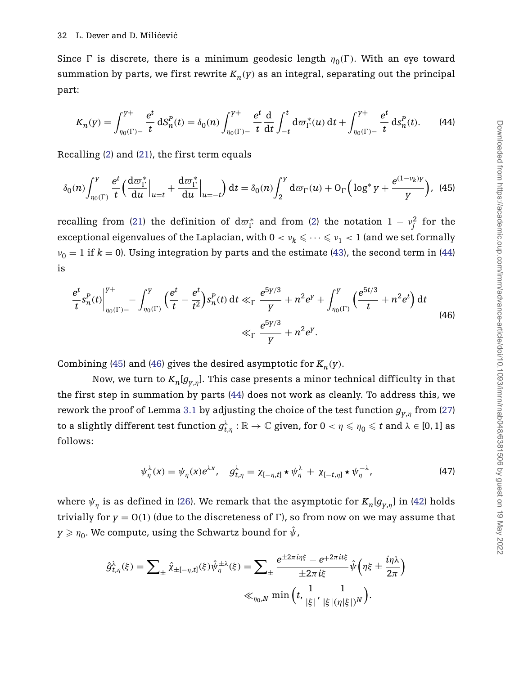Since  $\Gamma$  is discrete, there is a minimum geodesic length  $\eta_0(\Gamma)$ . With an eye toward summation by parts, we first rewrite  $K_n(y)$  as an integral, separating out the principal part:

<span id="page-32-1"></span><span id="page-32-0"></span>
$$
K_n(y) = \int_{\eta_0(\Gamma) - t}^{y+} \frac{e^t}{t} dS_n^P(t) = \delta_0(n) \int_{\eta_0(\Gamma) - t}^{y+} \frac{e^t}{t} \frac{d}{dt} \int_{-t}^t d\sigma_\Gamma^*(u) dt + \int_{\eta_0(\Gamma) - t}^{y+} \frac{e^t}{t} dS_n^P(t).
$$
 (44)

Recalling [\(2\)](#page-2-2) and [\(21\)](#page-14-2), the first term equals

$$
\delta_0(n)\int_{\eta_0(\Gamma)}^Y \frac{e^t}{t} \left(\frac{\mathrm{d}\sigma_{\Gamma}^*}{\mathrm{d}u}\Big|_{u=t} + \frac{\mathrm{d}\sigma_{\Gamma}^*}{\mathrm{d}u}\Big|_{u=-t}\right) \mathrm{d}t = \delta_0(n)\int_2^Y \mathrm{d}\sigma_{\Gamma}(u) + \mathrm{O}_{\Gamma}\Big(\log^* y + \frac{e^{(1-\nu_k)y}}{y}\Big), \tag{45}
$$

recalling from [\(21\)](#page-14-2) the definition of  $d\varpi_{\Gamma}^{*}$  and from [\(2\)](#page-2-2) the notation  $1 - \nu_{j}^{2}$  for the exceptional eigenvalues of the Laplacian, with  $0<\nu_k\leqslant\cdots\leqslant\nu_1< 1$  (and we set formally  $v_0 = 1$  if  $k = 0$ ). Using integration by parts and the estimate [\(43\)](#page-31-2), the second term in [\(44\)](#page-32-0) is

<span id="page-32-2"></span>
$$
\frac{e^t}{t} s_n^P(t) \Big|_{\eta_0(\Gamma) -}^{\gamma +} - \int_{\eta_0(\Gamma)}^{\gamma} \left( \frac{e^t}{t} - \frac{e^t}{t^2} \right) s_n^P(t) \, \mathrm{d}t \ll_{\Gamma} \frac{e^{5\gamma/3}}{\gamma} + n^2 e^{\gamma} + \int_{\eta_0(\Gamma)}^{\gamma} \left( \frac{e^{5t/3}}{t} + n^2 e^t \right) \mathrm{d}t
$$
\n
$$
\ll_{\Gamma} \frac{e^{5\gamma/3}}{\gamma} + n^2 e^{\gamma}. \tag{46}
$$

Combining [\(45\)](#page-32-1) and [\(46\)](#page-32-2) gives the desired asymptotic for  $K_n(y)$ .

Now, we turn to  $K_n[g_{y,n}]$ . This case presents a minor technical difficulty in that the first step in summation by parts [\(44\)](#page-32-0) does not work as cleanly. To address this, we rework the proof of Lemma [3.1](#page-20-0) by adjusting the choice of the test function *gy*,*<sup>η</sup>* from [\(27\)](#page-19-2) to a slightly different test function  $g_{t,\eta}^\lambda:\R\to\mathbb{C}$  given, for  $0<\eta\leqslant\eta_0\leqslant t$  and  $\lambda\in[0,1]$  as follows:

<span id="page-32-3"></span>
$$
\psi_{\eta}^{\lambda}(x) = \psi_{\eta}(x)e^{\lambda x}, \quad g_{t,\eta}^{\lambda} = \chi_{[-\eta,t]} \star \psi_{\eta}^{\lambda} + \chi_{[-t,\eta]} \star \psi_{\eta}^{-\lambda}, \tag{47}
$$

where  $\psi_{\eta}$  is as defined in [\(26\)](#page-19-3). We remark that the asymptotic for  $K_n[g_{y,\eta}]$  in [\(42\)](#page-31-3) holds trivially for  $y = O(1)$  (due to the discreteness of  $\Gamma$ ), so from now on we may assume that  $y \geqslant \eta_0$ . We compute, using the Schwartz bound for  $\hat{\psi}$ ,

$$
\hat{g}_{t,\eta}^{\lambda}(\xi) = \sum_{\pm} \hat{\chi}_{\pm[-\eta,t]}(\xi) \hat{\psi}_{\eta}^{\pm\lambda}(\xi) = \sum_{\pm} \frac{e^{\pm 2\pi i\eta\xi} - e^{\mp 2\pi i t\xi}}{\pm 2\pi i\xi} \hat{\psi}\left(\eta\xi \pm \frac{i\eta\lambda}{2\pi}\right)
$$

$$
\ll_{\eta_0,N} \min\left(t, \frac{1}{|\xi|}, \frac{1}{|\xi|(\eta|\xi|)^N}\right).
$$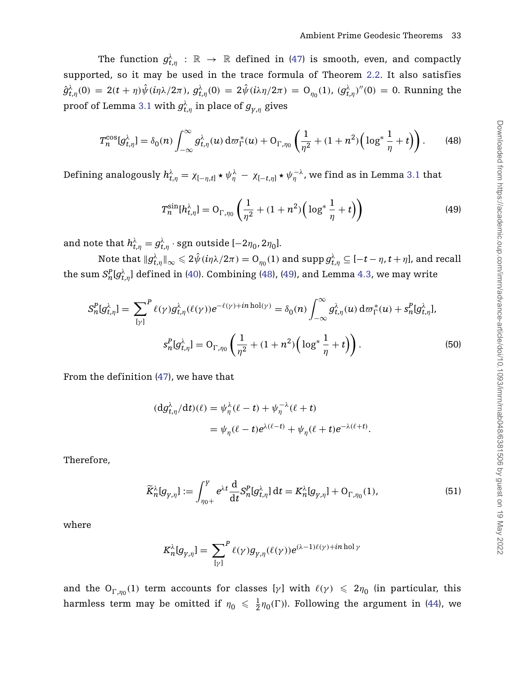The function  $g_{t,\eta}^{\lambda}$  :  $\mathbb{R} \to \mathbb{R}$  defined in [\(47\)](#page-32-3) is smooth, even, and compactly supported, so it may be used in the trace formula of Theorem [2.2.](#page-14-0) It also satisfies  $\hat{g}^{\lambda}_{t,\eta}(0) = 2(t+\eta)\hat{\psi}(i\eta\lambda/2\pi)$ ,  $g^{\lambda}_{t,\eta}(0) = 2\hat{\psi}(i\lambda\eta/2\pi) = O_{\eta_0}(1)$ ,  $(g^{\lambda}_{t,\eta})''(0) = 0$ . Running the proof of Lemma [3.1](#page-20-0) with  $g_{t,\eta}^{\lambda}$  in place of  $g_{_{Y,\eta}}$  gives

$$
T_n^{\cos}[g_{t,\eta}^{\lambda}] = \delta_0(n) \int_{-\infty}^{\infty} g_{t,\eta}^{\lambda}(u) d\sigma_{\Gamma}^*(u) + O_{\Gamma,\eta_0}\left(\frac{1}{\eta^2} + (1+n^2)\left(\log^* \frac{1}{\eta} + t\right)\right).
$$
 (48)

Defining analogously  $h_{t,\eta}^{\lambda} = \chi_{[-\eta,t]} \star \psi_{\eta}^{\lambda} - \chi_{[-t,\eta]} \star \psi_{\eta}^{-\lambda}$ , we find as in Lemma [3.1](#page-20-0) that

<span id="page-33-2"></span><span id="page-33-1"></span><span id="page-33-0"></span>
$$
T_n^{\sin}[h_{t,\eta}^{\lambda}] = O_{\Gamma,\eta_0}\left(\frac{1}{\eta^2} + (1+n^2)\left(\log^* \frac{1}{\eta} + t\right)\right)
$$
(49)

and note that  $h^\lambda_{t,\eta} = g^\lambda_{t,\eta} \cdot \text{sgn}$  outside [−2 $\eta_0$ , 2 $\eta_0$ ].

 $\text{Note that } \|g_{t,\eta}^\lambda\|_\infty \leqslant 2\hat{\psi}(i\eta\lambda/2\pi) = \text{O}_{\eta_0}(1) \text{ and } \text{supp}\, g_{t,\eta}^\lambda \subseteq [-t-\eta,t+\eta], \text{and recall}$ the sum  $S^P_n[g^\lambda_{t,\eta}]$  defined in [\(40\)](#page-30-1). Combining [\(48\)](#page-33-0), [\(49\)](#page-33-1), and Lemma [4.3,](#page-30-0) we may write

$$
S_n^P[g_{t,\eta}^{\lambda}] = \sum_{[\gamma]}^P \ell(\gamma) g_{t,\eta}^{\lambda}(\ell(\gamma)) e^{-\ell(\gamma) + in \text{ hol}(\gamma)} = \delta_0(n) \int_{-\infty}^{\infty} g_{t,\eta}^{\lambda}(u) d\sigma_{\Gamma}^*(u) + s_n^P[g_{t,\eta}^{\lambda}],
$$

$$
s_n^P[g_{t,\eta}^{\lambda}] = O_{\Gamma,\eta_0}\left(\frac{1}{\eta^2} + (1 + n^2) \left(\log^* \frac{1}{\eta} + t\right)\right).
$$
(50)

From the definition [\(47\)](#page-32-3), we have that

$$
\begin{aligned} (\mathrm{d}g_{t,\eta}^{\lambda}/\mathrm{d}t)(\ell) &= \psi_{\eta}^{\lambda}(\ell-t) + \psi_{\eta}^{-\lambda}(\ell+t) \\ &= \psi_{\eta}(\ell-t)e^{\lambda(\ell-t)} + \psi_{\eta}(\ell+t)e^{-\lambda(\ell+t)}. \end{aligned}
$$

Therefore,

<span id="page-33-3"></span>
$$
\widetilde{K}_{n}^{\lambda}[g_{\gamma,\eta}] := \int_{\eta_{0+}}^{Y} e^{\lambda t} \frac{d}{dt} S_{n}^{P}[g_{t,\eta}^{\lambda}] dt = K_{n}^{\lambda}[g_{\gamma,\eta}] + O_{\Gamma,\eta_{0}}(1), \qquad (51)
$$

where

$$
K_n^{\lambda}[g_{\gamma,\eta}] = \sum_{[\gamma]}^{P} \ell(\gamma)g_{\gamma,\eta}(\ell(\gamma))e^{(\lambda-1)\ell(\gamma)+in \text{ hol}\gamma}
$$

and the  $O_{\Gamma,\eta_0}(1)$  term accounts for classes [*γ*] with  $\ell(\gamma) \leq 2\eta_0$  (in particular, this harmless term may be omitted if  $\eta_0 \leqslant \frac{1}{2} \eta_0(\Gamma)$ ). Following the argument in [\(44\)](#page-32-0), we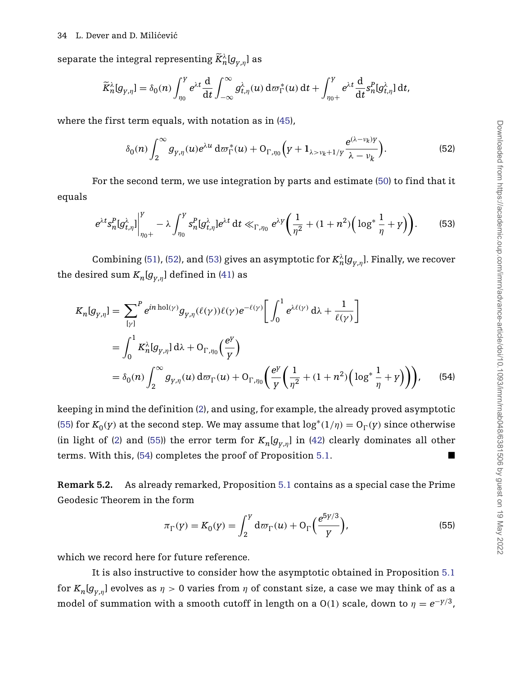#### 34 L. Dever and D. Milićević

separate the integral representing  $\widetilde{K}^{\lambda}_{n}[g_{\gamma,\eta}]$  as

$$
\widetilde{K}_n^{\lambda}[g_{\gamma,\eta}] = \delta_0(n) \int_{\eta_0}^{\gamma} e^{\lambda t} \frac{d}{dt} \int_{-\infty}^{\infty} g_{t,\eta}^{\lambda}(u) d\sigma_{\Gamma}^*(u) dt + \int_{\eta_0+}^{\gamma} e^{\lambda t} \frac{d}{dt} s_n^P[g_{t,\eta}^{\lambda}] dt,
$$

where the first term equals, with notation as in [\(45\)](#page-32-1),

<span id="page-34-0"></span>
$$
\delta_0(n) \int_2^\infty g_{\gamma,\eta}(u) e^{\lambda u} d\sigma_\Gamma^*(u) + \mathcal{O}_{\Gamma,\eta_0}\Big(\gamma + \mathbf{1}_{\lambda > \nu_k + 1/\gamma} \frac{e^{(\lambda - \nu_k)\gamma}}{\lambda - \nu_k}\Big). \tag{52}
$$

For the second term, we use integration by parts and estimate [\(50\)](#page-33-2) to find that it equals

<span id="page-34-3"></span><span id="page-34-1"></span>
$$
e^{\lambda t} s_n^P[g_{t,\eta}^{\lambda}] \Big|_{\eta_0+}^Y - \lambda \int_{\eta_0}^Y s_n^P[g_{t,\eta}^{\lambda}] e^{\lambda t} dt \ll_{\Gamma, \eta_0} e^{\lambda Y} \bigg( \frac{1}{\eta^2} + (1+n^2) \bigg( \log^* \frac{1}{\eta} + Y \bigg) \bigg). \tag{53}
$$

Combining [\(51\)](#page-33-3), [\(52\)](#page-34-0), and [\(53\)](#page-34-1) gives an asymptotic for  $K_n^{\lambda}[g_{y,\eta}]$ . Finally, we recover the desired sum  $K_n[g_{v,n}]$  defined in [\(41\)](#page-31-1) as

$$
K_{n}[g_{\gamma,\eta}] = \sum_{[\gamma]}^{P} e^{in \text{ hol}(\gamma)} g_{\gamma,\eta}(\ell(\gamma)) \ell(\gamma) e^{-\ell(\gamma)} \left[ \int_{0}^{1} e^{\lambda \ell(\gamma)} d\lambda + \frac{1}{\ell(\gamma)} \right]
$$
  
= 
$$
\int_{0}^{1} K_{n}^{\lambda}[g_{\gamma,\eta}] d\lambda + O_{\Gamma,\eta_{0}}(\frac{e^{\gamma}}{\gamma})
$$
  
= 
$$
\delta_{0}(n) \int_{2}^{\infty} g_{\gamma,\eta}(u) d\sigma_{\Gamma}(u) + O_{\Gamma,\eta_{0}}(\frac{e^{\gamma}}{\gamma} (\frac{1}{\eta^{2}} + (1 + n^{2}) (\log^{*} \frac{1}{\eta} + \gamma)))
$$
 (54)

keeping in mind the definition [\(2\)](#page-2-2), and using, for example, the already proved asymptotic [\(55\)](#page-34-2) for  $K_0(y)$  at the second step. We may assume that  $\log^*(1/\eta) = O_\Gamma(y)$  since otherwise (in light of [\(2\)](#page-2-2) and [\(55\)](#page-34-2)) the error term for  $K_n[g_{v,n}]$  in [\(42\)](#page-31-3) clearly dominates all other terms. With this, [\(54\)](#page-34-3) completes the proof of Proposition [5.1.](#page-31-0)

<span id="page-34-4"></span>**Remark 5.2.** As already remarked, Proposition [5.1](#page-31-0) contains as a special case the Prime Geodesic Theorem in the form

<span id="page-34-2"></span>
$$
\pi_{\Gamma}(y) = K_0(y) = \int_2^y d\sigma_{\Gamma}(u) + O_{\Gamma}\left(\frac{e^{5y/3}}{y}\right),
$$
\n(55)

which we record here for future reference.

It is also instructive to consider how the asymptotic obtained in Proposition [5.1](#page-31-0) for  $K_n[g_{y,n}]$  evolves as  $\eta > 0$  varies from  $\eta$  of constant size, a case we may think of as a model of summation with a smooth cutoff in length on a  $O(1)$  scale, down to  $\eta = e^{-\gamma/3}$ ,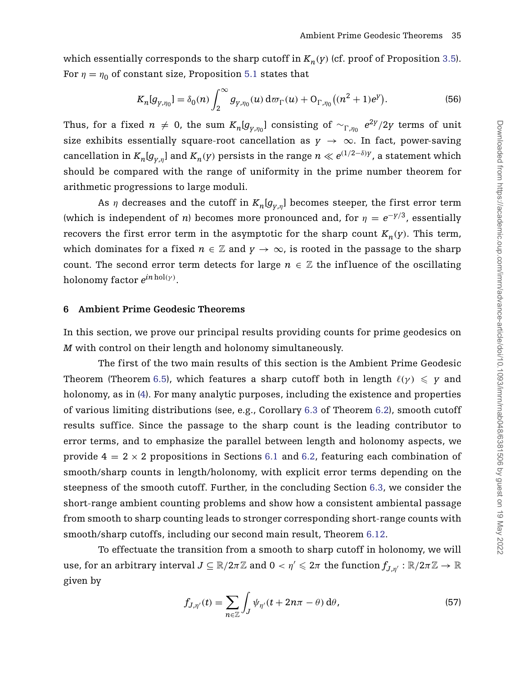which essentially corresponds to the sharp cutoff in  $K_n(y)$  (cf. proof of Proposition [3.5\)](#page-24-0). For  $\eta = \eta_0$  of constant size, Proposition [5.1](#page-31-0) states that

<span id="page-35-0"></span>
$$
K_n[g_{y,\eta_0}] = \delta_0(n) \int_2^{\infty} g_{y,\eta_0}(u) d\sigma_{\Gamma}(u) + O_{\Gamma,\eta_0}\big((n^2+1)e^y\big).
$$
 (56)

Thus, for a fixed  $n \neq 0$ , the sum  $K_n[g_{y,\eta_0}]$  consisting of  $\sim_{\Gamma,\eta_0} e^{2y}/2y$  terms of unit size exhibits essentially square-root cancellation as  $y \to \infty$ . In fact, power-saving cancellation in  $K_n[g_{y,\eta}]$  and  $K_n(y)$  persists in the range  $n \ll e^{(1/2 - \delta)y}$ , a statement which should be compared with the range of uniformity in the prime number theorem for arithmetic progressions to large moduli.

As  $\eta$  decreases and the cutoff in  $K_n[g_{v,n}]$  becomes steeper, the first error term (which is independent of *n*) becomes more pronounced and, for  $\eta = e^{-\gamma/3}$ , essentially recovers the first error term in the asymptotic for the sharp count  $K_n(y)$ . This term, which dominates for a fixed  $n \in \mathbb{Z}$  and  $y \to \infty$ , is rooted in the passage to the sharp count. The second error term detects for large  $n \in \mathbb{Z}$  the influence of the oscillating holonomy factor *ein*hol*(γ)*.

## **6 Ambient Prime Geodesic Theorems**

In this section, we prove our principal results providing counts for prime geodesics on *M* with control on their length and holonomy simultaneously.

The first of the two main results of this section is the Ambient Prime Geodesic Theorem (Theorem [6.5\)](#page-40-0), which features a sharp cutoff both in length  $\ell(\gamma) \ \leqslant \ p$  and holonomy, as in [\(4\)](#page-3-0). For many analytic purposes, including the existence and properties of various limiting distributions (see, e.g., Corollary [6.3](#page-38-1) of Theorem [6.2\)](#page-38-0), smooth cutoff results suffice. Since the passage to the sharp count is the leading contributor to error terms, and to emphasize the parallel between length and holonomy aspects, we provide  $4 = 2 \times 2$  propositions in Sections [6.1](#page-36-0) and [6.2,](#page-37-0) featuring each combination of smooth/sharp counts in length/holonomy, with explicit error terms depending on the steepness of the smooth cutoff. Further, in the concluding Section [6.3,](#page-42-2) we consider the short-range ambient counting problems and show how a consistent ambiental passage from smooth to sharp counting leads to stronger corresponding short-range counts with smooth/sharp cutoffs, including our second main result, Theorem [6.12.](#page-45-0)

<span id="page-35-1"></span>To effectuate the transition from a smooth to sharp cutoff in holonomy, we will  $u$ se, for an arbitrary interval  $J\subseteq \R/2\pi\Z$  and  $0<\eta'\leqslant 2\pi$  the function  $f_{J,\eta'}:\R/2\pi\Z\to\R$ given by

$$
f_{J,\eta'}(t) = \sum_{n \in \mathbb{Z}} \int_J \psi_{\eta'}(t + 2n\pi - \theta) \, d\theta,\tag{57}
$$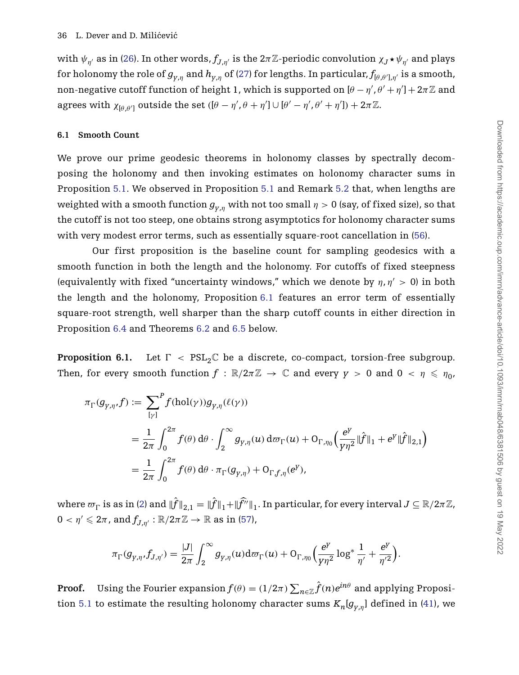with  $\psi_{\eta'}$  as in [\(26\)](#page-19-3). In other words,  $f_{J,\eta'}$  is the  $2\pi\mathbb{Z}$ -periodic convolution  $\chi_J \star \psi_{\eta'}$  and plays for holonomy the role of  $g_{_{Y,\eta}}$  and  $h_{_{Y,\eta}}$  of [\(27\)](#page-19-2) for lengths. In particular,  $f_{[\theta,\theta'],\eta'}$  is a smooth, non-negative cutoff function of height 1, which is supported on  $[\theta - \eta', \theta' + \eta'] + 2\pi\mathbb{Z}$  and agrees with  $\chi_{[\theta,\theta']}$  outside the set  $([\theta - \eta', \theta + \eta'] \cup [\theta' - \eta', \theta' + \eta']) + 2\pi \mathbb{Z}$ .

#### <span id="page-36-0"></span>**6.1 Smooth Count**

We prove our prime geodesic theorems in holonomy classes by spectrally decomposing the holonomy and then invoking estimates on holonomy character sums in Proposition [5.1.](#page-31-0) We observed in Proposition [5.1](#page-31-0) and Remark [5.2](#page-34-4) that, when lengths are weighted with a smooth function  $g_{v,n}$  with not too small  $\eta > 0$  (say, of fixed size), so that the cutoff is not too steep, one obtains strong asymptotics for holonomy character sums with very modest error terms, such as essentially square-root cancellation in [\(56\)](#page-35-0).

Our first proposition is the baseline count for sampling geodesics with a smooth function in both the length and the holonomy. For cutoffs of fixed steepness (equivalently with fixed "uncertainty windows," which we denote by  $\eta$ ,  $\eta' > 0$ ) in both the length and the holonomy, Proposition [6.1](#page-36-1) features an error term of essentially square-root strength, well sharper than the sharp cutoff counts in either direction in Proposition [6.4](#page-39-0) and Theorems [6.2](#page-38-0) and [6.5](#page-40-0) below.

<span id="page-36-1"></span>**Proposition 6.1.** Let  $\Gamma$  <  $PSL_2\mathbb{C}$  be a discrete, co-compact, torsion-free subgroup. Then, for every smooth function  $f : \mathbb{R}/2\pi\mathbb{Z} \to \mathbb{C}$  and every  $y > 0$  and  $0 < \eta \leq \eta_0$ ,

$$
\pi_{\Gamma}(g_{\gamma,\eta},f) := \sum_{[\gamma]}^{P} f(\text{hol}(\gamma)) g_{\gamma,\eta}(\ell(\gamma))
$$
  
\n
$$
= \frac{1}{2\pi} \int_{0}^{2\pi} f(\theta) d\theta \cdot \int_{2}^{\infty} g_{\gamma,\eta}(u) d\sigma_{\Gamma}(u) + O_{\Gamma,\eta_{0}}\left(\frac{e^{Y}}{y\eta^{2}} \|\hat{f}\|_{1} + e^{Y}\|\hat{f}\|_{2,1}\right)
$$
  
\n
$$
= \frac{1}{2\pi} \int_{0}^{2\pi} f(\theta) d\theta \cdot \pi_{\Gamma}(g_{\gamma,\eta}) + O_{\Gamma,f,\eta}(e^{Y}),
$$

where  $\varpi_{\Gamma}$  is as in [\(2\)](#page-2-2) and  $\|\hat{f}\|_{2,1}=\|\hat{f}\|_{1}+\|\widehat{f''}\|_{1}.$  In particular, for every interval  $J\subseteq \R/2\pi\Z,$  $0<\eta^{\prime}\leqslant2\pi$  , and  $f_{J,\eta^{\prime}}:\mathbb{R}/2\pi\mathbb{Z}\rightarrow\mathbb{R}$  as in [\(57\)](#page-35-1),

$$
\pi_{\Gamma}(g_{\gamma,\eta},f_{J,\eta'})=\frac{|J|}{2\pi}\int_2^\infty g_{\gamma,\eta}(u)\mathrm{d}\varpi_{\Gamma}(u)+\mathrm{O}_{\Gamma,\eta_0}\left(\frac{e^y}{\gamma\eta^2}\log^*\frac{1}{\eta'}+\frac{e^y}{\eta'^2}\right).
$$

**Proof.** Using the Fourier expansion  $f(\theta) = (1/2\pi) \sum_{n \in \mathbb{Z}} \hat{f}(n) e^{in\theta}$  and applying Proposi-tion [5.1](#page-31-0) to estimate the resulting holonomy character sums  $K_n[g_{y,n}]$  defined in [\(41\)](#page-31-1), we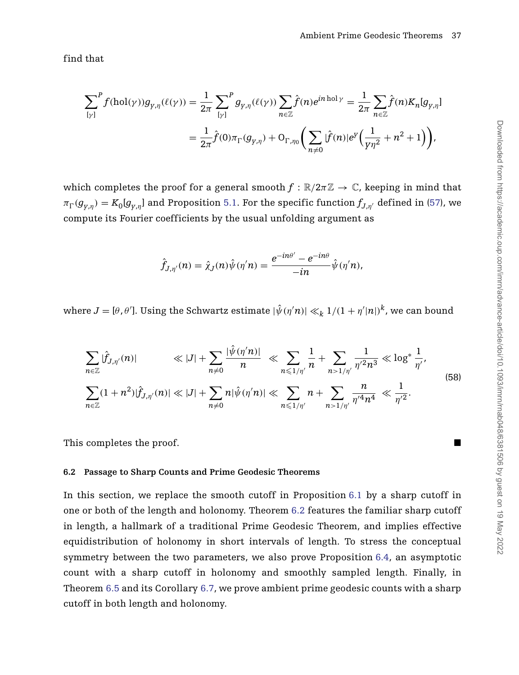find that

$$
\begin{split} \sum_{[\gamma]}^P f(\text{hol}(\gamma)) g_{\gamma,\eta}(\ell(\gamma)) &= \frac{1}{2\pi} \sum_{[\gamma]}^P g_{\gamma,\eta}(\ell(\gamma)) \sum_{n \in \mathbb{Z}} \hat{f}(n) e^{in \text{ hol}\gamma} = \frac{1}{2\pi} \sum_{n \in \mathbb{Z}} \hat{f}(n) K_n[g_{\gamma,\eta}] \\ &= \frac{1}{2\pi} \hat{f}(0) \pi_{\Gamma}(g_{\gamma,\eta}) + \mathcal{O}_{\Gamma,\eta_0} \bigg( \sum_{n \neq 0} |\hat{f}(n)| e^{\gamma} \bigg( \frac{1}{\gamma \eta^2} + n^2 + 1 \bigg) \bigg), \end{split}
$$

which completes the proof for a general smooth  $f : \mathbb{R}/2\pi\mathbb{Z} \to \mathbb{C}$ , keeping in mind that  $\pi_\Gamma(g_{y,\eta})=K_0[g_{y,\eta}]$  and Proposition [5.1.](#page-31-0) For the specific function  $f_{J,\eta'}$  defined in [\(57\)](#page-35-1), we compute its Fourier coefficients by the usual unfolding argument as

<span id="page-37-1"></span>
$$
\hat{f}_{J,\eta'}(n)=\hat{\chi}_J(n)\hat{\psi}(\eta'n)=\frac{e^{-in\theta'}-e^{-in\theta}}{-in}\hat{\psi}(\eta'n),
$$

 $J = [\theta, \theta']$ . Using the Schwartz estimate  $|\hat{\psi}(\eta' n)| \ll_k 1/(1 + \eta' |n|)^k$ , we can bound

$$
\sum_{n\in\mathbb{Z}}|\hat{f}_{J,\eta'}(n)| \ll |J| + \sum_{n\neq 0} \frac{|\hat{\psi}(\eta'n)|}{n} \ll \sum_{n\leq 1/\eta'} \frac{1}{n} + \sum_{n>1/\eta'} \frac{1}{\eta'^2 n^3} \ll \log^* \frac{1}{\eta'},
$$
\n
$$
\sum_{n\in\mathbb{Z}}(1+n^2)|\hat{f}_{J,\eta'}(n)| \ll |J| + \sum_{n\neq 0} n|\hat{\psi}(\eta'n)| \ll \sum_{n\leq 1/\eta'} n + \sum_{n>1/\eta'} \frac{n}{\eta'^4 n^4} \ll \frac{1}{\eta'^2}.
$$
\n(58)

This completes the proof.

## <span id="page-37-0"></span>**6.2 Passage to Sharp Counts and Prime Geodesic Theorems**

In this section, we replace the smooth cutoff in Proposition [6.1](#page-36-1) by a sharp cutoff in one or both of the length and holonomy. Theorem [6.2](#page-38-0) features the familiar sharp cutoff in length, a hallmark of a traditional Prime Geodesic Theorem, and implies effective equidistribution of holonomy in short intervals of length. To stress the conceptual symmetry between the two parameters, we also prove Proposition [6.4,](#page-39-0) an asymptotic count with a sharp cutoff in holonomy and smoothly sampled length. Finally, in Theorem [6.5](#page-40-0) and its Corollary [6.7,](#page-42-0) we prove ambient prime geodesic counts with a sharp cutoff in both length and holonomy.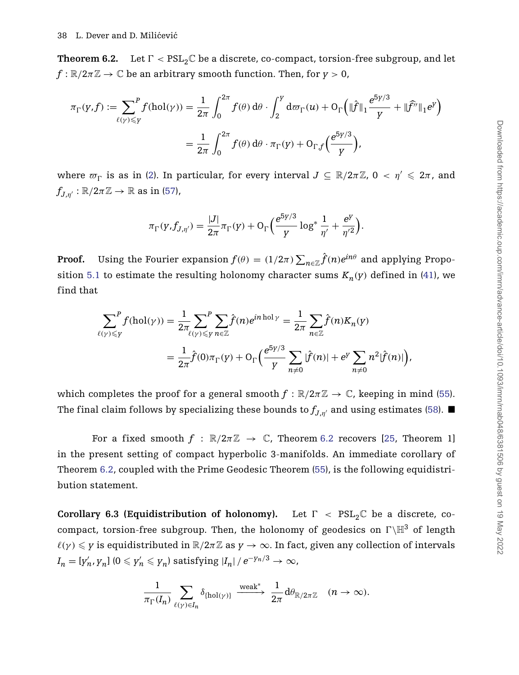<span id="page-38-0"></span>**Theorem 6.2.** Let  $\Gamma < \text{PSL}_2\mathbb{C}$  be a discrete, co-compact, torsion-free subgroup, and let  $f: \mathbb{R}/2\pi\mathbb{Z} \to \mathbb{C}$  be an arbitrary smooth function. Then, for  $y > 0$ ,

$$
\pi_{\Gamma}(y,f) := \sum_{\ell(y)\leq y}^{P} f(\text{hol}(y)) = \frac{1}{2\pi} \int_{0}^{2\pi} f(\theta) d\theta \cdot \int_{2}^{y} d\varpi_{\Gamma}(u) + \mathcal{O}_{\Gamma}\left(\|\hat{f}\|_{1} \frac{e^{5y/3}}{y} + \|\hat{f}^{\gamma}\|_{1} e^{y}\right)
$$

$$
= \frac{1}{2\pi} \int_{0}^{2\pi} f(\theta) d\theta \cdot \pi_{\Gamma}(y) + \mathcal{O}_{\Gamma,f}\left(\frac{e^{5y/3}}{y}\right),
$$

where  $\varpi_{\Gamma}$  is as in [\(2\)](#page-2-2). In particular, for every interval  $J \subseteq \mathbb{R}/2\pi\mathbb{Z}$ ,  $0 < \eta' \leqslant 2\pi$ , and  $f_{J,n'} : \mathbb{R}/2\pi\mathbb{Z} \to \mathbb{R}$  as in [\(57\)](#page-35-1),

$$
\pi_{\Gamma}(y, f_{J,\eta'}) = \frac{|J|}{2\pi} \pi_{\Gamma}(y) + O_{\Gamma}\left(\frac{e^{5y/3}}{y}\log^* \frac{1}{\eta'} + \frac{e^y}{\eta'^2}\right).
$$

**Proof.** Using the Fourier expansion  $f(\theta) = (1/2\pi) \sum_{n \in \mathbb{Z}} \hat{f}(n) e^{in\theta}$  and applying Propo-sition [5.1](#page-31-0) to estimate the resulting holonomy character sums  $K_n(y)$  defined in [\(41\)](#page-31-1), we find that

$$
\sum_{\ell(\gamma)\leqslant y}^{P} f(\text{hol}(\gamma)) = \frac{1}{2\pi} \sum_{\ell(\gamma)\leqslant y}^{P} \sum_{n\in \mathbb{Z}} \hat{f}(n) e^{in \text{ hol}\gamma} = \frac{1}{2\pi} \sum_{n\in \mathbb{Z}} \hat{f}(n) K_n(y)
$$

$$
= \frac{1}{2\pi} \hat{f}(0) \pi_{\Gamma}(y) + \mathcal{O}_{\Gamma}\left(\frac{e^{5\gamma/3}}{y}\sum_{n\neq 0} |\hat{f}(n)| + e^y \sum_{n\neq 0} n^2 |\hat{f}(n)|\right),
$$

which completes the proof for a general smooth  $f : \mathbb{R}/2\pi\mathbb{Z} \to \mathbb{C}$ , keeping in mind [\(55\)](#page-34-2). The final claim follows by specializing these bounds to  $f_{J,n'}$  and using estimates [\(58\)](#page-37-1).

For a fixed smooth  $f : \mathbb{R}/2\pi\mathbb{Z} \to \mathbb{C}$ , Theorem [6.2](#page-38-0) recovers [\[25,](#page-48-2) Theorem 1] in the present setting of compact hyperbolic 3-manifolds. An immediate corollary of Theorem [6.2,](#page-38-0) coupled with the Prime Geodesic Theorem [\(55\)](#page-34-2), is the following equidistribution statement.

<span id="page-38-1"></span>**Corollary 6.3 (Equidistribution of holonomy).** Let  $\Gamma$  <  $PSL_2\mathbb{C}$  be a discrete, cocompact, torsion-free subgroup. Then, the holonomy of geodesics on  $\Gamma \backslash \mathbb{H}^3$  of length  $\ell(\gamma) \leqslant \gamma$  is equidistributed in  $\mathbb{R}/2\pi\mathbb{Z}$  as  $\gamma \to \infty$ . In fact, given any collection of intervals  $I_n = [y'_n, y_n] \; (0 \leqslant y'_n \leqslant y_n)$  satisfying  $|I_n| \, / \, e^{-y_n/3} \rightarrow \infty$ ,

$$
\frac{1}{\pi_{\Gamma}(I_n)}\sum_{\ell(\gamma)\in I_n}\delta_{\{\mathrm{hol}(\gamma)\}}\xrightarrow{\mathrm{weak}^*}\frac{1}{2\pi}\mathrm{d}\theta_{\mathbb{R}/2\pi\mathbb{Z}}\quad(n\to\infty).
$$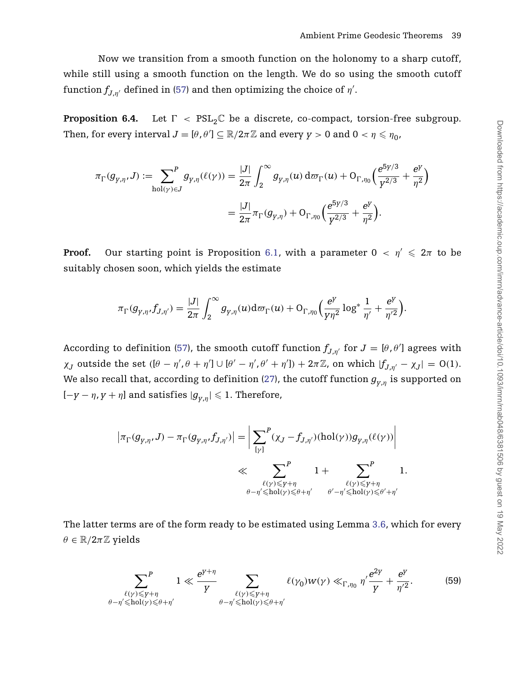Now we transition from a smooth function on the holonomy to a sharp cutoff, while still using a smooth function on the length. We do so using the smooth cutoff function  $f_{J,\eta'}$  defined in [\(57\)](#page-35-1) and then optimizing the choice of  $\eta'.$ 

<span id="page-39-0"></span>**Proposition 6.4.** Let  $\Gamma$  <  $PSL_2\mathbb{C}$  be a discrete, co-compact, torsion-free subgroup. Then, for every interval  $J = [\theta, \theta'] \subseteq \mathbb{R}/2\pi\mathbb{Z}$  and every  $\gamma > 0$  and  $0 < \eta \leqslant \eta_0$ ,

$$
\begin{split} \pi_{\Gamma}(g_{\gamma,\eta},J):=\!\!\!\!\!\!\!\!\!\sum_{\text{hol}(\gamma)\in J}^{P}g_{\gamma,\eta}(\ell(\gamma))&=\frac{|J|}{2\pi}\int_{2}^{\infty}g_{\gamma,\eta}(u)\,\mathrm{d}\varpi_{\Gamma}(u)+\mathrm{O}_{\Gamma,\eta_{0}}\Big(\frac{e^{5\gamma/3}}{\gamma^{2/3}}+\frac{e^{\gamma}}{\eta^{2}}\Big)\\&=\frac{|J|}{2\pi}\pi_{\Gamma}(g_{\gamma,\eta})+\mathrm{O}_{\Gamma,\eta_{0}}\Big(\frac{e^{5\gamma/3}}{\gamma^{2/3}}+\frac{e^{\gamma}}{\eta^{2}}\Big). \end{split}
$$

**Proof.** Our starting point is Proposition [6.1,](#page-36-1) with a parameter  $0 < \eta' \leq 2\pi$  to be suitably chosen soon, which yields the estimate

$$
\pi_{\Gamma}(g_{\gamma,\eta},f_{J,\eta'})=\frac{|J|}{2\pi}\int_2^\infty g_{\gamma,\eta}(u)\mathrm{d}\varpi_{\Gamma}(u)+\mathrm{O}_{\Gamma,\eta_0}\Big(\frac{e^{\gamma}}{\gamma\eta^2}\log^*\frac{1}{\eta'}+\frac{e^{\gamma}}{\eta'^2}\Big).
$$

According to definition [\(57\)](#page-35-1), the smooth cutoff function  $f_{J,\eta'}$  for  $J = [\theta, \theta']$  agrees with  $\chi_J$  outside the set  $([\theta - \eta', \theta + \eta'] \cup [\theta' - \eta', \theta' + \eta']) + 2\pi \mathbb{Z}$ , on which  $|f_{J,\eta'} - \chi_J| = O(1)$ . We also recall that, according to definition [\(27\)](#page-19-2), the cutoff function  $g_{v,n}$  is supported on  $[-y - \eta, y + \eta]$  and satisfies  $|g_{y, \eta}| \leqslant 1.$  Therefore,

$$
\begin{aligned} \left| \pi_\Gamma(g_{\gamma,\eta},J) - \pi_\Gamma(g_{\gamma,\eta},f_{J,\eta'}) \right| &= \bigg| \sum_{[\gamma]}^P (\chi_J - f_{J,\eta'}) (\mathrm{hol}(\gamma)) g_{\gamma,\eta}(\ell(\gamma)) \bigg| \\ & \ll \sum_{\substack{\ell(\gamma) \leq \gamma + \eta \\ \theta - \eta' \leqslant \mathrm{hol}(\gamma) \leqslant \theta + \eta' }} 1 + \sum_{\substack{\ell(\gamma) \leqslant \gamma + \eta \\ \theta' - \eta' \leqslant \mathrm{hol}(\gamma) \leqslant \theta' + \eta'}}^P 1. \end{aligned}
$$

The latter terms are of the form ready to be estimated using Lemma [3.6,](#page-25-0) which for every  $\theta \in \mathbb{R}/2\pi\mathbb{Z}$  yields

<span id="page-39-1"></span>
$$
\sum_{\substack{\ell(\gamma) \leq \gamma + \eta \\ \theta - \eta' \leq \text{hol}(\gamma) \leq \theta + \eta'}} 1 \ll \frac{e^{\gamma + \eta}}{\gamma} \sum_{\substack{\ell(\gamma) \leq \gamma + \eta \\ \theta - \eta' \leq \text{hol}(\gamma) \leq \theta + \eta'}} \ell(\gamma_0) w(\gamma) \ll_{\Gamma, \eta_0} \eta' \frac{e^{2\gamma}}{\gamma} + \frac{e^{\gamma}}{\eta'^2}.
$$
 (59)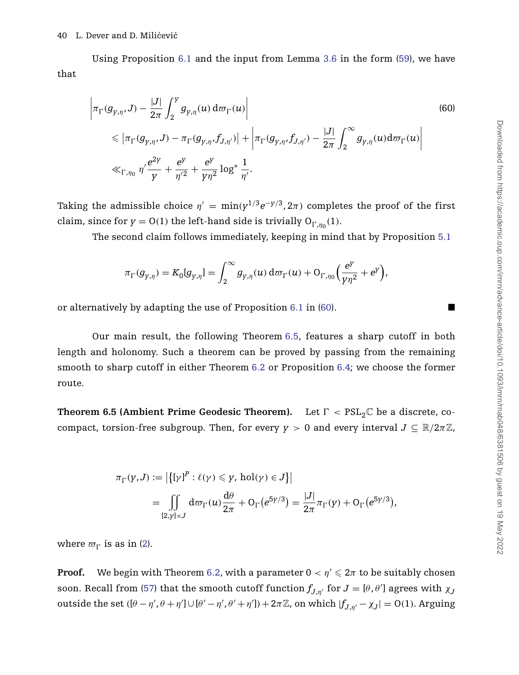Using Proposition [6.1](#page-36-1) and the input from Lemma [3.6](#page-25-0) in the form [\(59\)](#page-39-1), we have that

<span id="page-40-1"></span>
$$
\left| \pi_{\Gamma}(g_{\gamma,\eta}, J) - \frac{|J|}{2\pi} \int_{2}^{Y} g_{\gamma,\eta}(u) d\varpi_{\Gamma}(u) \right|
$$
\n
$$
\leq \left| \pi_{\Gamma}(g_{\gamma,\eta}, J) - \pi_{\Gamma}(g_{\gamma,\eta}, f_{J,\eta'}) \right| + \left| \pi_{\Gamma}(g_{\gamma,\eta}, f_{J,\eta'}) - \frac{|J|}{2\pi} \int_{2}^{\infty} g_{\gamma,\eta}(u) d\varpi_{\Gamma}(u) \right|
$$
\n
$$
\ll_{\Gamma, \eta_0} \eta' \frac{e^{2y}}{y} + \frac{e^{y}}{\eta'^{2}} + \frac{e^{y}}{y\eta^{2}} \log^{*} \frac{1}{\eta'}.
$$
\n(60)

Taking the admissible choice  $\eta' = \min(y^{1/3}e^{-y/3}, 2\pi)$  completes the proof of the first claim, since for  $y = O(1)$  the left-hand side is trivially  $O_{\Gamma,\eta_0}(1)$ .

The second claim follows immediately, keeping in mind that by Proposition [5.1](#page-31-0)

$$
\pi_{\Gamma}(g_{\gamma,\eta})=K_0[g_{\gamma,\eta}]=\int_2^\infty g_{\gamma,\eta}(u)\,\mathrm{d}\varpi_{\Gamma}(u)+\mathrm{O}_{\Gamma,\eta_0}\Big(\frac{e^{\gamma}}{y\eta^2}+e^{\gamma}\Big),
$$

or alternatively by adapting the use of Proposition [6.1](#page-36-1) in [\(60\)](#page-40-1).

Our main result, the following Theorem [6.5,](#page-40-0) features a sharp cutoff in both length and holonomy. Such a theorem can be proved by passing from the remaining smooth to sharp cutoff in either Theorem [6.2](#page-38-0) or Proposition [6.4;](#page-39-0) we choose the former route.

<span id="page-40-0"></span>**Theorem 6.5 (Ambient Prime Geodesic Theorem).** Let  $\Gamma < \text{PSL}_2\mathbb{C}$  be a discrete, cocompact, torsion-free subgroup. Then, for every  $y > 0$  and every interval  $J \subseteq \mathbb{R}/2\pi\mathbb{Z}$ ,

$$
\pi_{\Gamma}(y,J) := \left| \left\{ [y]^P : \ell(y) \leq y, \, \text{hol}(y) \in J \right\} \right|
$$
\n
$$
= \iint\limits_{[2,y] \times J} d\varpi_{\Gamma}(u) \frac{d\theta}{2\pi} + O_{\Gamma}(e^{5y/3}) = \frac{|J|}{2\pi} \pi_{\Gamma}(y) + O_{\Gamma}(e^{5y/3}),
$$

where  $\varpi_{\Gamma}$  is as in [\(2\)](#page-2-2).

**Proof.** We begin with Theorem [6.2,](#page-38-0) with a parameter  $0 < \eta' \leqslant 2\pi$  to be suitably chosen soon. Recall from [\(57\)](#page-35-1) that the smooth cutoff function  $f_{J,\eta'}$  for  $J = [\theta, \theta']$  agrees with  $\chi_j$ outside the set  $(\theta - \eta', \theta + \eta') \cup [\theta' - \eta', \theta' + \eta']) + 2\pi \mathbb{Z}$ , on which  $|f_{J,\eta'} - \chi_J| = O(1)$ . Arguing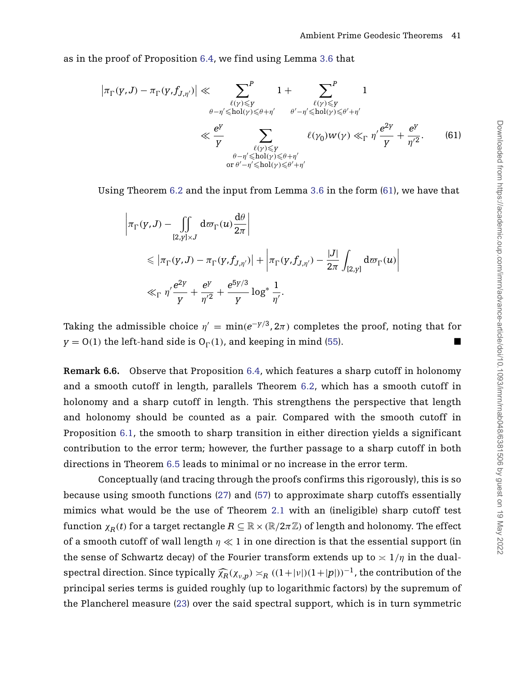as in the proof of Proposition [6.4,](#page-39-0) we find using Lemma [3.6](#page-25-0) that

<span id="page-41-0"></span>
$$
\left|\pi_{\Gamma}(y,J) - \pi_{\Gamma}(y,f_{J,\eta'})\right| \ll \sum_{\substack{\ell(\gamma) \le y \\ \theta - \eta' \le \text{hol}(\gamma) \le \theta + \eta' \\ \forall \ell(\gamma) \le \theta' \ne \eta' \\ \forall \ell(\gamma) \le \theta' \ne \eta' \\ \theta - \eta' \le \text{hol}(\gamma) \le \theta + \eta' \\ \text{or } \theta' - \eta' \le \text{hol}(\gamma) \le \theta' + \eta' \end{equation} \begin{minipage}{0.9cm} 1 + \sum_{\substack{\ell(\gamma) \le y \\ \theta' - \eta' \le \text{hol}(\gamma) \le \theta' + \eta' \\ \forall \ell(\gamma) \le \theta' \ne \eta' \\ \forall \ell(\gamma) \le \theta' + \eta' \ne \eta''}} 1 \\ \ell(\gamma_0) w(\gamma) \ll_{\Gamma} \eta' \frac{e^{2y}}{y} + \frac{e^y}{\eta'^2}. \end{minipage} \eqno{(61)}
$$

Using Theorem [6.2](#page-38-0) and the input from Lemma [3.6](#page-25-0) in the form [\(61\)](#page-41-0), we have that

$$
\left| \pi_{\Gamma}(y,J) - \iint\limits_{[2,y]\times J} d\varpi_{\Gamma}(u) \frac{d\theta}{2\pi} \right|
$$
  
\$\leqslant \left| \pi\_{\Gamma}(y,J) - \pi\_{\Gamma}(y,f\_{J,\eta'}) \right| + \left| \pi\_{\Gamma}(y,f\_{J,\eta'}) - \frac{|J|}{2\pi} \int\_{[2,y]} d\varpi\_{\Gamma}(u) \right|\$  
\$\ll\_{\Gamma} \eta' \frac{e^{2y}}{y} + \frac{e^{y}}{\eta'^2} + \frac{e^{5y/3}}{y} \log^\* \frac{1}{\eta'}\$

Taking the admissible choice  $\eta' = \min(e^{-\gamma/3}, 2\pi)$  completes the proof, noting that for  $y = O(1)$  the left-hand side is  $O_{\Gamma}(1)$ , and keeping in mind [\(55\)](#page-34-2).

**Remark 6.6.** Observe that Proposition [6.4,](#page-39-0) which features a sharp cutoff in holonomy and a smooth cutoff in length, parallels Theorem [6.2,](#page-38-0) which has a smooth cutoff in holonomy and a sharp cutoff in length. This strengthens the perspective that length and holonomy should be counted as a pair. Compared with the smooth cutoff in Proposition [6.1,](#page-36-1) the smooth to sharp transition in either direction yields a significant contribution to the error term; however, the further passage to a sharp cutoff in both directions in Theorem [6.5](#page-40-0) leads to minimal or no increase in the error term.

Conceptually (and tracing through the proofs confirms this rigorously), this is so because using smooth functions [\(27\)](#page-19-2) and [\(57\)](#page-35-1) to approximate sharp cutoffs essentially mimics what would be the use of Theorem [2.1](#page-12-0) with an (ineligible) sharp cutoff test function  $\chi_R(t)$  for a target rectangle  $R \subseteq \mathbb{R} \times (\mathbb{R}/2\pi\mathbb{Z})$  of length and holonomy. The effect of a smooth cutoff of wall length *η* ≪ 1 in one direction is that the essential support (in the sense of Schwartz decay) of the Fourier transform extends up to  $\asymp 1/\eta$  in the dualspectral direction. Since typically  $\widehat{\chi}_R(\chi_{v,n}) \asymp_R ((1+|v|)(1+|p|))^{-1}$ , the contribution of the principal series terms is guided roughly (up to logarithmic factors) by the supremum of the Plancherel measure [\(23\)](#page-17-1) over the said spectral support, which is in turn symmetric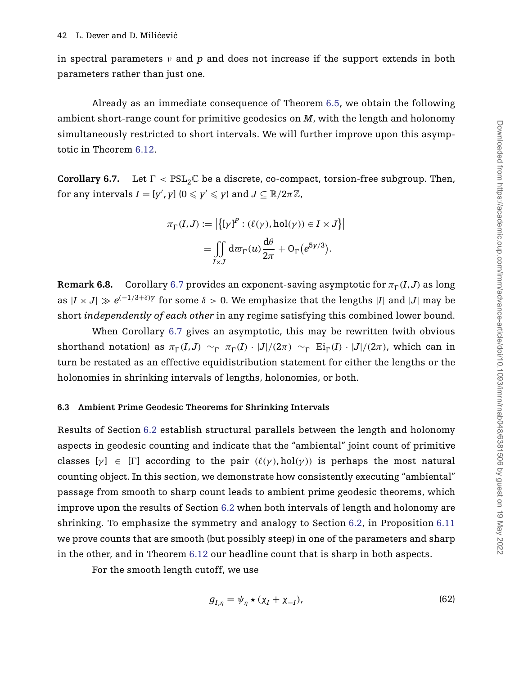in spectral parameters  $\nu$  and  $p$  and does not increase if the support extends in both parameters rather than just one.

Already as an immediate consequence of Theorem [6.5,](#page-40-0) we obtain the following ambient short-range count for primitive geodesics on *M*, with the length and holonomy simultaneously restricted to short intervals. We will further improve upon this asymptotic in Theorem [6.12.](#page-45-0)

<span id="page-42-0"></span>**Corollary 6.7.** Let  $\Gamma < \text{PSL}_2\mathbb{C}$  be a discrete, co-compact, torsion-free subgroup. Then, for any intervals  $I = [y', y]$   $(0 \leq y' \leq y)$  and  $J \subseteq \mathbb{R}/2\pi\mathbb{Z}$ ,

$$
\pi_{\Gamma}(I,J) := \left| \left\{ [\gamma]^P : (\ell(\gamma), \text{hol}(\gamma)) \in I \times J \right\} \right|
$$

$$
= \iint_{I \times J} d\varpi_{\Gamma}(u) \frac{d\theta}{2\pi} + O_{\Gamma}(e^{5\gamma/3}).
$$

<span id="page-42-1"></span>**Remark 6.8.** Corollary [6.7](#page-42-0) provides an exponent-saving asymptotic for  $\pi_{\Gamma}(I,J)$  as long as  $|I \times J| \gg e^{(-1/3+\delta)y}$  for some  $\delta > 0$ . We emphasize that the lengths |*I*| and |*J*| may be short *independently of each other* in any regime satisfying this combined lower bound.

When Corollary [6.7](#page-42-0) gives an asymptotic, this may be rewritten (with obvious shorthand notation) as  $\pi_{\Gamma}(I,J) \sim_{\Gamma} \pi_{\Gamma}(I) \cdot |J|/(2\pi) \sim_{\Gamma} \text{Ei}_{\Gamma}(I) \cdot |J|/(2\pi)$ , which can in turn be restated as an effective equidistribution statement for either the lengths or the holonomies in shrinking intervals of lengths, holonomies, or both.

# <span id="page-42-2"></span>**6.3 Ambient Prime Geodesic Theorems for Shrinking Intervals**

Results of Section [6.2](#page-37-0) establish structural parallels between the length and holonomy aspects in geodesic counting and indicate that the "ambiental" joint count of primitive classes  $[\gamma] \in [\Gamma]$  according to the pair  $(\ell(\gamma), hol(\gamma))$  is perhaps the most natural counting object. In this section, we demonstrate how consistently executing "ambiental" passage from smooth to sharp count leads to ambient prime geodesic theorems, which improve upon the results of Section [6.2](#page-37-0) when both intervals of length and holonomy are shrinking. To emphasize the symmetry and analogy to Section [6.2,](#page-37-0) in Proposition [6.11](#page-44-0) we prove counts that are smooth (but possibly steep) in one of the parameters and sharp in the other, and in Theorem [6.12](#page-45-0) our headline count that is sharp in both aspects.

For the smooth length cutoff, we use

<span id="page-42-3"></span>
$$
g_{I,\eta} = \psi_{\eta} \star (\chi_I + \chi_{-I}), \tag{62}
$$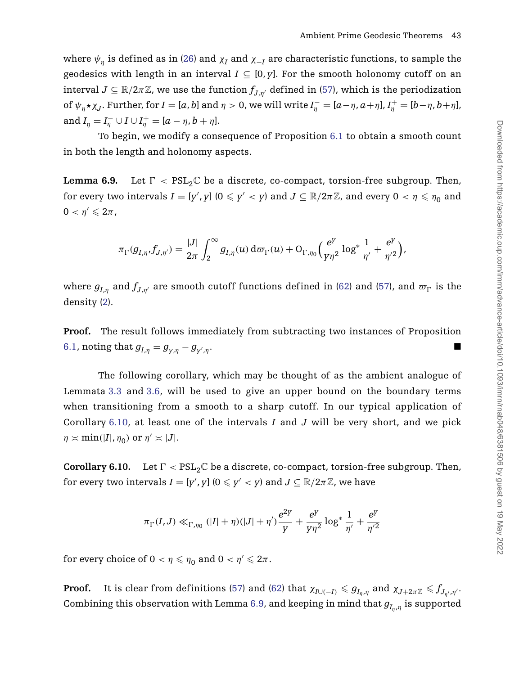where  $\psi_n$  is defined as in [\(26\)](#page-19-3) and  $\chi_I$  and  $\chi_{-I}$  are characteristic functions, to sample the geodesics with length in an interval  $I \subseteq [0, y]$ . For the smooth holonomy cutoff on an interval  $J \subseteq \mathbb{R}/2\pi\mathbb{Z}$ , we use the function  $f_{J,n'}$  defined in [\(57\)](#page-35-1), which is the periodization of  $\psi_{\eta} \star \chi_J$ . Further, for  $I = [a, b]$  and  $\eta > 0$ , we will write  $I_{\eta}^- = [a - \eta, a + \eta]$ ,  $I_{\eta}^+ = [b - \eta, b + \eta]$ , and  $I_{\eta} = I_{\eta}^{-} \cup I \cup I_{\eta}^{+} = [a - \eta, b + \eta].$ 

To begin, we modify a consequence of Proposition [6.1](#page-36-1) to obtain a smooth count in both the length and holonomy aspects.

<span id="page-43-0"></span>**Lemma 6.9.** Let *-*Let  $\Gamma$  <  $PSL_2\mathbb{C}$  be a discrete, co-compact, torsion-free subgroup. Then, for every two intervals  $I = [y', y]$   $(0 \le y' < y)$  and  $J \subseteq \mathbb{R}/2\pi\mathbb{Z}$ , and every  $0 < \eta \leqslant \eta_0$  and  $0 < \eta' \leqslant 2\pi$  ,

$$
\pi_{\Gamma}(g_{I,\eta},f_{J,\eta'})=\frac{|J|}{2\pi}\int_2^\infty g_{I,\eta}(u)\,\mathrm{d}\varpi_{\Gamma}(u)+\mathrm{O}_{\Gamma,\eta_0}\Big(\frac{e^y}{y\eta^2}\log^*\frac{1}{\eta'}+\frac{e^y}{\eta'^2}\Big),
$$

where  $g_{I,\eta}$  and  $f_{J,\eta'}$  are smooth cutoff functions defined in [\(62\)](#page-42-3) and [\(57\)](#page-35-1), and  $\varpi_{\Gamma}$  is the density [\(2\)](#page-2-2).

**Proof.** The result follows immediately from subtracting two instances of Proposition [6.1,](#page-36-1) noting that  $g_{I,n} = g_{v,n} - g_{v',n}$ . ,*η*.

The following corollary, which may be thought of as the ambient analogue of Lemmata [3.3](#page-22-0) and [3.6,](#page-25-0) will be used to give an upper bound on the boundary terms when transitioning from a smooth to a sharp cutoff. In our typical application of Corollary [6.10,](#page-43-1) at least one of the intervals *I* and *J* will be very short, and we pick  $\eta \approx \min(|I|, \eta_0)$  or  $\eta' \approx |J|$ .

<span id="page-43-1"></span>**Corollary 6.10.** Let  $\Gamma < PSL_2\mathbb{C}$  be a discrete, co-compact, torsion-free subgroup. Then, for every two intervals  $I = [y', y]$   $(0 \leqslant y' < y)$  and  $J \subseteq \mathbb{R}/2\pi\mathbb{Z}$ , we have

$$
\pi_{\Gamma}(I,J) \ll_{\Gamma, \eta_0} (|I| + \eta)(|J| + \eta') \frac{e^{2\gamma}}{\gamma} + \frac{e^{\gamma}}{\gamma \eta^2} \log^* \frac{1}{\eta'} + \frac{e^{\gamma}}{\eta'^2}
$$

for every choice of  $0 < \eta \leqslant \eta_0$  and  $0 < \eta' \leqslant 2\pi$ .

**Proof.** It is clear from definitions [\(57\)](#page-35-1) and [\(62\)](#page-42-3) that  $\chi_{I\cup(-I)}\leqslant g_{I_\eta,\eta}$  and  $\chi_{J+2\pi\mathbb{Z}}\leqslant f_{J_{\eta'},\eta'}.$ Combining this observation with Lemma [6.9,](#page-43-0) and keeping in mind that  $g_{I_n,n}$  is supported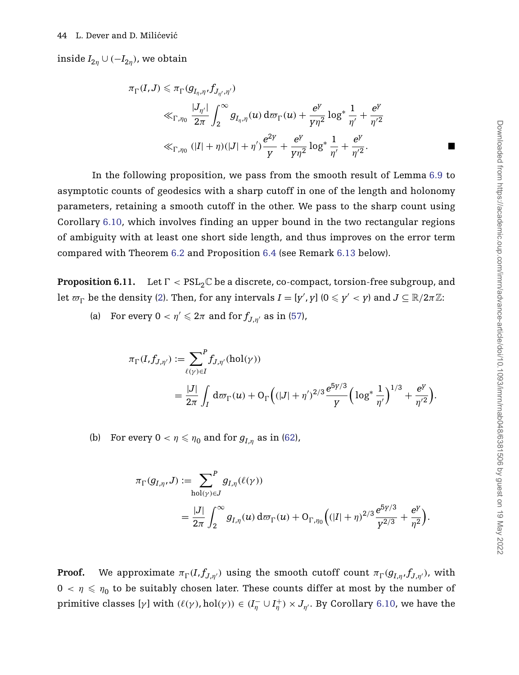inside  $I_{2n} \cup (-I_{2n})$ , we obtain

$$
\pi_{\Gamma}(I,J) \leq \pi_{\Gamma}(g_{I_{\eta},\eta},f_{J_{\eta',\eta'}})
$$
\n
$$
\ll_{\Gamma,\eta_0} \frac{|J_{\eta'}|}{2\pi} \int_2^{\infty} g_{I_{\eta},\eta}(u) d\varpi_{\Gamma}(u) + \frac{e^{\gamma}}{\gamma\eta^2} \log^* \frac{1}{\eta'} + \frac{e^{\gamma}}{\eta'^2}
$$
\n
$$
\ll_{\Gamma,\eta_0} (|I| + \eta)(|J| + \eta') \frac{e^{2\gamma}}{\gamma} + \frac{e^{\gamma}}{\gamma\eta^2} \log^* \frac{1}{\eta'} + \frac{e^{\gamma}}{\eta'^2}.
$$

In the following proposition, we pass from the smooth result of Lemma [6.9](#page-43-0) to asymptotic counts of geodesics with a sharp cutoff in one of the length and holonomy parameters, retaining a smooth cutoff in the other. We pass to the sharp count using Corollary [6.10,](#page-43-1) which involves finding an upper bound in the two rectangular regions of ambiguity with at least one short side length, and thus improves on the error term compared with Theorem [6.2](#page-38-0) and Proposition [6.4](#page-39-0) (see Remark [6.13](#page-46-0) below).

<span id="page-44-0"></span>**Proposition 6.11.** Let  $\Gamma < \mathrm{PSL}_2\mathbb{C}$  be a discrete, co-compact, torsion-free subgroup, and let  $\varpi_{\Gamma}$  be the density [\(2\)](#page-2-2). Then, for any intervals  $I = [y', y]$  ( $0 \leqslant y' < y$ ) and  $J \subseteq \mathbb{R}/2\pi\mathbb{Z}$ :

(a) For every  $0 < \eta' \leq 2\pi$  and for  $f_{J,\eta'}$  as in [\(57\)](#page-35-1),

$$
\begin{split} \pi_{\Gamma}(I,f_{J,\eta'}) &:= \sum_{\ell(\gamma)\in I}^P f_{J,\eta'}(\mathrm{hol}(\gamma)) \\ & = \frac{|J|}{2\pi} \int_I \mathrm{d}\varpi_{\Gamma}(u) + \mathrm{O}_{\Gamma}\Big((|J|+\eta')^{2/3}\frac{e^{5\gamma/3}}{\gamma}\Big(\log^*\frac{1}{\eta'}\Big)^{1/3} + \frac{e^{\gamma}}{\eta'^2}\Big). \end{split}
$$

(b) For every  $0 < \eta \leqslant \eta_0$  and for  $g_{I,\eta}$  as in [\(62\)](#page-42-3),

$$
\pi_{\Gamma}(g_{I,\eta}, J) := \sum_{\text{hol}(\gamma) \in J}^{P} g_{I,\eta}(\ell(\gamma))
$$
  
= 
$$
\frac{|J|}{2\pi} \int_{2}^{\infty} g_{I,\eta}(u) d\varpi_{\Gamma}(u) + O_{\Gamma, \eta_{0}} \Big( (|I| + \eta)^{2/3} \frac{e^{5\gamma/3}}{\gamma^{2/3}} + \frac{e^{\gamma}}{\eta^{2}} \Big).
$$

**Proof.** We approximate  $\pi_{\Gamma}(I, f_{J, \eta'})$  using the smooth cutoff count  $\pi_{\Gamma}(g_{I, \eta}, f_{J, \eta'})$ , with  $0 < \eta \leqslant \eta_0$  to be suitably chosen later. These counts differ at most by the number of primitive classes  $[\gamma]$  with  $(\ell(\gamma), hol(\gamma)) \in (I_{\eta}^{-} \cup I_{\eta}^{+}) \times J_{\eta}$ . By Corollary [6.10,](#page-43-1) we have the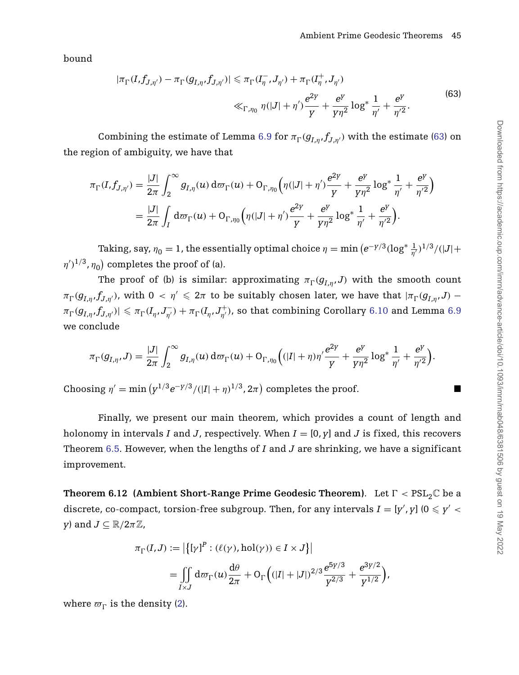bound

<span id="page-45-1"></span>
$$
|\pi_{\Gamma}(I, f_{J,\eta'}) - \pi_{\Gamma}(g_{I,\eta}, f_{J,\eta'})| \le \pi_{\Gamma}(I_{\eta}^-, J_{\eta'}) + \pi_{\Gamma}(I_{\eta}^+, J_{\eta'})
$$
  

$$
\ll_{\Gamma, \eta_0} \eta(|J| + \eta') \frac{e^{2\gamma}}{Y} + \frac{e^{\gamma}}{\gamma \eta^2} \log^* \frac{1}{\eta'} + \frac{e^{\gamma}}{\eta'^2}.
$$
 (63)

Combining the estimate of Lemma [6.9](#page-43-0) for  $\pi_{\Gamma}(g_{I,\eta},f_{J,\eta'})$  with the estimate [\(63\)](#page-45-1) on the region of ambiguity, we have that

$$
\pi_{\Gamma}(I, f_{J,\eta'}) = \frac{|J|}{2\pi} \int_2^{\infty} g_{I,\eta}(u) d\sigma_{\Gamma}(u) + \mathcal{O}_{\Gamma,\eta_0} \Big( \eta(|J| + \eta') \frac{e^{2\gamma}}{y} + \frac{e^{\gamma}}{y \eta^2} \log^* \frac{1}{\eta'} + \frac{e^{\gamma}}{\eta'^2} \Big)
$$
  
= 
$$
\frac{|J|}{2\pi} \int_I d\sigma_{\Gamma}(u) + \mathcal{O}_{\Gamma,\eta_0} \Big( \eta(|J| + \eta') \frac{e^{2\gamma}}{y} + \frac{e^{\gamma}}{y \eta^2} \log^* \frac{1}{\eta'} + \frac{e^{\gamma}}{\eta'^2} \Big).
$$

Taking, say,  $\eta_0 = 1$ , the essentially optimal choice  $\eta = \min \left( e^{-\gamma/3} (\log^* \frac{1}{\eta'})^{1/3} / (|J| + 1) \right)$  $(\eta')^{1/3}, \eta_0$ ) completes the proof of (a).

The proof of (b) is similar: approximating  $\pi_{\Gamma}(g_{I,\eta},J)$  with the smooth count  $\pi_{\Gamma}(g_{I,\eta},f_{J,\eta'}),$  with  $0 < \eta' \leqslant 2\pi$  to be suitably chosen later, we have that  $|\pi_{\Gamma}(g_{I,\eta},J)-f_{J,\eta'}|$  $\pi_{\Gamma}(g_{I,\eta},f_{J,\eta'})|\leqslant \pi_{\Gamma}(I_\eta,J_{\eta'}^-)+\pi_{\Gamma}(I_\eta,J_{\eta'}^+),$  so that combining Corollary  $6.10$  and Lemma  $6.9$ we conclude

$$
\pi_{\Gamma}(g_{I,\eta},J)=\frac{|J|}{2\pi}\int_2^{\infty}g_{I,\eta}(u)\,d\varpi_{\Gamma}(u)+\mathrm{O}_{\Gamma,\eta_0}\Big((|I|+\eta)\eta'\frac{e^{2\gamma}}{\gamma}+\frac{e^{\gamma}}{\gamma\eta^2}\log^*\frac{1}{\eta'}+\frac{e^{\gamma}}{\eta'^2}\Big).
$$

Choosing  $\eta' = \min \left( y^{1/3} e^{-y/3} / (|I| + \eta)^{1/3}, 2\pi \right)$  completes the proof.

Finally, we present our main theorem, which provides a count of length and holonomy in intervals *I* and *J*, respectively. When  $I = [0, y]$  and *J* is fixed, this recovers Theorem [6.5.](#page-40-0) However, when the lengths of *I* and *J* are shrinking, we have a significant improvement.

<span id="page-45-0"></span>**Theorem 6.12 (Ambient Short-Range Prime Geodesic Theorem). Let**  $\Gamma < \text{PSL}_2\mathbb{C}$  **be a** discrete, co-compact, torsion-free subgroup. Then, for any intervals  $I = [y', y]$  ( $0 \le y' < 1$ *y*) and  $J \subseteq \mathbb{R}/2\pi\mathbb{Z}$ ,

$$
\pi_{\Gamma}(I,J) := |\{ [\gamma]^P : (\ell(\gamma), \text{hol}(\gamma)) \in I \times J \}|
$$
  
= 
$$
\iint_{I \times J} d\varpi_{\Gamma}(u) \frac{d\theta}{2\pi} + O_{\Gamma} \left( (|I| + |J|)^{2/3} \frac{e^{5\gamma/3}}{Y^{2/3}} + \frac{e^{3\gamma/2}}{Y^{1/2}} \right),
$$

where  $\varpi_{\Gamma}$  is the density [\(2\)](#page-2-2).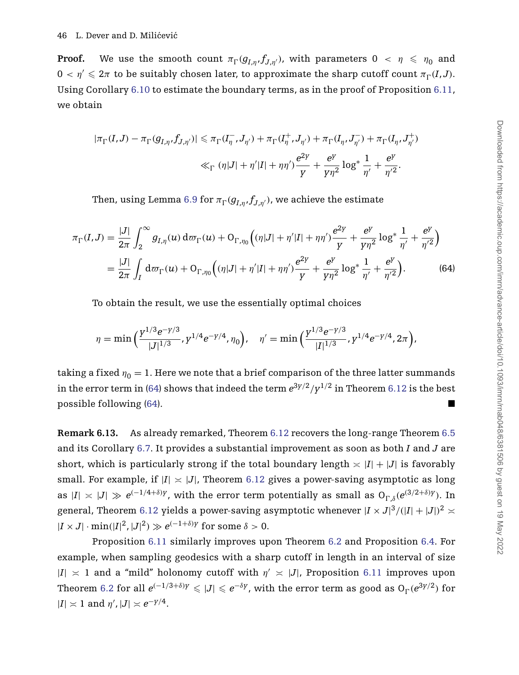**Proof.** We use the smooth count  $\pi_{\Gamma}(g_{I,\eta},f_{J,\eta'}),$  with parameters  $0 < \eta \leqslant \eta_0$  and  $0 < \eta' \leqslant 2\pi$  to be suitably chosen later, to approximate the sharp cutoff count  $\pi_{\Gamma}(I,J)$ . Using Corollary [6.10](#page-43-1) to estimate the boundary terms, as in the proof of Proposition [6.11,](#page-44-0) we obtain

$$
|\pi_{\Gamma}(I,J) - \pi_{\Gamma}(g_{I,\eta},f_{J,\eta'})| \leq \pi_{\Gamma}(I_{\eta}^-,J_{\eta'}) + \pi_{\Gamma}(I_{\eta}^+,J_{\eta'}) + \pi_{\Gamma}(I_{\eta},J_{\eta'}^-) + \pi_{\Gamma}(I_{\eta},J_{\eta'}^+) \ll_{\Gamma} (\eta|J| + \eta'|I| + \eta\eta') \frac{e^{2\gamma}}{\gamma} + \frac{e^{\gamma}}{\gamma\eta^2} \log^* \frac{1}{\eta'} + \frac{e^{\gamma}}{\eta'^2}.
$$

<span id="page-46-1"></span>Then, using Lemma [6.9](#page-43-0) for  $\pi_{\Gamma}(g_{I,\eta},f_{J,\eta^{\prime}})$ , we achieve the estimate

$$
\pi_{\Gamma}(I,J) = \frac{|J|}{2\pi} \int_{2}^{\infty} g_{I,\eta}(u) d\varpi_{\Gamma}(u) + \mathcal{O}_{\Gamma,\eta_{0}} \Big( (\eta|J| + \eta'|I| + \eta\eta') \frac{e^{2\gamma}}{Y} + \frac{e^{\gamma}}{\gamma\eta^{2}} \log^{*} \frac{1}{\eta'} + \frac{e^{\gamma}}{\eta'^{2}} \Big)
$$
  
= 
$$
\frac{|J|}{2\pi} \int_{I} d\varpi_{\Gamma}(u) + \mathcal{O}_{\Gamma,\eta_{0}} \Big( (\eta|J| + \eta'|I| + \eta\eta') \frac{e^{2\gamma}}{Y} + \frac{e^{\gamma}}{\gamma\eta^{2}} \log^{*} \frac{1}{\eta'} + \frac{e^{\gamma}}{\eta'^{2}} \Big).
$$
 (64)

To obtain the result, we use the essentially optimal choices

$$
\eta = \min\Big(\frac{\gamma^{1/3}e^{-\gamma/3}}{|J|^{1/3}}, \gamma^{1/4}e^{-\gamma/4}, \eta_0\Big), \quad \eta' = \min\Big(\frac{\gamma^{1/3}e^{-\gamma/3}}{|I|^{1/3}}, \gamma^{1/4}e^{-\gamma/4}, 2\pi\Big),
$$

taking a fixed  $\eta_0 = 1$ . Here we note that a brief comparison of the three latter summands in the error term in [\(64\)](#page-46-1) shows that indeed the term  $e^{3y/2}/y^{1/2}$  in Theorem [6.12](#page-45-0) is the best possible following [\(64\)](#page-46-1).

<span id="page-46-0"></span>**Remark 6.13.** As already remarked, Theorem [6.12](#page-45-0) recovers the long-range Theorem [6.5](#page-40-0) and its Corollary [6.7.](#page-42-0) It provides a substantial improvement as soon as both *I* and *J* are short, which is particularly strong if the total boundary length  $\leq |I| + |J|$  is favorably small. For example, if  $|I| \times |J|$ , Theorem [6.12](#page-45-0) gives a power-saving asymptotic as long as  $|I| \times |J| \gg e^{(-1/4+\delta)y}$ , with the error term potentially as small as  $O_{\Gamma,\delta}(e^{(3/2+\delta)y})$ . In general, Theorem [6.12](#page-45-0) yields a power-saving asymptotic whenever  $|I \times J|^3/(|I|+|J|)^2 \asymp$  $|I \times J| \cdot \min(|I|^2, |J|^2) \gg e^{(-1+\delta)y}$  for some  $\delta > 0$ .

Proposition [6.11](#page-44-0) similarly improves upon Theorem [6.2](#page-38-0) and Proposition [6.4.](#page-39-0) For example, when sampling geodesics with a sharp cutoff in length in an interval of size  $|I| \geq 1$  and a "mild" holonomy cutoff with  $\eta' \geq |J|$ , Proposition [6.11](#page-44-0) improves upon Theorem [6.2](#page-38-0) for all  $e^{(-1/3+\delta)y} \le |J| \le e^{-\delta y}$ , with the error term as good as  $O_{\Gamma}(e^{3y/2})$  for  $|I| \times 1$  and  $\eta'$ ,  $|J| \times e^{-\gamma/4}$ .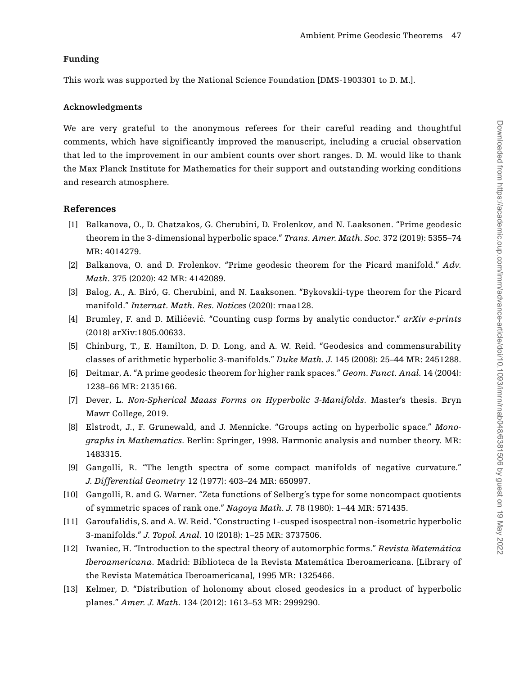# **Funding**

This work was supported by the National Science Foundation [DMS-1903301 to D. M.].

# **Acknowledgments**

We are very grateful to the anonymous referees for their careful reading and thoughtful comments, which have significantly improved the manuscript, including a crucial observation that led to the improvement in our ambient counts over short ranges. D. M. would like to thank the Max Planck Institute for Mathematics for their support and outstanding working conditions and research atmosphere.

# **References**

- <span id="page-47-1"></span>[1] Balkanova, O., D. Chatzakos, G. Cherubini, D. Frolenkov, and N. Laaksonen. "Prime geodesic theorem in the 3-dimensional hyperbolic space." *Trans. Amer. Math. Soc.* 372 (2019): 5355–74 MR: 4014279.
- [2] Balkanova, O. and D. Frolenkov. "Prime geodesic theorem for the Picard manifold." *Adv. Math.* 375 (2020): 42 MR: 4142089.
- <span id="page-47-2"></span>[3] Balog, A., A. Biró, G. Cherubini, and N. Laaksonen. "Bykovskii-type theorem for the Picard manifold." *Internat. Math. Res. Notices* (2020): rnaa128.
- <span id="page-47-6"></span>[4] Brumley, F. and D. Milicevic. "Counting cusp forms by analytic conductor." arXiv e-prints (2018) arXiv:1805.00633.
- <span id="page-47-5"></span>[5] Chinburg, T., E. Hamilton, D. D. Long, and A. W. Reid. "Geodesics and commensurability classes of arithmetic hyperbolic 3-manifolds." *Duke Math. J.* 145 (2008): 25–44 MR: 2451288.
- <span id="page-47-7"></span>[6] Deitmar, A. "A prime geodesic theorem for higher rank spaces." *Geom. Funct. Anal.* 14 (2004): 1238–66 MR: 2135166.
- <span id="page-47-11"></span>[7] Dever, L. *Non-Spherical Maass Forms on Hyperbolic 3-Manifolds*. Master's thesis. Bryn Mawr College, 2019.
- <span id="page-47-9"></span>[8] Elstrodt, J., F. Grunewald, and J. Mennicke. "Groups acting on hyperbolic space." *Monographs in Mathematics*. Berlin: Springer, 1998. Harmonic analysis and number theory. MR: 1483315.
- <span id="page-47-4"></span>[9] Gangolli, R. "The length spectra of some compact manifolds of negative curvature." *J. Differential Geometry* 12 (1977): 403–24 MR: 650997.
- <span id="page-47-0"></span>[10] Gangolli, R. and G. Warner. "Zeta functions of Selberg's type for some noncompact quotients of symmetric spaces of rank one." *Nagoya Math. J.* 78 (1980): 1–44 MR: 571435.
- <span id="page-47-3"></span>[11] Garoufalidis, S. and A. W. Reid. "Constructing 1-cusped isospectral non-isometric hyperbolic 3-manifolds." *J. Topol. Anal.* 10 (2018): 1–25 MR: 3737506.
- <span id="page-47-10"></span>[12] Iwaniec, H. "Introduction to the spectral theory of automorphic forms." *Revista Matemática Iberoamericana*. Madrid: Biblioteca de la Revista Matemática Iberoamericana. [Library of the Revista Matemática Iberoamericana], 1995 MR: 1325466.
- <span id="page-47-8"></span>[13] Kelmer, D. "Distribution of holonomy about closed geodesics in a product of hyperbolic planes." *Amer. J. Math.* 134 (2012): 1613–53 MR: 2999290.